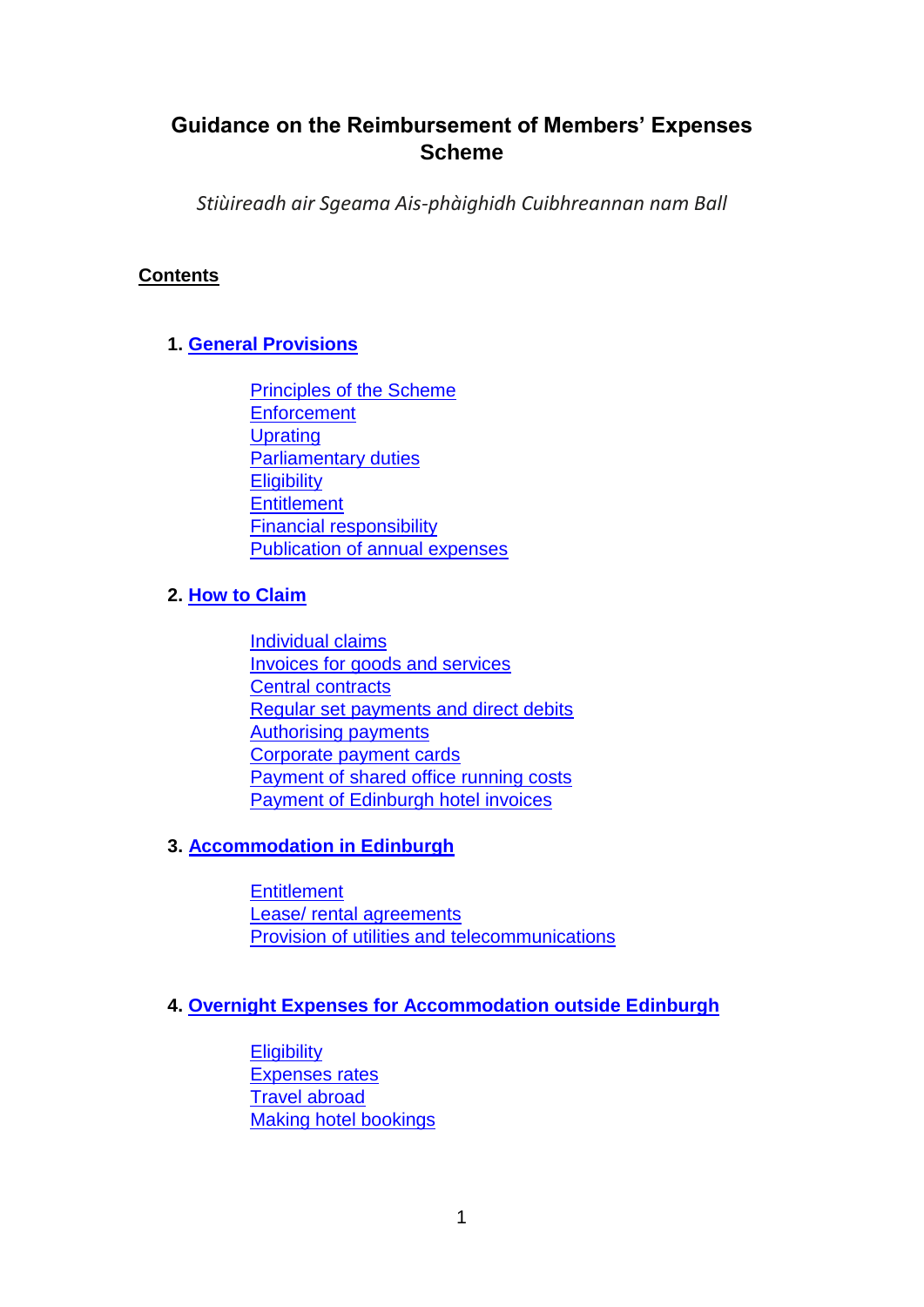# **Guidance on the Reimbursement of Members' Expenses Scheme**

*Stiùireadh air Sgeama Ais-phàighidh Cuibhreannan nam Ball* 

## **Contents**

# **1. General Provisions**

Principles of the Scheme **Enforcement Uprating** Parliamentary duties **Eligibility Entitlement** Financial responsibility Publication of annual expenses

## **2. How to Claim**

Individual claims Invoices for goods and services Central contracts Regular set payments and direct debits Authorising payments Corporate payment cards Payment of shared office running costs Payment of Edinburgh hotel invoices

## **3. Accommodation in Edinburgh**

**Entitlement** Lease/ rental agreements Provision of utilities and telecommunications

## **4. Overnight Expenses for Accommodation outside Edinburgh**

**Eligibility** Expenses rates Travel abroad Making hotel bookings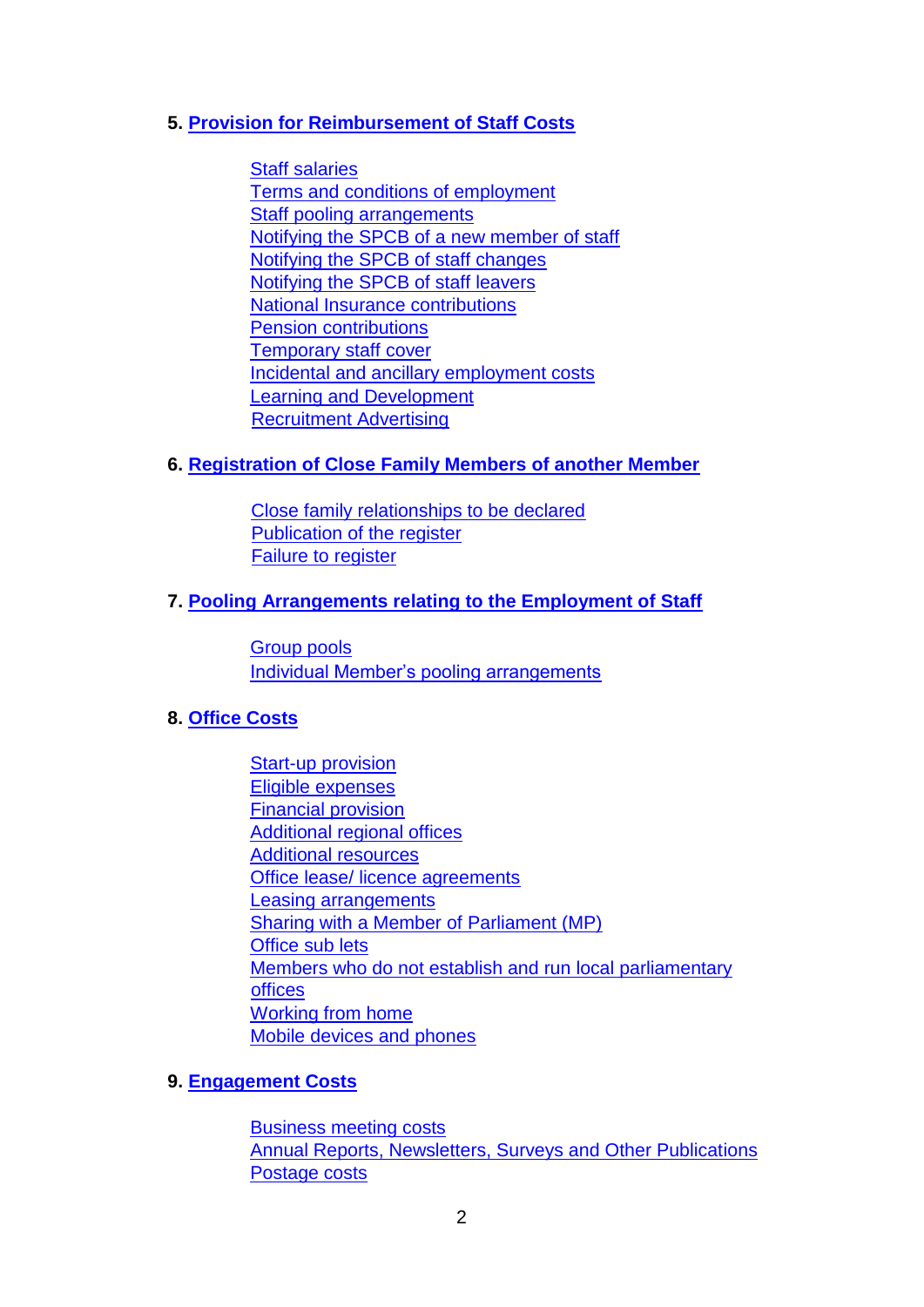### **5. Provision for Reimbursement of Staff Costs**

Staff salaries Terms and conditions of employment Staff pooling arrangements Notifying the SPCB of a new member of staff Notifying the SPCB of staff changes Notifying the SPCB of staff leavers National Insurance contributions Pension contributions Temporary staff cover Incidental and ancillary employment costs Learning and Development **Recruitment Advertising** 

#### **6. Registration of Close Family Members of another Member**

Close family relationships to be declared Publication of the register Failure to register

#### **7. Pooling Arrangements relating to the Employment of Staff**

Group pools Individual Member's pooling arrangements

#### **8. Office Costs**

Start-up provision Eligible expenses Financial provision Additional regional offices Additional resources Office lease/ licence agreements Leasing arrangements Sharing with a Member of Parliament (MP) Office sub lets Members who do not establish and run local parliamentary offices Working from home Mobile devices and phones

#### **9. Engagement Costs**

Business meeting costs Annual Reports, Newsletters, Surveys and Other Publications Postage costs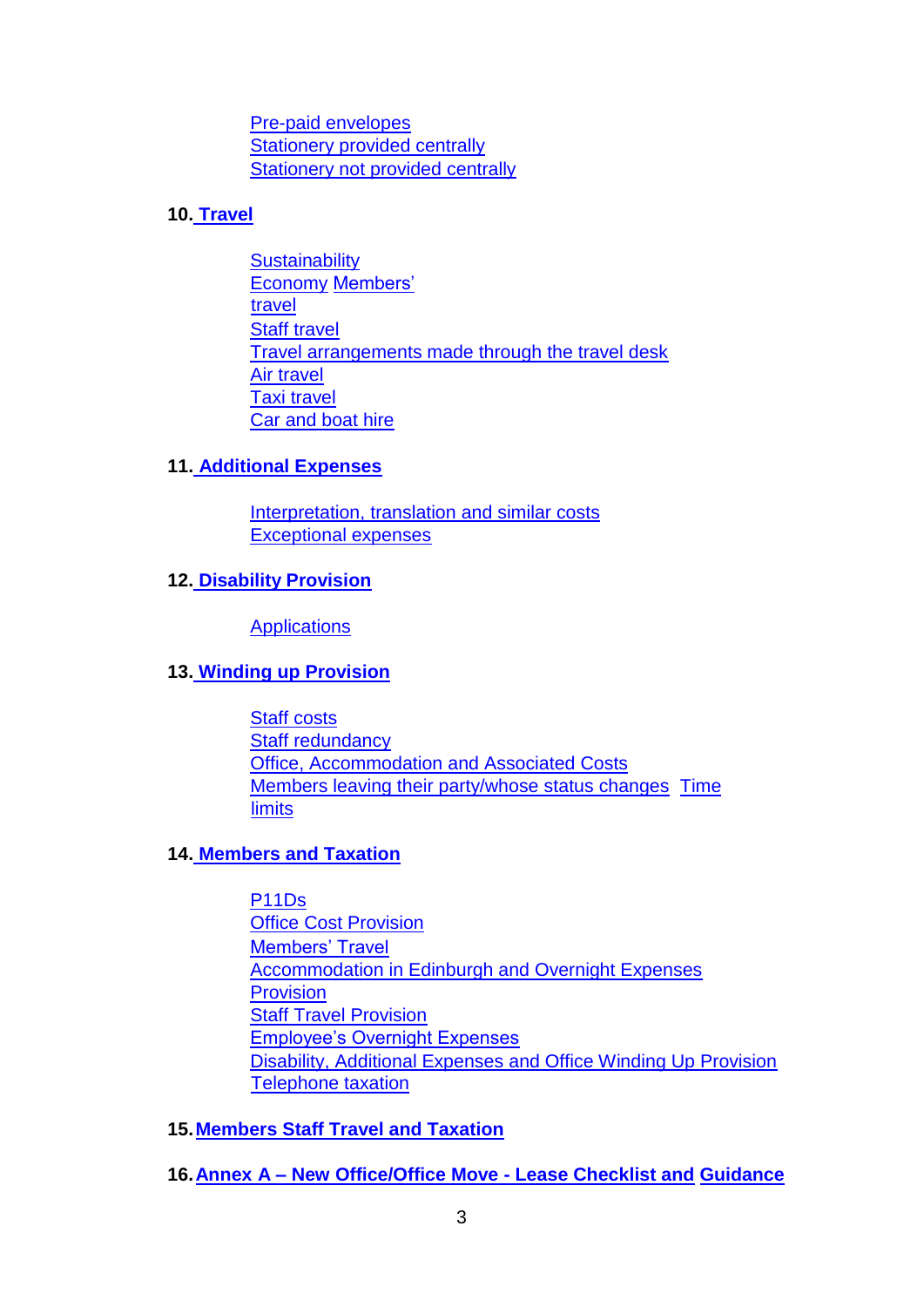Pre-paid envelopes Stationery provided centrally Stationery not provided centrally

# **10. Travel**

**Sustainability** Economy Members' travel Staff travel Travel arrangements made through the travel desk Air travel Taxi travel Car and boat hire

## **11. Additional Expenses**

Interpretation, translation and similar costs Exceptional expenses

# **12. Disability Provision**

**Applications** 

## **13. Winding up Provision**

Staff costs Staff redundancy Office, Accommodation and Associated Costs Members leaving their party/whose status changes Time limits

## **14. Members and Taxation**

P11Ds Office Cost Provision Members' Travel Accommodation in Edinburgh and Overnight Expenses Provision Staff Travel Provision Employee's Overnight Expenses Disability, Additional Expenses and Office Winding Up Provision Telephone taxation

**15.Members Staff Travel and Taxation**

**16.Annex A – New Office/Office Move - Lease Checklist and Guidance**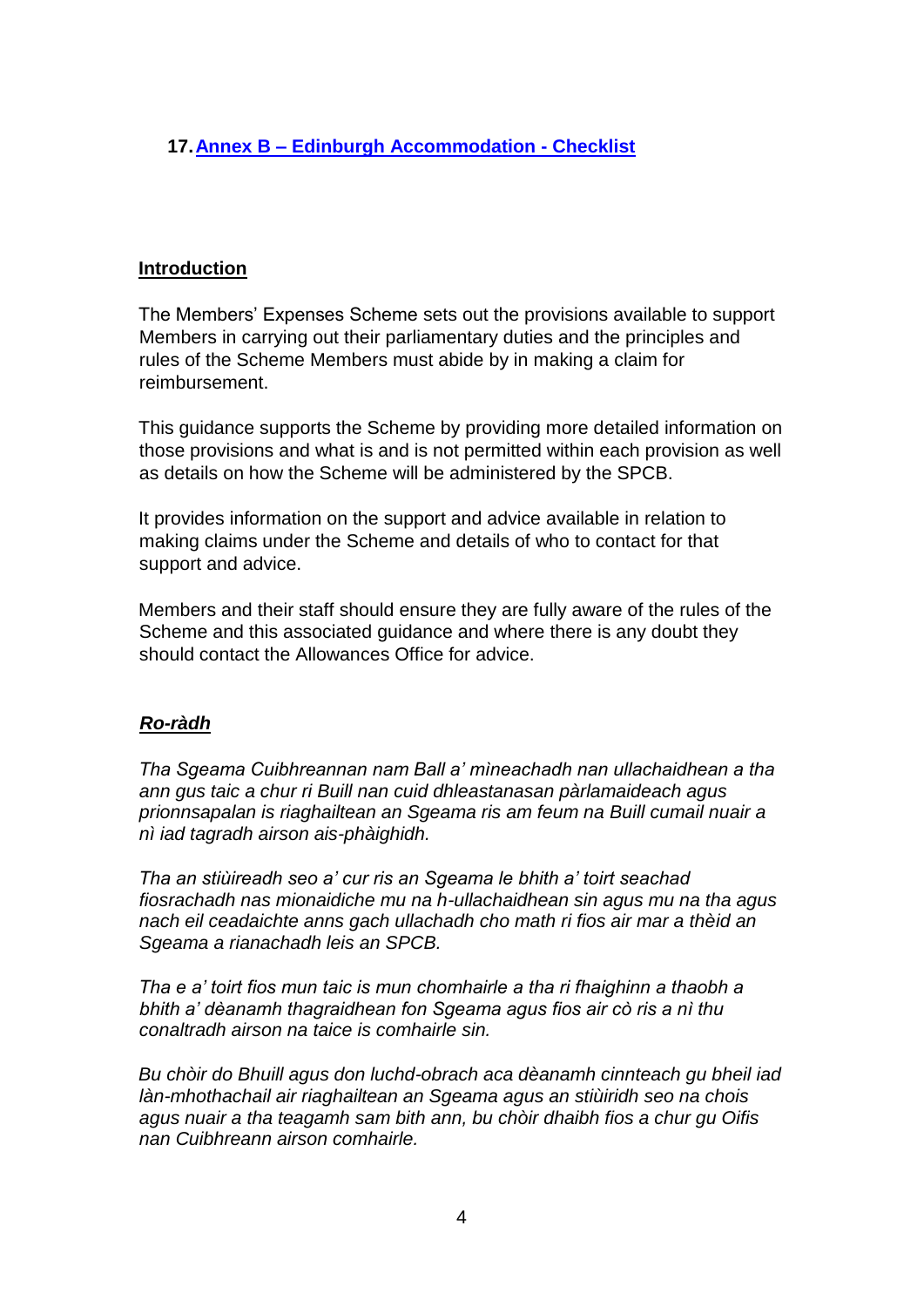# **17.Annex B – Edinburgh Accommodation - Checklist**

#### **Introduction**

The Members' Expenses Scheme sets out the provisions available to support Members in carrying out their parliamentary duties and the principles and rules of the Scheme Members must abide by in making a claim for reimbursement.

This guidance supports the Scheme by providing more detailed information on those provisions and what is and is not permitted within each provision as well as details on how the Scheme will be administered by the SPCB.

It provides information on the support and advice available in relation to making claims under the Scheme and details of who to contact for that support and advice.

Members and their staff should ensure they are fully aware of the rules of the Scheme and this associated guidance and where there is any doubt they should contact the Allowances Office for advice.

## *Ro-ràdh*

*Tha Sgeama Cuibhreannan nam Ball a' mìneachadh nan ullachaidhean a tha ann gus taic a chur ri Buill nan cuid dhleastanasan pàrlamaideach agus prionnsapalan is riaghailtean an Sgeama ris am feum na Buill cumail nuair a nì iad tagradh airson ais-phàighidh.* 

*Tha an stiùireadh seo a' cur ris an Sgeama le bhith a' toirt seachad fiosrachadh nas mionaidiche mu na h-ullachaidhean sin agus mu na tha agus nach eil ceadaichte anns gach ullachadh cho math ri fios air mar a thèid an Sgeama a rianachadh leis an SPCB.* 

*Tha e a' toirt fios mun taic is mun chomhairle a tha ri fhaighinn a thaobh a bhith a' dèanamh thagraidhean fon Sgeama agus fios air cò ris a nì thu conaltradh airson na taice is comhairle sin.* 

*Bu chòir do Bhuill agus don luchd-obrach aca dèanamh cinnteach gu bheil iad làn-mhothachail air riaghailtean an Sgeama agus an stiùiridh seo na chois agus nuair a tha teagamh sam bith ann, bu chòir dhaibh fios a chur gu Oifis nan Cuibhreann airson comhairle.*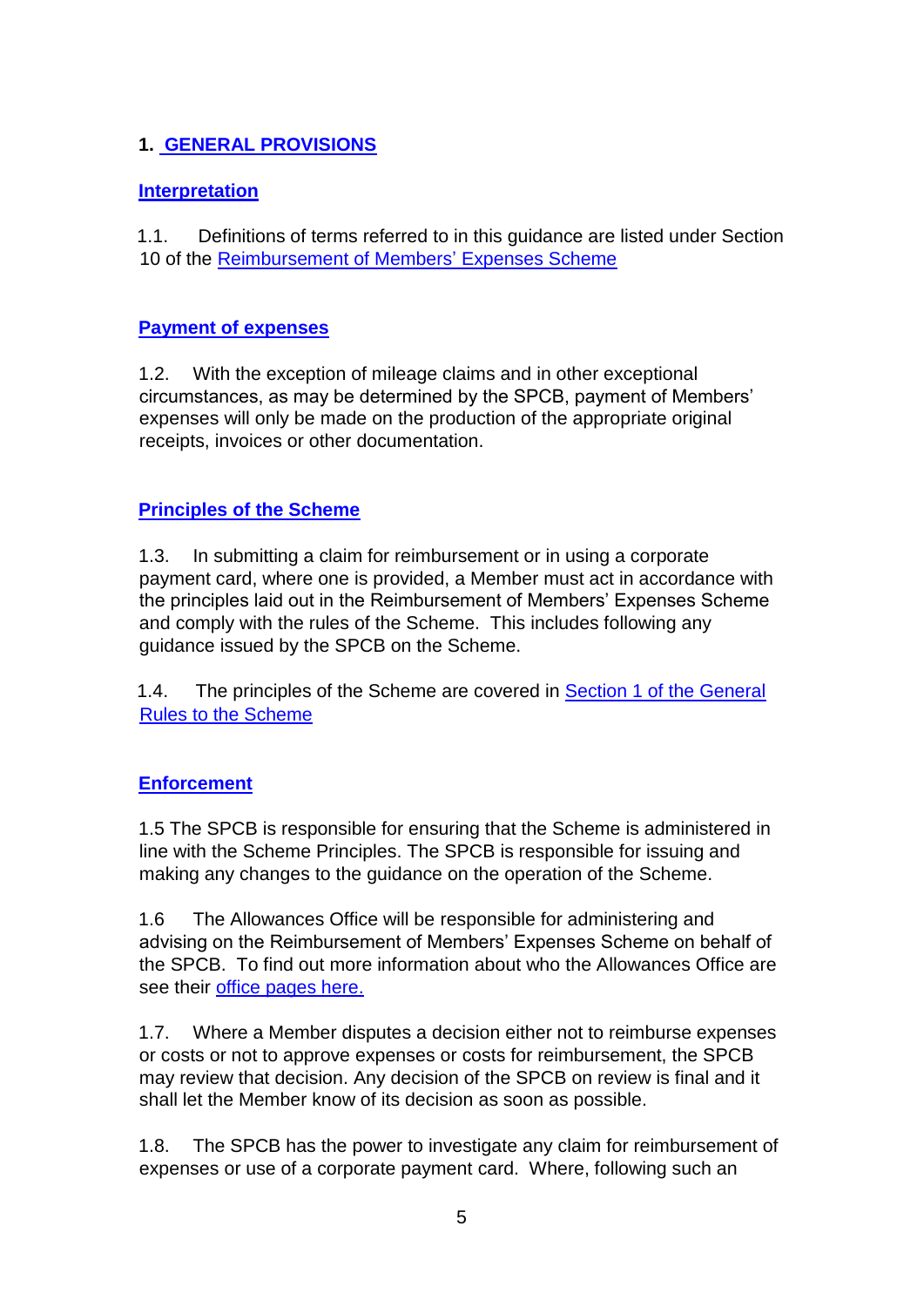# **1. GENERAL PROVISIONS**

# **Interpretation**

1.1. Definitions of terms referred to in this guidance are listed under Section 10 of the [Reimbursement of Members' Expenses Scheme](https://www.parliament.scot/msps/members-expenses)

## **Payment of expenses**

1.2. With the exception of mileage claims and in other exceptional circumstances, as may be determined by the SPCB, payment of Members' expenses will only be made on the production of the appropriate original receipts, invoices or other documentation.

# **Principles of the Scheme**

1.3. In submitting a claim for reimbursement or in using a corporate payment card, where one is provided, a Member must act in accordance with the principles laid out in the Reimbursement of Members' Expenses Scheme and comply with the rules of the Scheme. This includes following any guidance issued by the SPCB on the Scheme.

1.4. The principles of the Scheme are covered in [Section 1 of the General](https://www.parliament.scot/msps/members-expenses) [Rules to the Scheme](https://www.parliament.scot/msps/members-expenses)

## **Enforcement**

1.5 The SPCB is responsible for ensuring that the Scheme is administered in line with the Scheme Principles. The SPCB is responsible for issuing and making any changes to the guidance on the operation of the Scheme.

1.6 The Allowances Office will be responsible for administering and advising on the Reimbursement of Members' Expenses Scheme on behalf of the SPCB. To find out more information about who the Allowances Office are see their [office pages here.](https://archive2021.parliament.scot/intranet/23712.aspx)

1.7. Where a Member disputes a decision either not to reimburse expenses or costs or not to approve expenses or costs for reimbursement, the SPCB may review that decision. Any decision of the SPCB on review is final and it shall let the Member know of its decision as soon as possible.

1.8. The SPCB has the power to investigate any claim for reimbursement of expenses or use of a corporate payment card. Where, following such an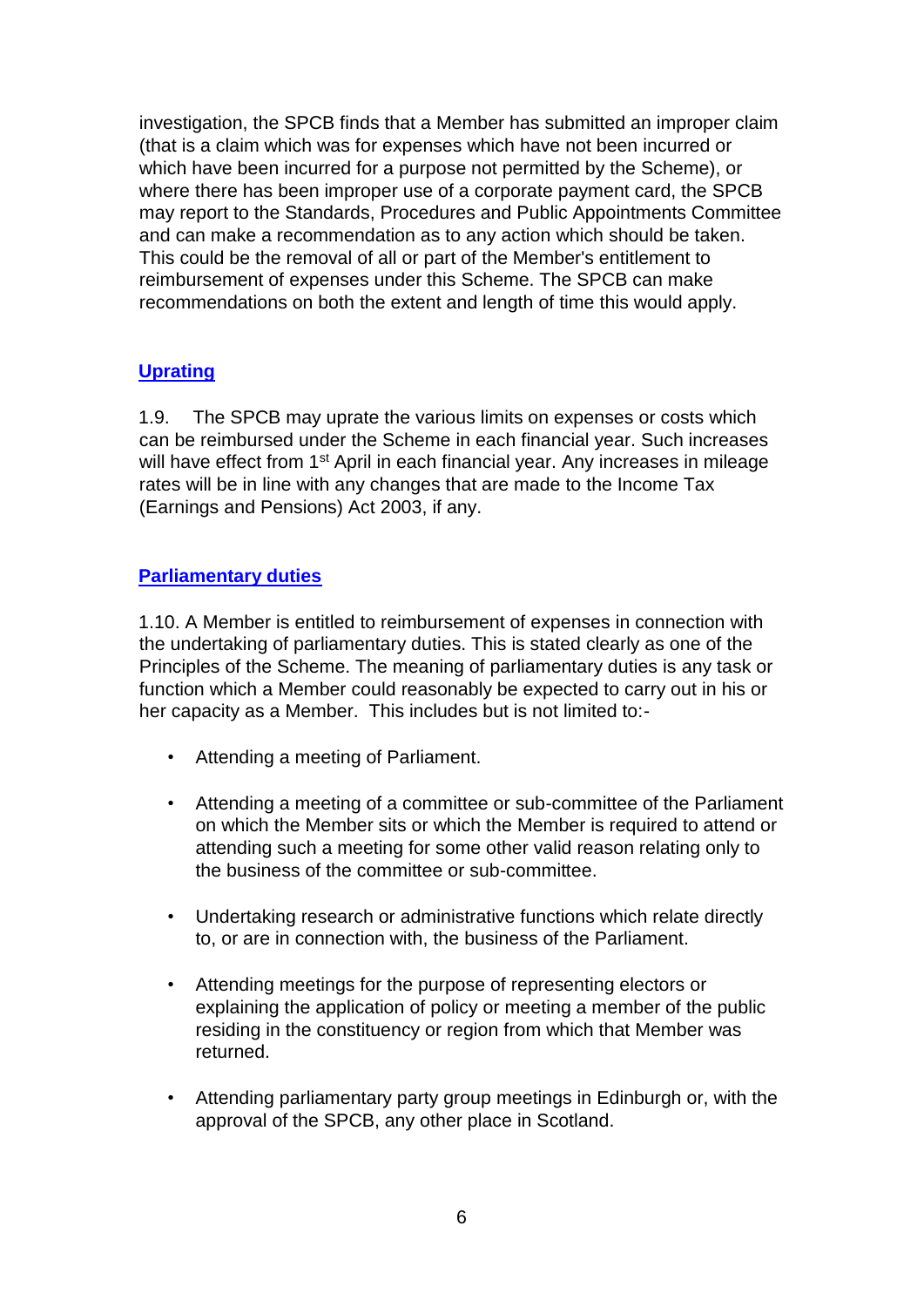investigation, the SPCB finds that a Member has submitted an improper claim (that is a claim which was for expenses which have not been incurred or which have been incurred for a purpose not permitted by the Scheme), or where there has been improper use of a corporate payment card, the SPCB may report to the Standards, Procedures and Public Appointments Committee and can make a recommendation as to any action which should be taken. This could be the removal of all or part of the Member's entitlement to reimbursement of expenses under this Scheme. The SPCB can make recommendations on both the extent and length of time this would apply.

# **Uprating**

1.9. The SPCB may uprate the various limits on expenses or costs which can be reimbursed under the Scheme in each financial year. Such increases will have effect from 1<sup>st</sup> April in each financial year. Any increases in mileage rates will be in line with any changes that are made to the Income Tax (Earnings and Pensions) Act 2003, if any.

## **Parliamentary duties**

1.10. A Member is entitled to reimbursement of expenses in connection with the undertaking of parliamentary duties. This is stated clearly as one of the Principles of the Scheme. The meaning of parliamentary duties is any task or function which a Member could reasonably be expected to carry out in his or her capacity as a Member. This includes but is not limited to:-

- Attending a meeting of Parliament.
- Attending a meeting of a committee or sub-committee of the Parliament on which the Member sits or which the Member is required to attend or attending such a meeting for some other valid reason relating only to the business of the committee or sub-committee.
- Undertaking research or administrative functions which relate directly to, or are in connection with, the business of the Parliament.
- Attending meetings for the purpose of representing electors or explaining the application of policy or meeting a member of the public residing in the constituency or region from which that Member was returned.
- Attending parliamentary party group meetings in Edinburgh or, with the approval of the SPCB, any other place in Scotland.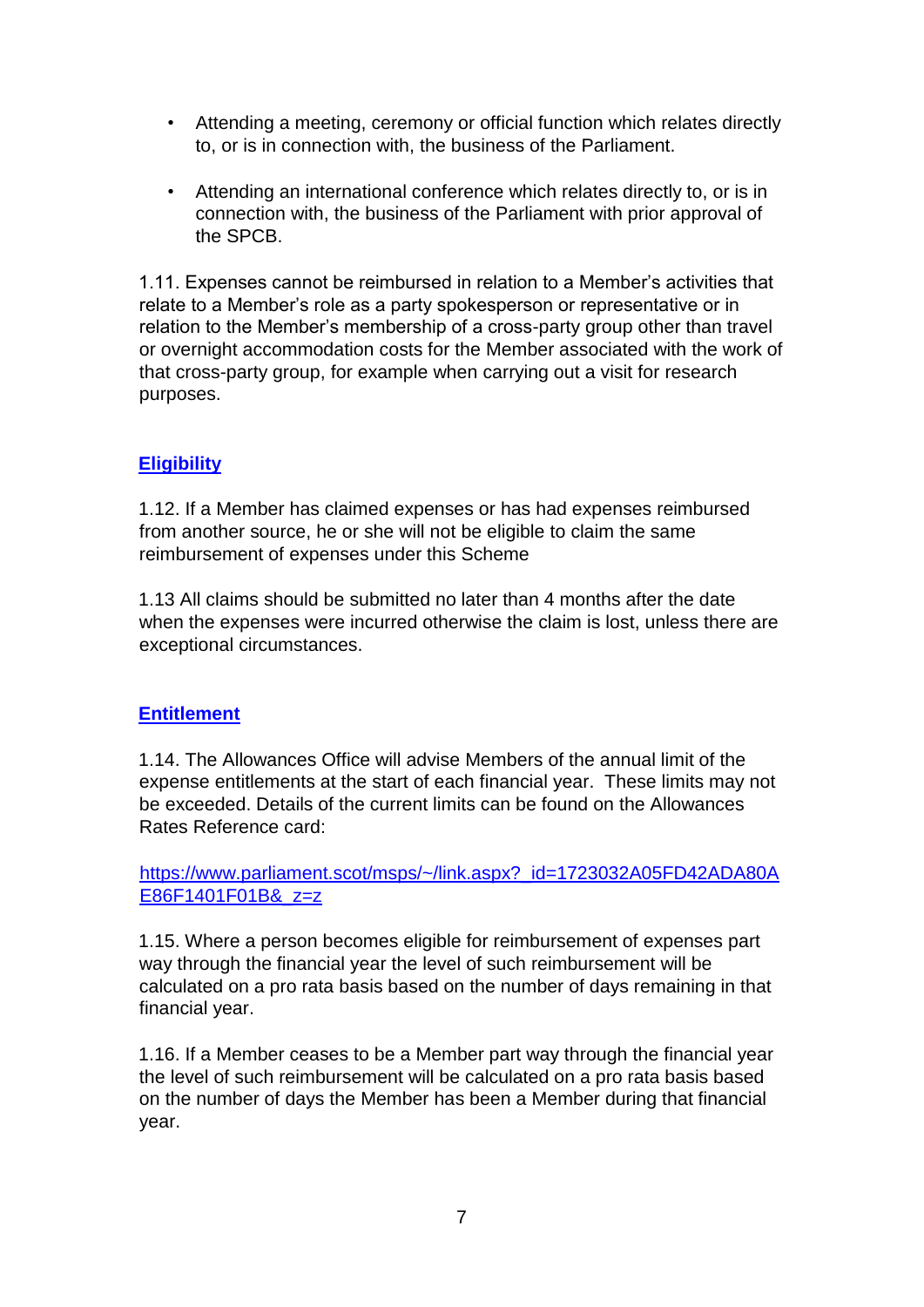- Attending a meeting, ceremony or official function which relates directly to, or is in connection with, the business of the Parliament.
- Attending an international conference which relates directly to, or is in connection with, the business of the Parliament with prior approval of the SPCB.

1.11. Expenses cannot be reimbursed in relation to a Member's activities that relate to a Member's role as a party spokesperson or representative or in relation to the Member's membership of a cross-party group other than travel or overnight accommodation costs for the Member associated with the work of that cross-party group, for example when carrying out a visit for research purposes.

## **Eligibility**

1.12. If a Member has claimed expenses or has had expenses reimbursed from another source, he or she will not be eligible to claim the same reimbursement of expenses under this Scheme

1.13 All claims should be submitted no later than 4 months after the date when the expenses were incurred otherwise the claim is lost, unless there are exceptional circumstances.

## **Entitlement**

1.14. The Allowances Office will advise Members of the annual limit of the expense entitlements at the start of each financial year. These limits may not be exceeded. Details of the current limits can be found on the Allowances Rates Reference card:

https://www.parliament.scot/msps/~/link.aspx?\_id=1723032A05FD42ADA80A E86F1401F01B&\_z=z

1.15. Where a person becomes eligible for reimbursement of expenses part way through the financial year the level of such reimbursement will be calculated on a pro rata basis based on the number of days remaining in that financial year.

1.16. If a Member ceases to be a Member part way through the financial year the level of such reimbursement will be calculated on a pro rata basis based on the number of days the Member has been a Member during that financial year.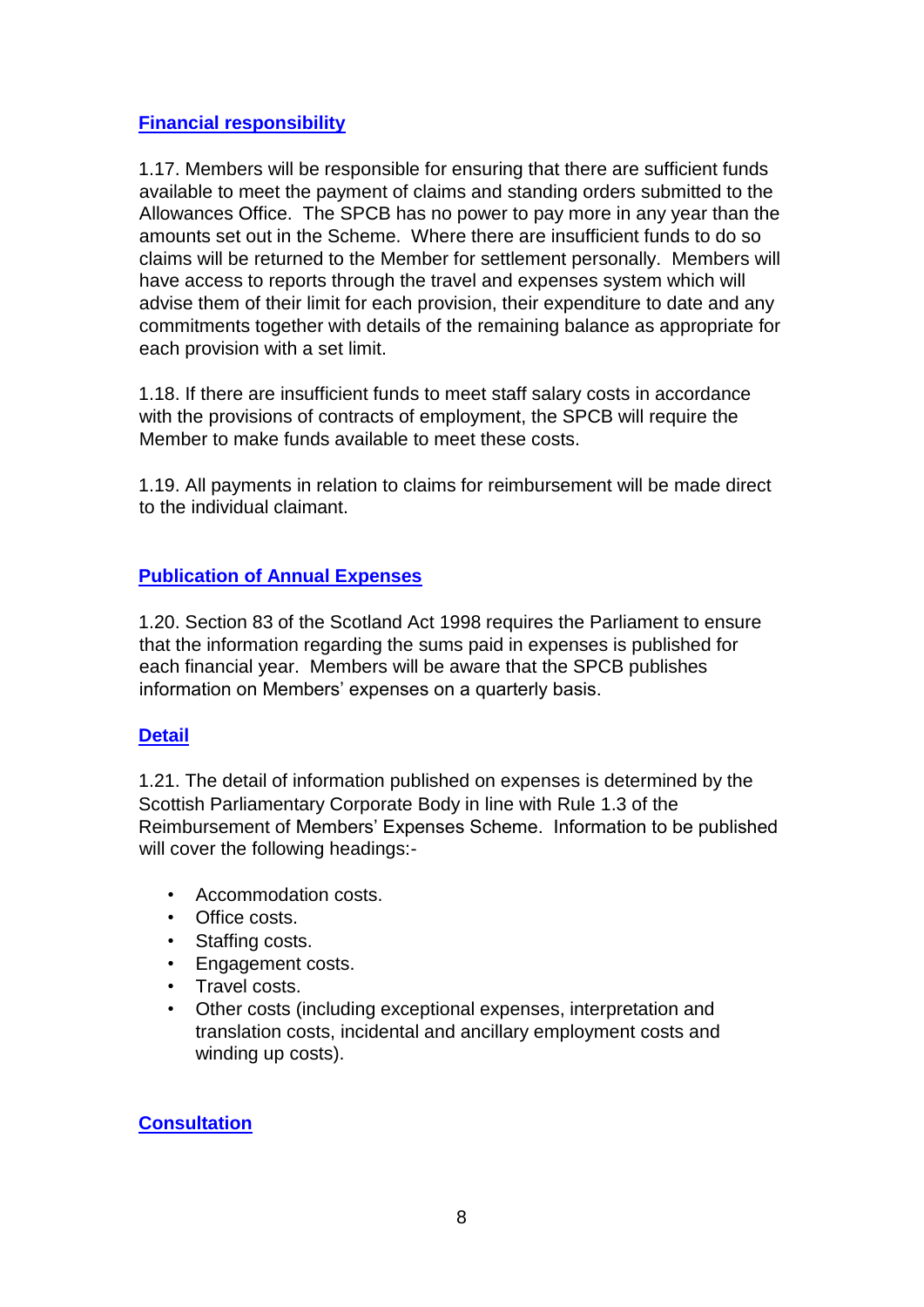## **Financial responsibility**

1.17. Members will be responsible for ensuring that there are sufficient funds available to meet the payment of claims and standing orders submitted to the Allowances Office. The SPCB has no power to pay more in any year than the amounts set out in the Scheme. Where there are insufficient funds to do so claims will be returned to the Member for settlement personally. Members will have access to reports through the travel and expenses system which will advise them of their limit for each provision, their expenditure to date and any commitments together with details of the remaining balance as appropriate for each provision with a set limit.

1.18. If there are insufficient funds to meet staff salary costs in accordance with the provisions of contracts of employment, the SPCB will require the Member to make funds available to meet these costs.

1.19. All payments in relation to claims for reimbursement will be made direct to the individual claimant.

# **Publication of Annual Expenses**

1.20. Section 83 of the Scotland Act 1998 requires the Parliament to ensure that the information regarding the sums paid in expenses is published for each financial year. Members will be aware that the SPCB publishes information on Members' expenses on a quarterly basis.

## **Detail**

1.21. The detail of information published on expenses is determined by the Scottish Parliamentary Corporate Body in line with Rule 1.3 of the Reimbursement of Members' Expenses Scheme. Information to be published will cover the following headings:-

- Accommodation costs.
- Office costs.
- Staffing costs.
- Engagement costs.
- Travel costs.
- Other costs (including exceptional expenses, interpretation and translation costs, incidental and ancillary employment costs and winding up costs).

## **Consultation**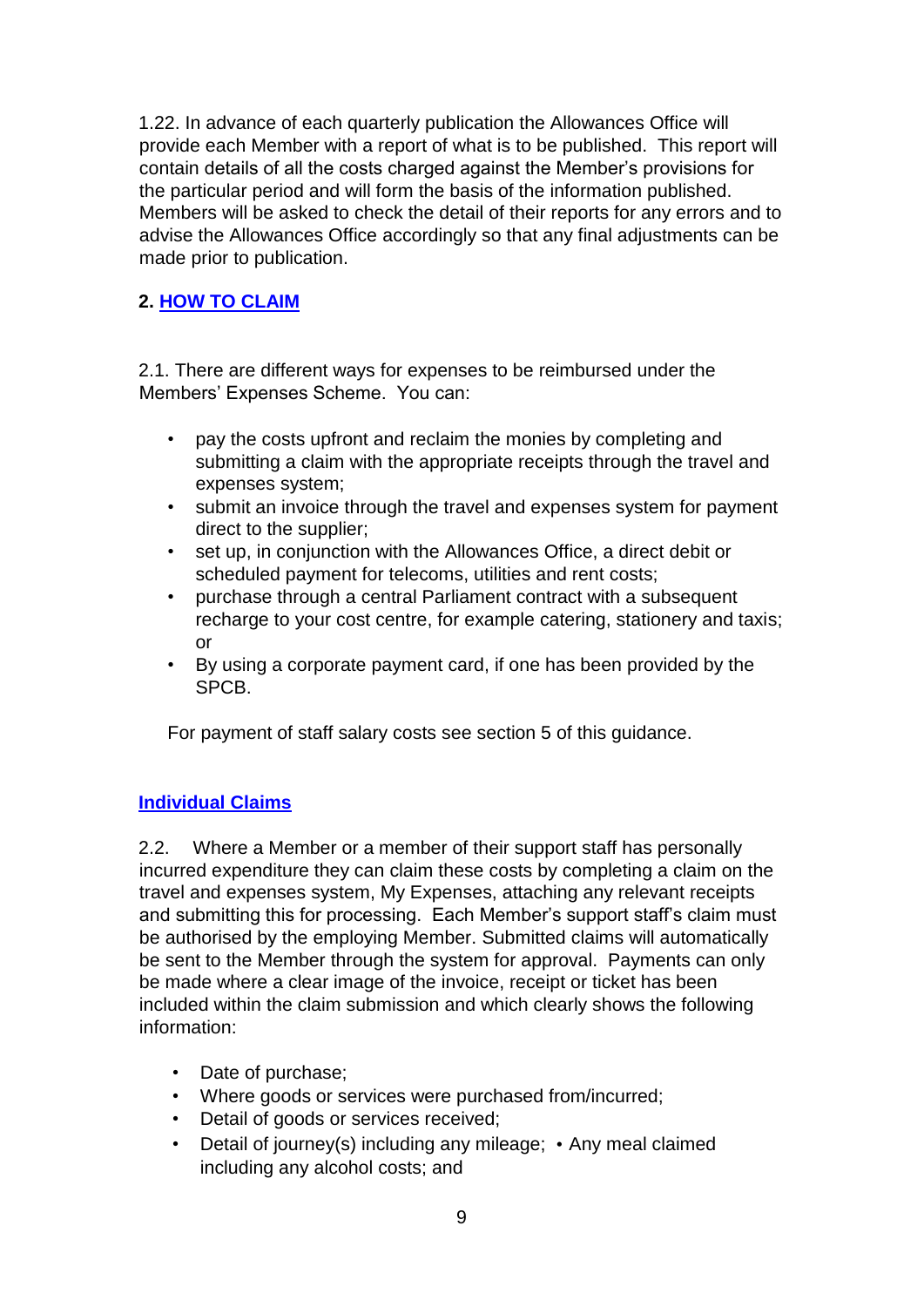1.22. In advance of each quarterly publication the Allowances Office will provide each Member with a report of what is to be published. This report will contain details of all the costs charged against the Member's provisions for the particular period and will form the basis of the information published. Members will be asked to check the detail of their reports for any errors and to advise the Allowances Office accordingly so that any final adjustments can be made prior to publication.

## **2. HOW TO CLAIM**

2.1. There are different ways for expenses to be reimbursed under the Members' Expenses Scheme. You can:

- pay the costs upfront and reclaim the monies by completing and submitting a claim with the appropriate receipts through the travel and expenses system;
- submit an invoice through the travel and expenses system for payment direct to the supplier;
- set up, in conjunction with the Allowances Office, a direct debit or scheduled payment for telecoms, utilities and rent costs;
- purchase through a central Parliament contract with a subsequent recharge to your cost centre, for example catering, stationery and taxis; or
- By using a corporate payment card, if one has been provided by the SPCB.

For payment of staff salary costs see section 5 of this guidance.

## **Individual Claims**

2.2. Where a Member or a member of their support staff has personally incurred expenditure they can claim these costs by completing a claim on the travel and expenses system, My Expenses, attaching any relevant receipts and submitting this for processing. Each Member's support staff's claim must be authorised by the employing Member. Submitted claims will automatically be sent to the Member through the system for approval. Payments can only be made where a clear image of the invoice, receipt or ticket has been included within the claim submission and which clearly shows the following information:

- Date of purchase;
- Where goods or services were purchased from/incurred;
- Detail of goods or services received;
- Detail of journey(s) including any mileage; Any meal claimed including any alcohol costs; and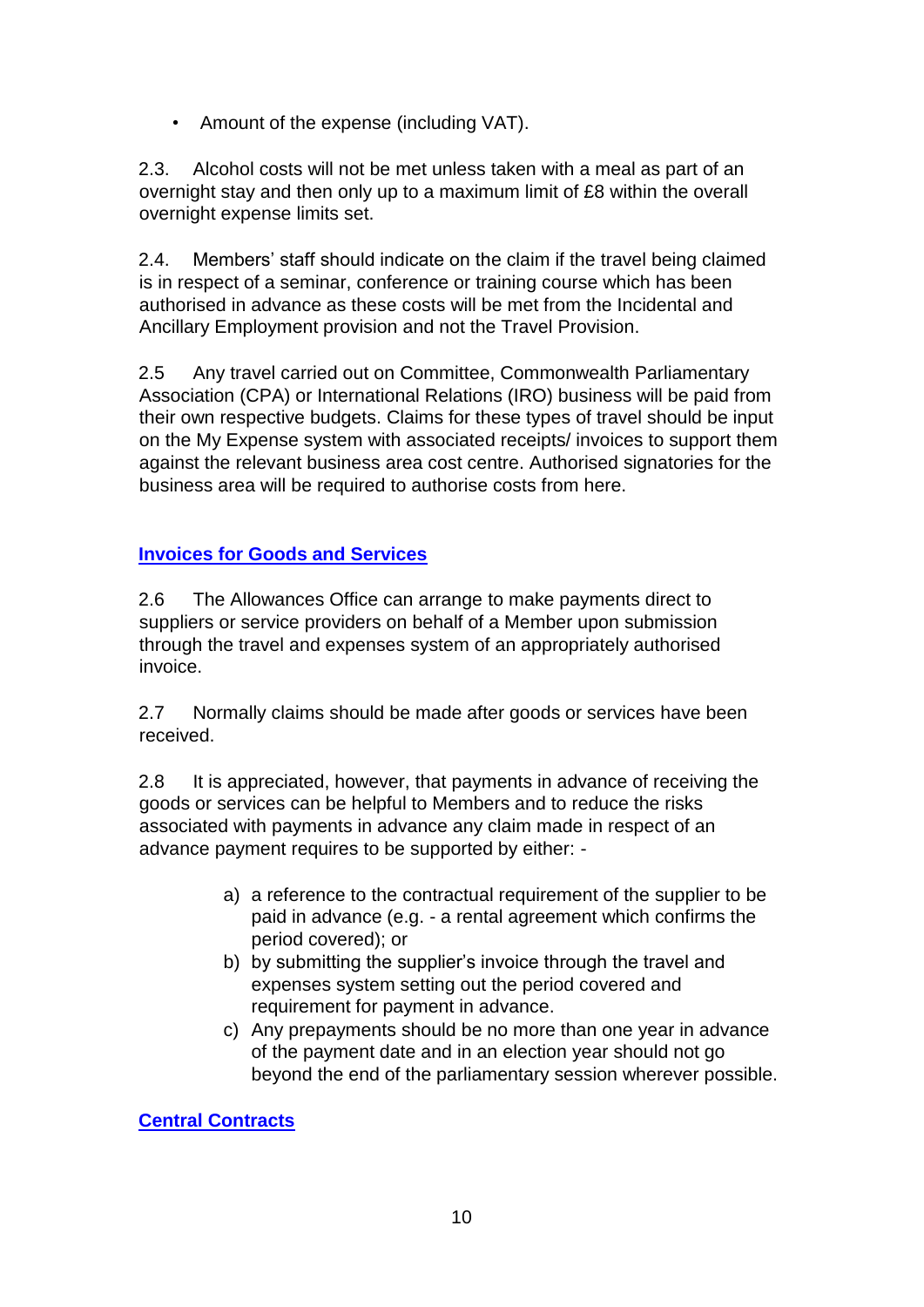• Amount of the expense (including VAT).

2.3. Alcohol costs will not be met unless taken with a meal as part of an overnight stay and then only up to a maximum limit of £8 within the overall overnight expense limits set.

2.4. Members' staff should indicate on the claim if the travel being claimed is in respect of a seminar, conference or training course which has been authorised in advance as these costs will be met from the Incidental and Ancillary Employment provision and not the Travel Provision.

2.5 Any travel carried out on Committee, Commonwealth Parliamentary Association (CPA) or International Relations (IRO) business will be paid from their own respective budgets. Claims for these types of travel should be input on the My Expense system with associated receipts/ invoices to support them against the relevant business area cost centre. Authorised signatories for the business area will be required to authorise costs from here.

# **Invoices for Goods and Services**

2.6 The Allowances Office can arrange to make payments direct to suppliers or service providers on behalf of a Member upon submission through the travel and expenses system of an appropriately authorised invoice.

2.7 Normally claims should be made after goods or services have been received.

2.8 It is appreciated, however, that payments in advance of receiving the goods or services can be helpful to Members and to reduce the risks associated with payments in advance any claim made in respect of an advance payment requires to be supported by either: -

- a) a reference to the contractual requirement of the supplier to be paid in advance (e.g. - a rental agreement which confirms the period covered); or
- b) by submitting the supplier's invoice through the travel and expenses system setting out the period covered and requirement for payment in advance.
- c) Any prepayments should be no more than one year in advance of the payment date and in an election year should not go beyond the end of the parliamentary session wherever possible.

**Central Contracts**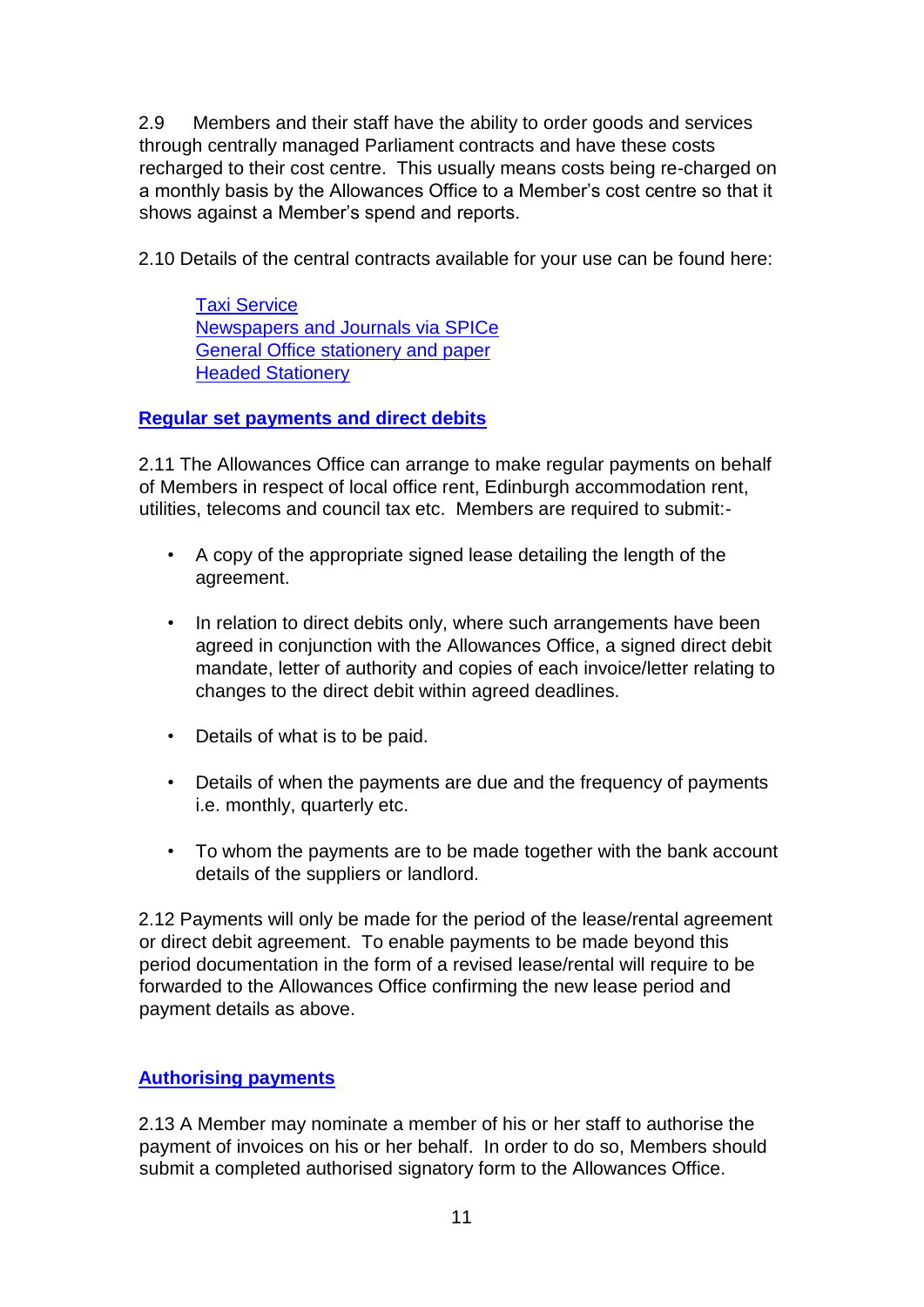2.9 Members and their staff have the ability to order goods and services through centrally managed Parliament contracts and have these costs recharged to their cost centre. This usually means costs being re-charged on a monthly basis by the Allowances Office to a Member's cost centre so that it shows against a Member's spend and reports.

2.10 Details of the central contracts available for your use can be found here:

[Taxi Service](https://www.parliament.scot/intranet/17162.aspx) [Newspapers and Journals via SPICe](https://archive2021.parliament.scot/75187.aspx) [General Office stationery and paper](https://archive2021.parliament.scot/msps/17665.aspx) [Headed Stationery](https://www.parliament.scot/msps/21135.aspx)

#### **Regular set payments and direct debits**

2.11 The Allowances Office can arrange to make regular payments on behalf of Members in respect of local office rent, Edinburgh accommodation rent, utilities, telecoms and council tax etc. Members are required to submit:-

- A copy of the appropriate signed lease detailing the length of the agreement.
- In relation to direct debits only, where such arrangements have been agreed in conjunction with the Allowances Office, a signed direct debit mandate, letter of authority and copies of each invoice/letter relating to changes to the direct debit within agreed deadlines.
- Details of what is to be paid.
- Details of when the payments are due and the frequency of payments i.e. monthly, quarterly etc.
- To whom the payments are to be made together with the bank account details of the suppliers or landlord.

2.12 Payments will only be made for the period of the lease/rental agreement or direct debit agreement. To enable payments to be made beyond this period documentation in the form of a revised lease/rental will require to be forwarded to the Allowances Office confirming the new lease period and payment details as above.

## **Authorising payments**

2.13 A Member may nominate a member of his or her staff to authorise the payment of invoices on his or her behalf. In order to do so, Members should submit a completed authorised signatory form to the Allowances Office.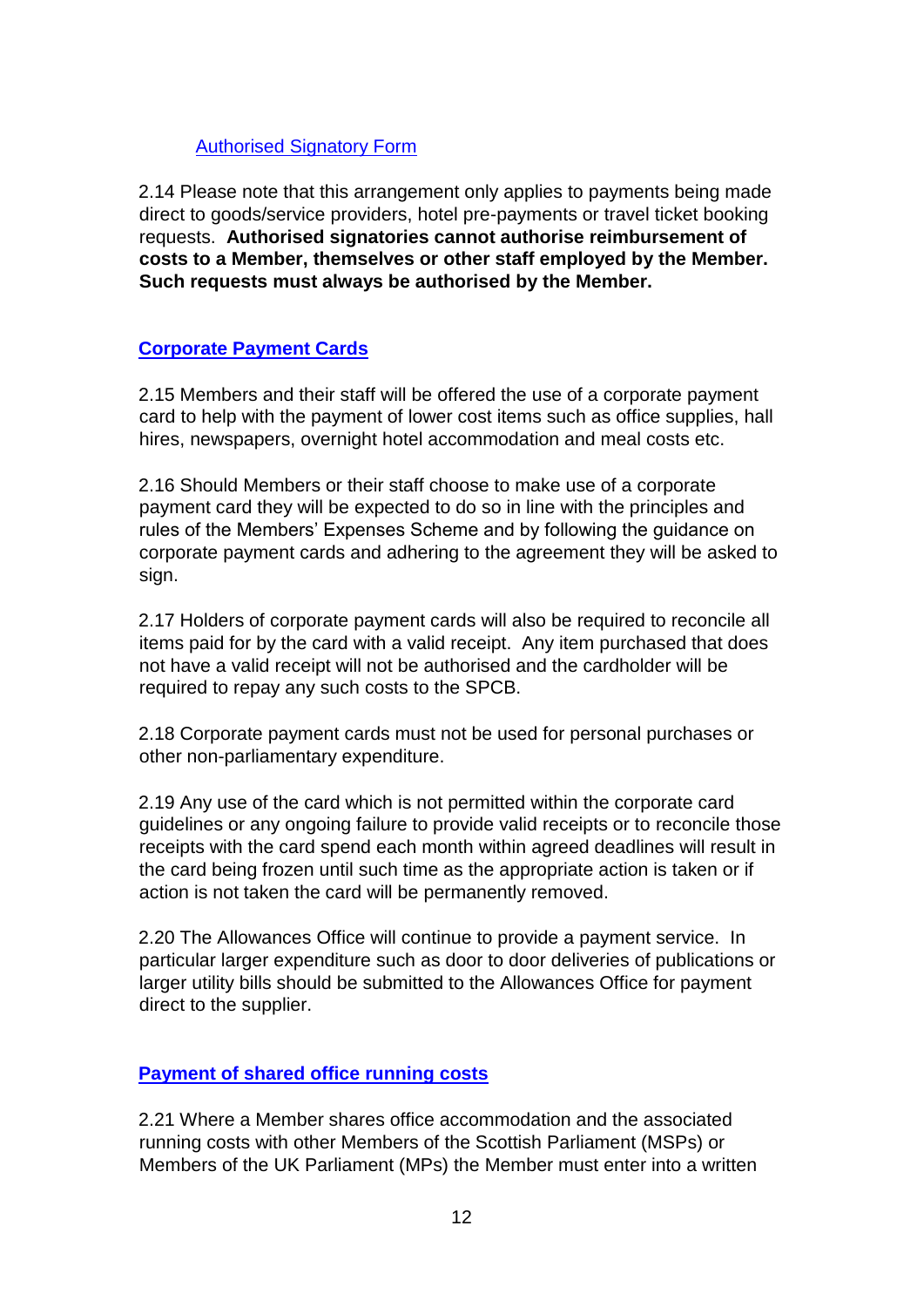## [Authorised Signatory Form](https://archive2021.parliament.scot/msps/26815.aspx)

2.14 Please note that this arrangement only applies to payments being made direct to goods/service providers, hotel pre-payments or travel ticket booking requests. **Authorised signatories cannot authorise reimbursement of costs to a Member, themselves or other staff employed by the Member. Such requests must always be authorised by the Member.**

## **Corporate Payment Cards**

2.15 Members and their staff will be offered the use of a corporate payment card to help with the payment of lower cost items such as office supplies, hall hires, newspapers, overnight hotel accommodation and meal costs etc.

2.16 Should Members or their staff choose to make use of a corporate payment card they will be expected to do so in line with the principles and rules of the Members' Expenses Scheme and by following the guidance on corporate payment cards and adhering to the agreement they will be asked to sign.

2.17 Holders of corporate payment cards will also be required to reconcile all items paid for by the card with a valid receipt. Any item purchased that does not have a valid receipt will not be authorised and the cardholder will be required to repay any such costs to the SPCB.

2.18 Corporate payment cards must not be used for personal purchases or other non-parliamentary expenditure.

2.19 Any use of the card which is not permitted within the corporate card guidelines or any ongoing failure to provide valid receipts or to reconcile those receipts with the card spend each month within agreed deadlines will result in the card being frozen until such time as the appropriate action is taken or if action is not taken the card will be permanently removed.

2.20 The Allowances Office will continue to provide a payment service. In particular larger expenditure such as door to door deliveries of publications or larger utility bills should be submitted to the Allowances Office for payment direct to the supplier.

## **Payment of shared office running costs**

2.21 Where a Member shares office accommodation and the associated running costs with other Members of the Scottish Parliament (MSPs) or Members of the UK Parliament (MPs) the Member must enter into a written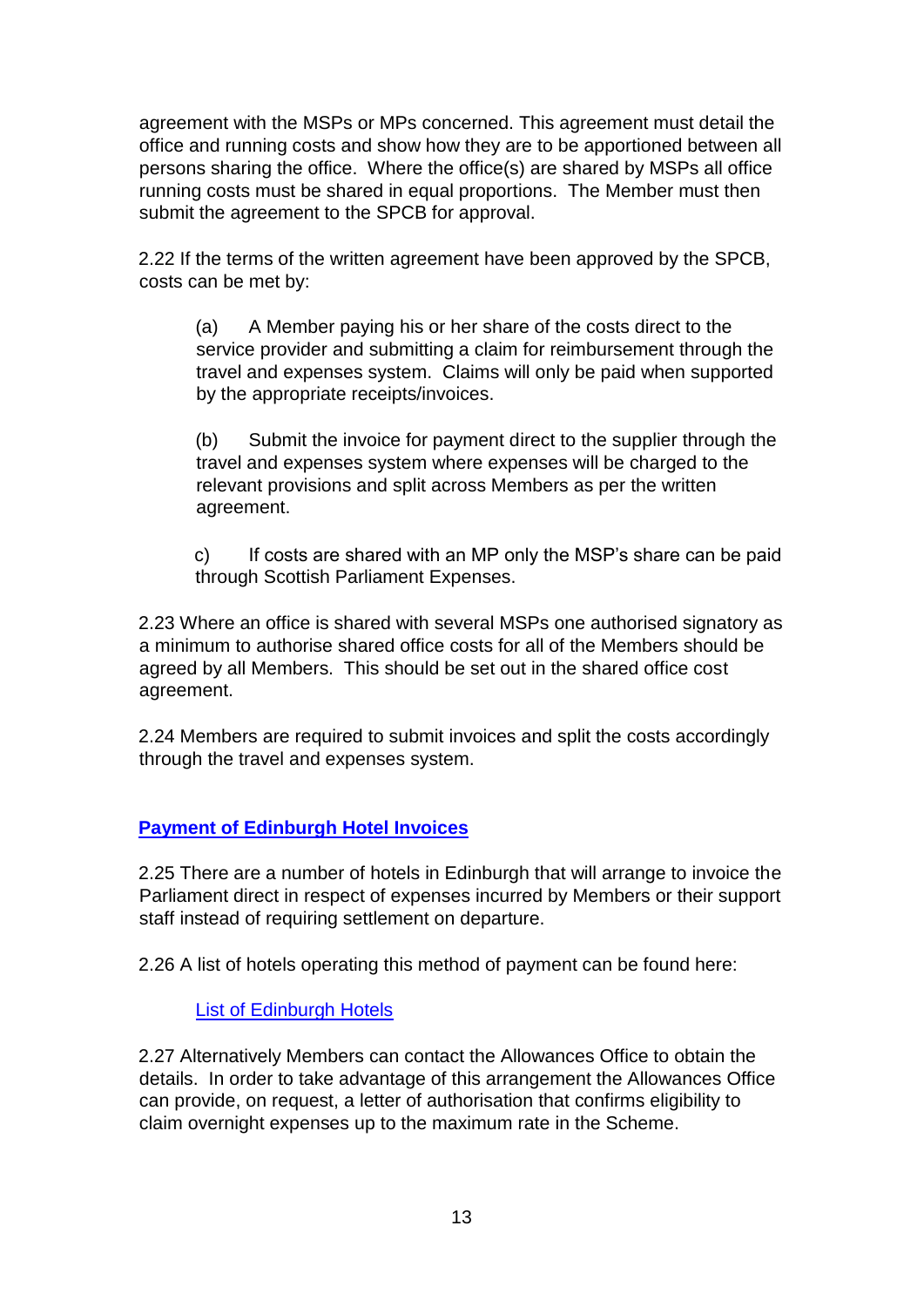agreement with the MSPs or MPs concerned. This agreement must detail the office and running costs and show how they are to be apportioned between all persons sharing the office. Where the office(s) are shared by MSPs all office running costs must be shared in equal proportions. The Member must then submit the agreement to the SPCB for approval.

2.22 If the terms of the written agreement have been approved by the SPCB, costs can be met by:

(a) A Member paying his or her share of the costs direct to the service provider and submitting a claim for reimbursement through the travel and expenses system. Claims will only be paid when supported by the appropriate receipts/invoices.

(b) Submit the invoice for payment direct to the supplier through the travel and expenses system where expenses will be charged to the relevant provisions and split across Members as per the written agreement.

c) If costs are shared with an MP only the MSP's share can be paid through Scottish Parliament Expenses.

2.23 Where an office is shared with several MSPs one authorised signatory as a minimum to authorise shared office costs for all of the Members should be agreed by all Members. This should be set out in the shared office cost agreement.

2.24 Members are required to submit invoices and split the costs accordingly through the travel and expenses system.

## **Payment of Edinburgh Hotel Invoices**

2.25 There are a number of hotels in Edinburgh that will arrange to invoice the Parliament direct in respect of expenses incurred by Members or their support staff instead of requiring settlement on departure.

2.26 A list of hotels operating this method of payment can be found here:

#### [List of Edinburgh Hotels](https://archive2021.parliament.scot/msps/25570.aspx)

2.27 Alternatively Members can contact the Allowances Office to obtain the details. In order to take advantage of this arrangement the Allowances Office can provide, on request, a letter of authorisation that confirms eligibility to claim overnight expenses up to the maximum rate in the Scheme.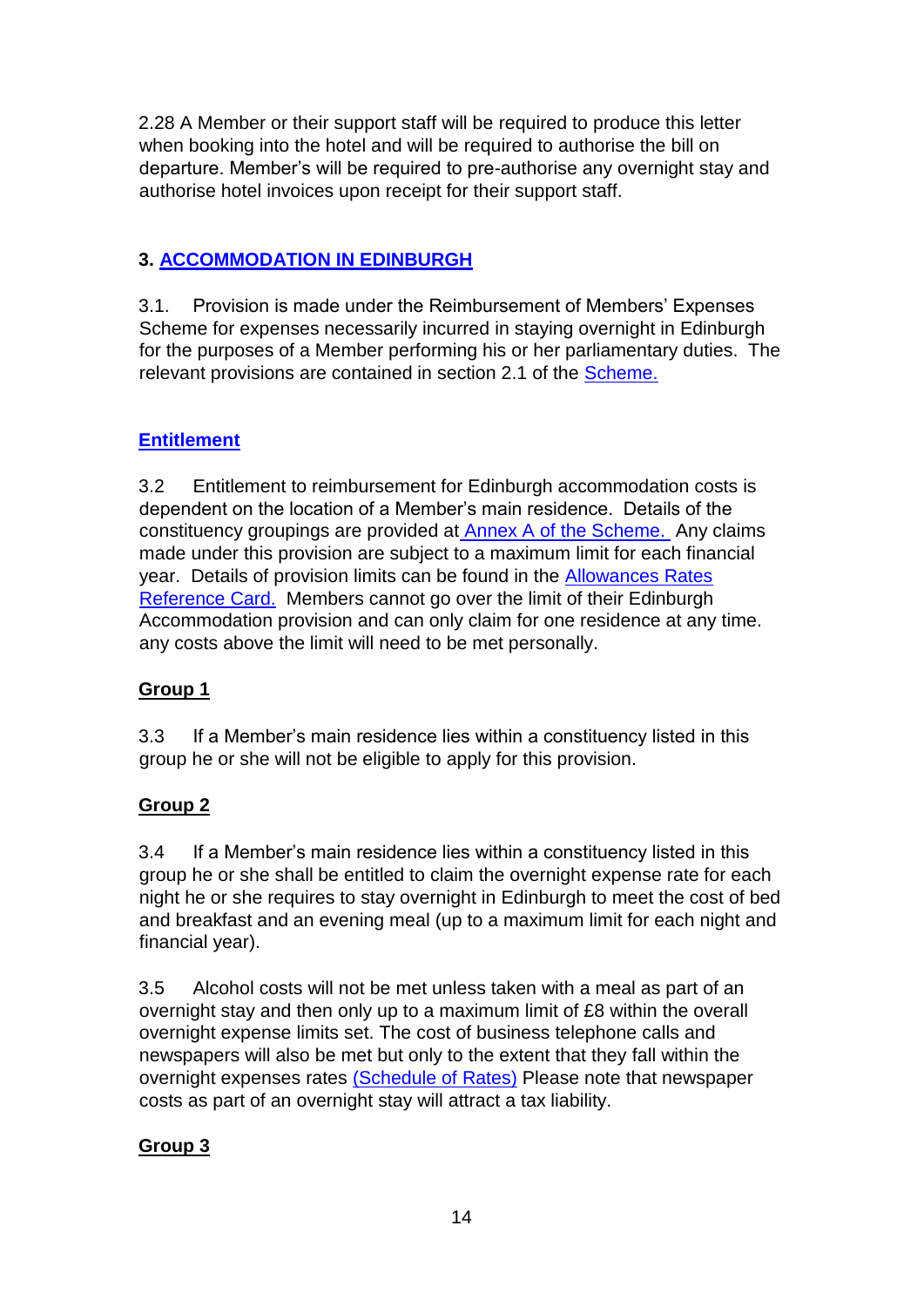2.28 A Member or their support staff will be required to produce this letter when booking into the hotel and will be required to authorise the bill on departure. Member's will be required to pre-authorise any overnight stay and authorise hotel invoices upon receipt for their support staff.

# **3. ACCOMMODATION IN EDINBURGH**

3.1. Provision is made under the Reimbursement of Members' Expenses Scheme for expenses necessarily incurred in staying overnight in Edinburgh for the purposes of a Member performing his or her parliamentary duties. The relevant provisions are contained in section 2.1 of the [Scheme.](https://www.parliament.scot/msps/members-expenses)

# **Entitlement**

3.2 Entitlement to reimbursement for Edinburgh accommodation costs is dependent on the location of a Member's main residence. Details of the constituency groupings are provided at [Annex A](https://www.parliament.scot/msps/members-expenses) [of the Scheme.](https://www.parliament.scot/msps/members-expenses) Any claims made under this provision are subject to a maximum limit for each financial year. Details of provision limits can be found in the [Allowances Rates](https://www.parliament.scot/msps/members-expenses/allowances-rates) [Reference Card.](https://www.parliament.scot/msps/members-expenses/allowances-rates) Members cannot go over the limit of their Edinburgh Accommodation provision and can only claim for one residence at any time. any costs above the limit will need to be met personally.

# **Group 1**

3.3 If a Member's main residence lies within a constituency listed in this group he or she will not be eligible to apply for this provision.

# **Group 2**

3.4 If a Member's main residence lies within a constituency listed in this group he or she shall be entitled to claim the overnight expense rate for each night he or she requires to stay overnight in Edinburgh to meet the cost of bed and breakfast and an evening meal (up to a maximum limit for each night and financial year).

3.5 Alcohol costs will not be met unless taken with a meal as part of an overnight stay and then only up to a maximum limit of £8 within the overall overnight expense limits set. The cost of business telephone calls and newspapers will also be met but only to the extent that they fall within the overnight expenses rates [\(Schedule of Rates\)](https://www.parliament.scot/msps/members-expenses/allowances-rates) Please note that newspaper costs as part of an overnight stay will attract a tax liability.

# **Group 3**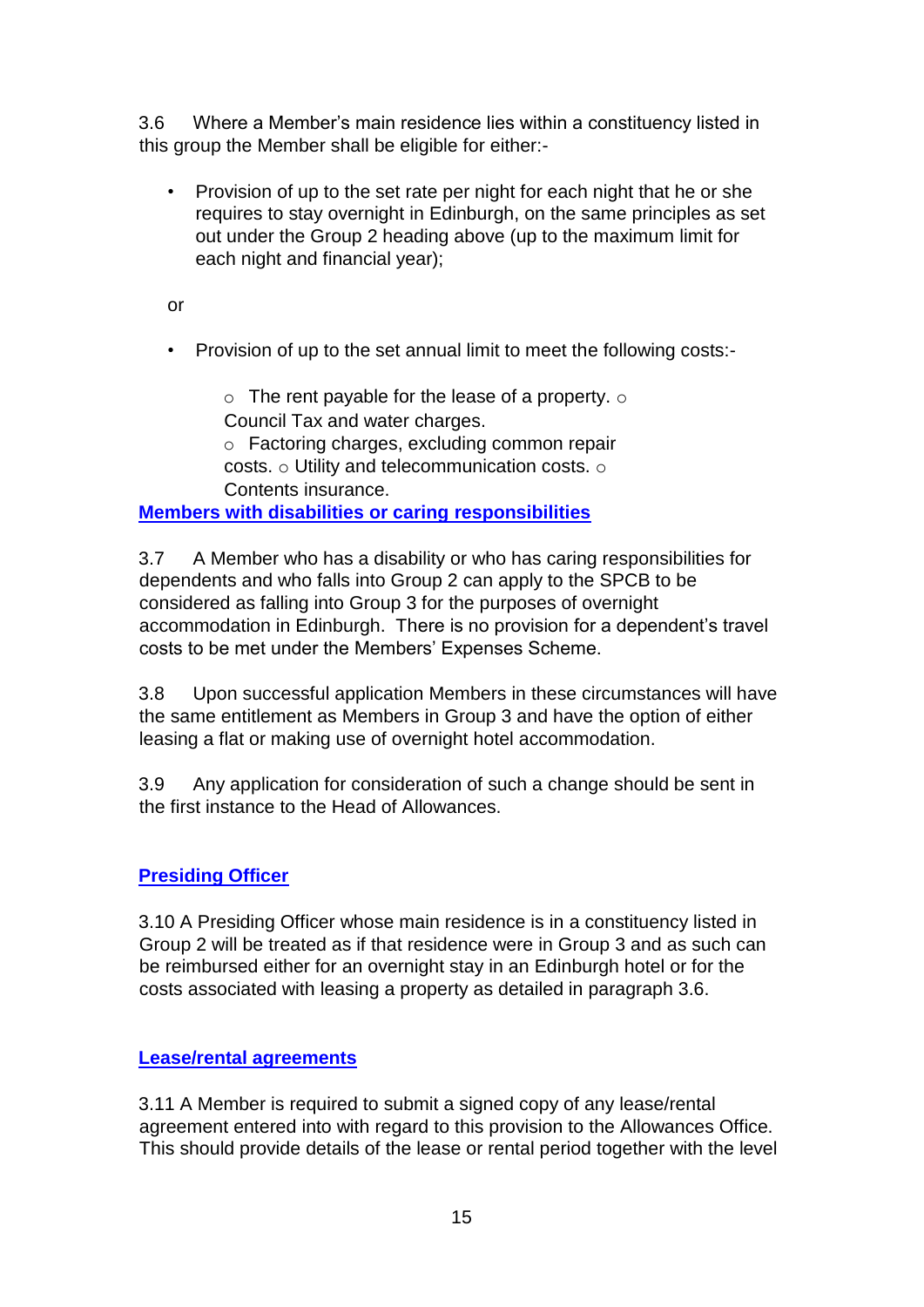3.6 Where a Member's main residence lies within a constituency listed in this group the Member shall be eligible for either:-

• Provision of up to the set rate per night for each night that he or she requires to stay overnight in Edinburgh, on the same principles as set out under the Group 2 heading above (up to the maximum limit for each night and financial year);

or

• Provision of up to the set annual limit to meet the following costs:-

 $\circ$  The rent payable for the lease of a property.  $\circ$ Council Tax and water charges.

o Factoring charges, excluding common repair costs. o Utility and telecommunication costs. o Contents insurance.

**Members with disabilities or caring responsibilities**

3.7 A Member who has a disability or who has caring responsibilities for dependents and who falls into Group 2 can apply to the SPCB to be considered as falling into Group 3 for the purposes of overnight accommodation in Edinburgh. There is no provision for a dependent's travel costs to be met under the Members' Expenses Scheme.

3.8 Upon successful application Members in these circumstances will have the same entitlement as Members in Group 3 and have the option of either leasing a flat or making use of overnight hotel accommodation.

3.9 Any application for consideration of such a change should be sent in the first instance to the Head of Allowances.

# **Presiding Officer**

3.10 A Presiding Officer whose main residence is in a constituency listed in Group 2 will be treated as if that residence were in Group 3 and as such can be reimbursed either for an overnight stay in an Edinburgh hotel or for the costs associated with leasing a property as detailed in paragraph 3.6.

## **Lease/rental agreements**

3.11 A Member is required to submit a signed copy of any lease/rental agreement entered into with regard to this provision to the Allowances Office. This should provide details of the lease or rental period together with the level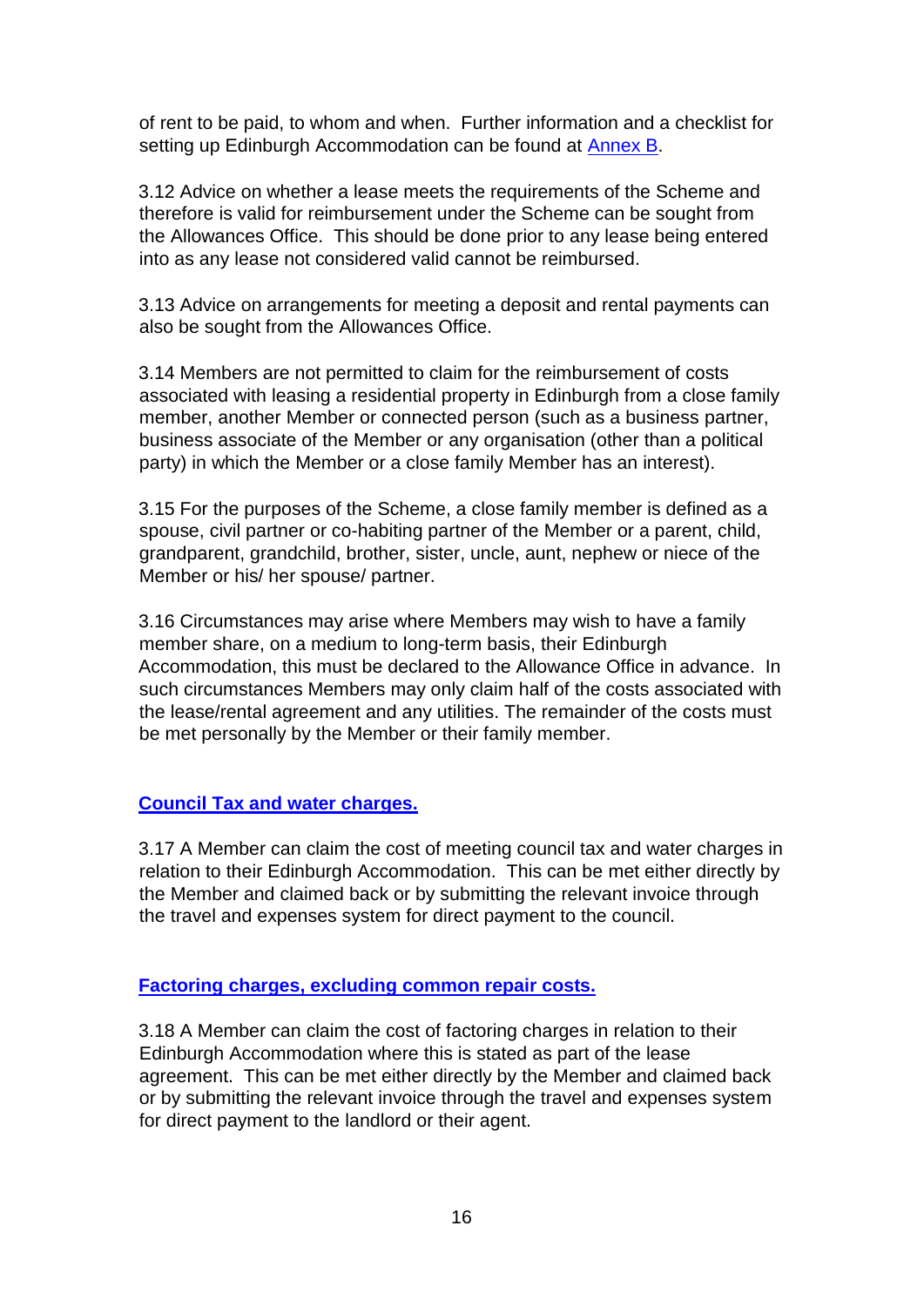of rent to be paid, to whom and when. Further information and a checklist for setting up Edinburgh Accommodation can be found at Annex B.

3.12 Advice on whether a lease meets the requirements of the Scheme and therefore is valid for reimbursement under the Scheme can be sought from the Allowances Office. This should be done prior to any lease being entered into as any lease not considered valid cannot be reimbursed.

3.13 Advice on arrangements for meeting a deposit and rental payments can also be sought from the Allowances Office.

3.14 Members are not permitted to claim for the reimbursement of costs associated with leasing a residential property in Edinburgh from a close family member, another Member or connected person (such as a business partner, business associate of the Member or any organisation (other than a political party) in which the Member or a close family Member has an interest).

3.15 For the purposes of the Scheme, a close family member is defined as a spouse, civil partner or co-habiting partner of the Member or a parent, child, grandparent, grandchild, brother, sister, uncle, aunt, nephew or niece of the Member or his/ her spouse/ partner.

3.16 Circumstances may arise where Members may wish to have a family member share, on a medium to long-term basis, their Edinburgh Accommodation, this must be declared to the Allowance Office in advance. In such circumstances Members may only claim half of the costs associated with the lease/rental agreement and any utilities. The remainder of the costs must be met personally by the Member or their family member.

#### **Council Tax and water charges.**

3.17 A Member can claim the cost of meeting council tax and water charges in relation to their Edinburgh Accommodation. This can be met either directly by the Member and claimed back or by submitting the relevant invoice through the travel and expenses system for direct payment to the council.

#### **Factoring charges, excluding common repair costs.**

3.18 A Member can claim the cost of factoring charges in relation to their Edinburgh Accommodation where this is stated as part of the lease agreement. This can be met either directly by the Member and claimed back or by submitting the relevant invoice through the travel and expenses system for direct payment to the landlord or their agent.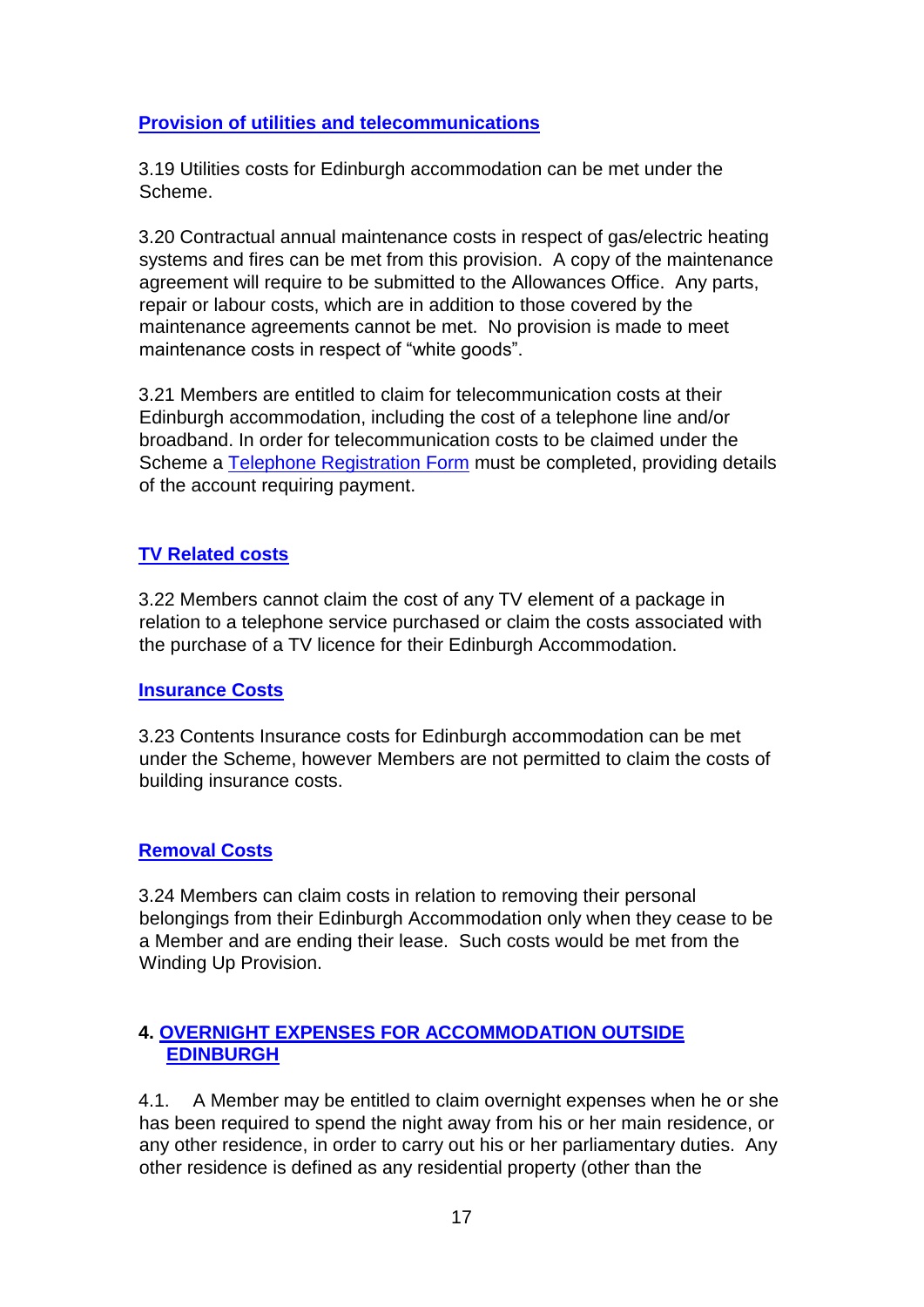## **Provision of utilities and telecommunications**

3.19 Utilities costs for Edinburgh accommodation can be met under the Scheme.

3.20 Contractual annual maintenance costs in respect of gas/electric heating systems and fires can be met from this provision. A copy of the maintenance agreement will require to be submitted to the Allowances Office. Any parts, repair or labour costs, which are in addition to those covered by the maintenance agreements cannot be met. No provision is made to meet maintenance costs in respect of "white goods".

3.21 Members are entitled to claim for telecommunication costs at their Edinburgh accommodation, including the cost of a telephone line and/or broadband. In order for telecommunication costs to be claimed under the Scheme a [Telephone Registration Form](https://archive2021.parliament.scot/msps/26859.aspx) must be completed, providing details of the account requiring payment.

## **TV Related costs**

3.22 Members cannot claim the cost of any TV element of a package in relation to a telephone service purchased or claim the costs associated with the purchase of a TV licence for their Edinburgh Accommodation.

#### **Insurance Costs**

3.23 Contents Insurance costs for Edinburgh accommodation can be met under the Scheme, however Members are not permitted to claim the costs of building insurance costs.

## **Removal Costs**

3.24 Members can claim costs in relation to removing their personal belongings from their Edinburgh Accommodation only when they cease to be a Member and are ending their lease. Such costs would be met from the Winding Up Provision.

# **4. OVERNIGHT EXPENSES FOR ACCOMMODATION OUTSIDE EDINBURGH**

4.1. A Member may be entitled to claim overnight expenses when he or she has been required to spend the night away from his or her main residence, or any other residence, in order to carry out his or her parliamentary duties. Any other residence is defined as any residential property (other than the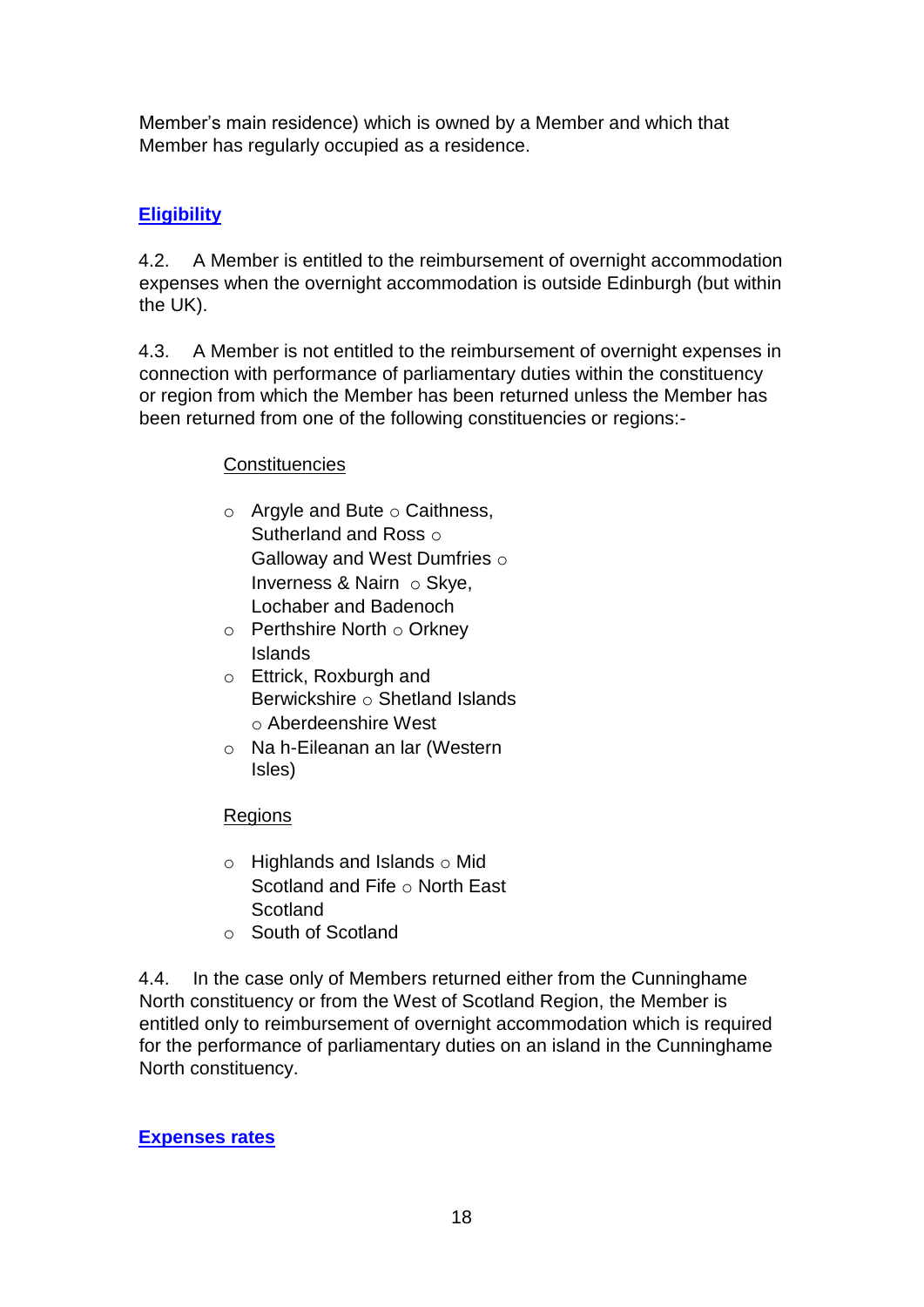Member's main residence) which is owned by a Member and which that Member has regularly occupied as a residence.

# **Eligibility**

4.2. A Member is entitled to the reimbursement of overnight accommodation expenses when the overnight accommodation is outside Edinburgh (but within the UK).

4.3. A Member is not entitled to the reimbursement of overnight expenses in connection with performance of parliamentary duties within the constituency or region from which the Member has been returned unless the Member has been returned from one of the following constituencies or regions:-

# **Constituencies**

- $\circ$  Argyle and Bute  $\circ$  Caithness, Sutherland and Ross of Galloway and West Dumfries o Inverness & Nairn o Skve. Lochaber and Badenoch
- $\circ$  Perthshire North  $\circ$  Orkney Islands
- o Ettrick, Roxburgh and Berwickshire o Shetland Islands o Aberdeenshire West
- o Na h-Eileanan an lar (Western Isles)

# Regions

- $\circ$  Highlands and Islands  $\circ$  Mid Scotland and Fife o North East **Scotland**
- o South of Scotland

4.4. In the case only of Members returned either from the Cunninghame North constituency or from the West of Scotland Region, the Member is entitled only to reimbursement of overnight accommodation which is required for the performance of parliamentary duties on an island in the Cunninghame North constituency.

# **Expenses rates**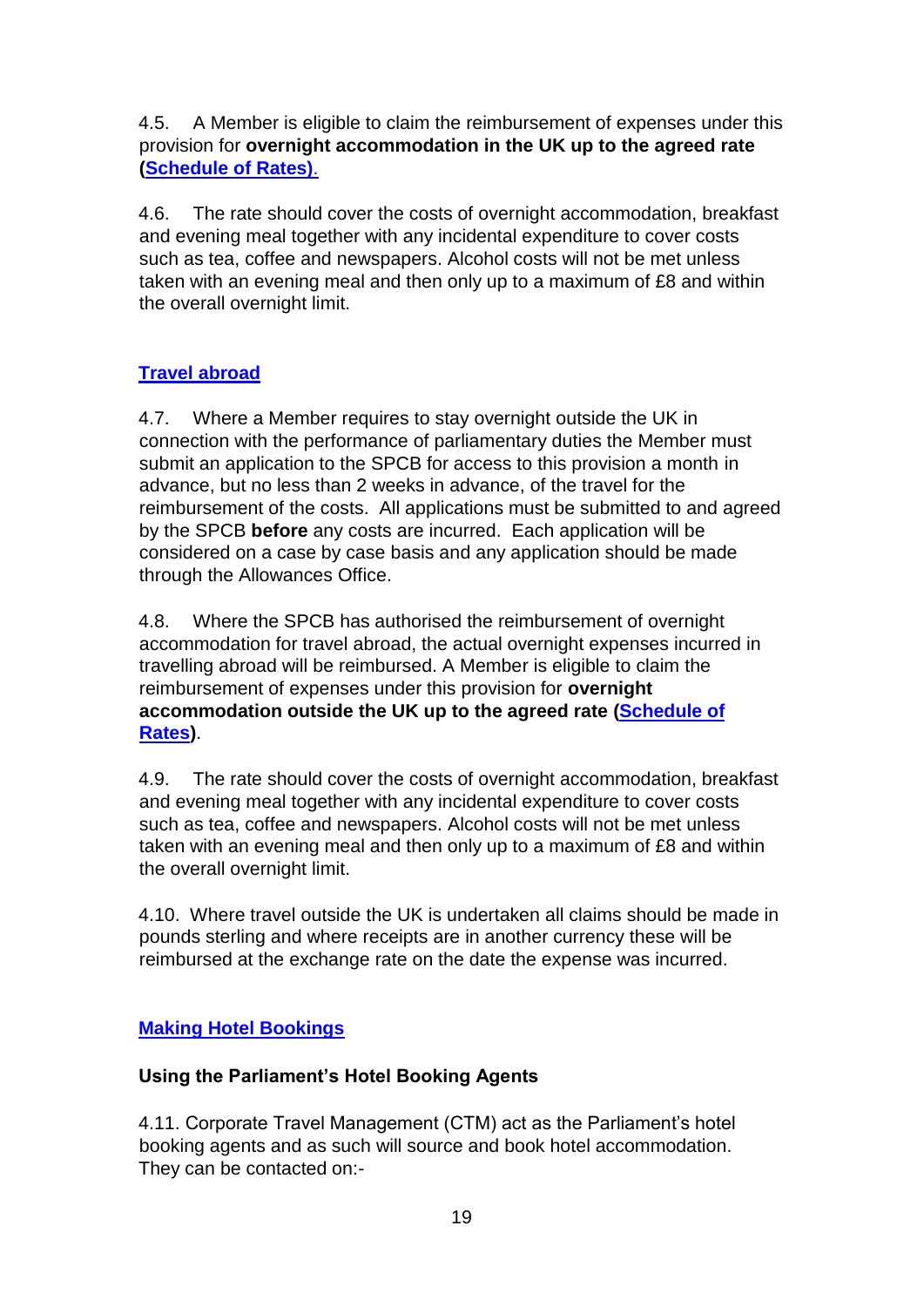4.5. A Member is eligible to claim the reimbursement of expenses under this provision for **overnight accommodation in the UK up to the agreed rate [\(Schedule of Rates\)](https://www.parliament.scot/msps/members-expenses/allowances-rates)**[.](https://www.parliament.scot/msps/members-expenses/allowances-rates)

4.6. The rate should cover the costs of overnight accommodation, breakfast and evening meal together with any incidental expenditure to cover costs such as tea, coffee and newspapers. Alcohol costs will not be met unless taken with an evening meal and then only up to a maximum of £8 and within the overall overnight limit.

# **Travel abroad**

4.7. Where a Member requires to stay overnight outside the UK in connection with the performance of parliamentary duties the Member must submit an application to the SPCB for access to this provision a month in advance, but no less than 2 weeks in advance, of the travel for the reimbursement of the costs. All applications must be submitted to and agreed by the SPCB **before** any costs are incurred. Each application will be considered on a case by case basis and any application should be made through the Allowances Office.

4.8. Where the SPCB has authorised the reimbursement of overnight accommodation for travel abroad, the actual overnight expenses incurred in travelling abroad will be reimbursed. A Member is eligible to claim the reimbursement of expenses under this provision for **overnight accommodation outside the UK up to the agreed rate [\(Schedule of](https://www.parliament.scot/msps/members-expenses/allowances-rates) [Rates\)](https://www.parliament.scot/msps/members-expenses/allowances-rates)**.

4.9. The rate should cover the costs of overnight accommodation, breakfast and evening meal together with any incidental expenditure to cover costs such as tea, coffee and newspapers. Alcohol costs will not be met unless taken with an evening meal and then only up to a maximum of £8 and within the overall overnight limit.

4.10. Where travel outside the UK is undertaken all claims should be made in pounds sterling and where receipts are in another currency these will be reimbursed at the exchange rate on the date the expense was incurred.

# **Making Hotel Bookings**

# **Using the Parliament's Hotel Booking Agents**

4.11. Corporate Travel Management (CTM) act as the Parliament's hotel booking agents and as such will source and book hotel accommodation. They can be contacted on:-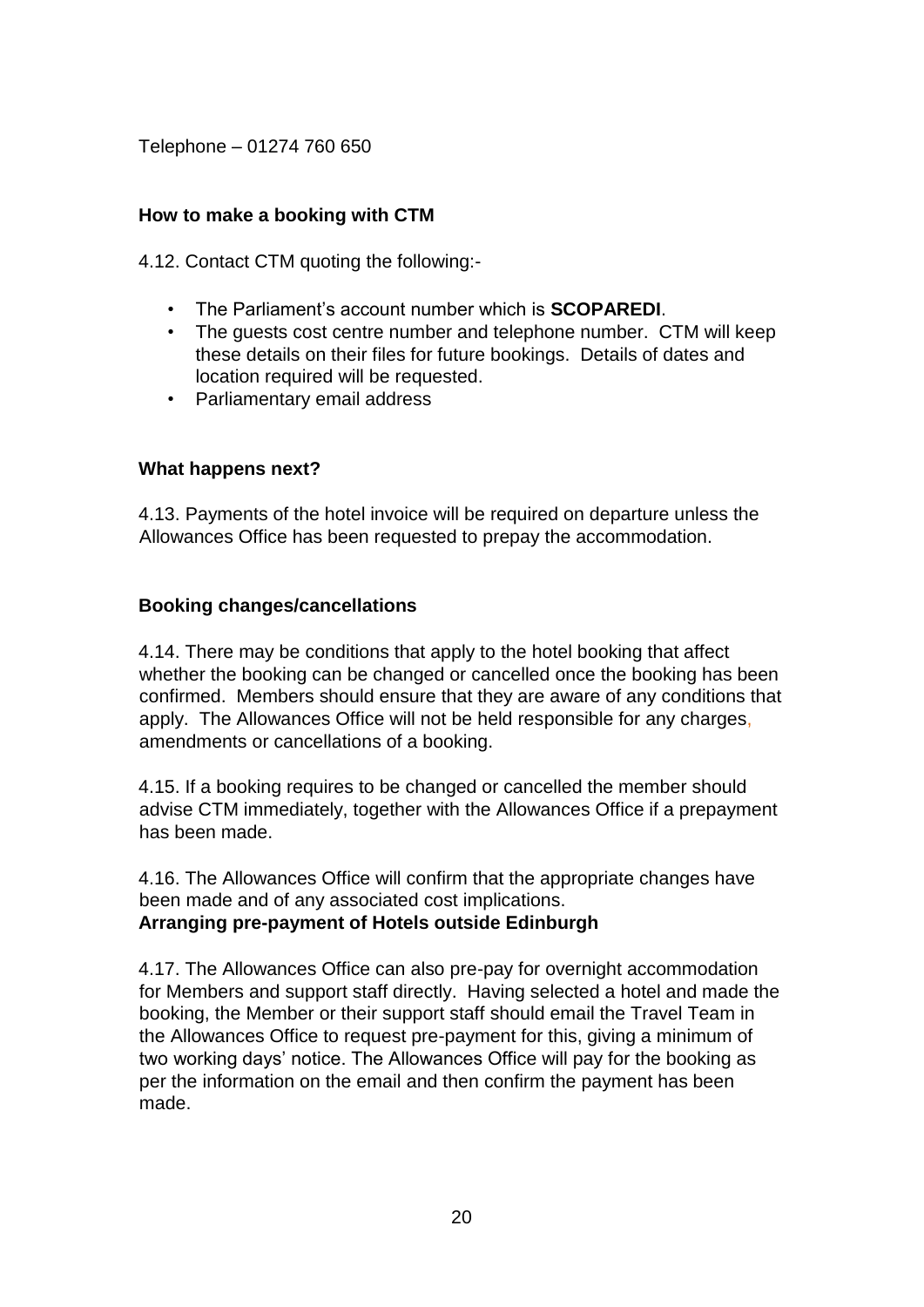Telephone – 01274 760 650

## **How to make a booking with CTM**

4.12. Contact CTM quoting the following:-

- The Parliament's account number which is **SCOPAREDI**.
- The guests cost centre number and telephone number. CTM will keep these details on their files for future bookings. Details of dates and location required will be requested.
- Parliamentary email address

#### **What happens next?**

4.13. Payments of the hotel invoice will be required on departure unless the Allowances Office has been requested to prepay the accommodation.

#### **Booking changes/cancellations**

4.14. There may be conditions that apply to the hotel booking that affect whether the booking can be changed or cancelled once the booking has been confirmed. Members should ensure that they are aware of any conditions that apply. The Allowances Office will not be held responsible for any charges, amendments or cancellations of a booking.

4.15. If a booking requires to be changed or cancelled the member should advise CTM immediately, together with the Allowances Office if a prepayment has been made.

4.16. The Allowances Office will confirm that the appropriate changes have been made and of any associated cost implications. **Arranging pre-payment of Hotels outside Edinburgh** 

4.17. The Allowances Office can also pre-pay for overnight accommodation for Members and support staff directly. Having selected a hotel and made the booking, the Member or their support staff should email the Travel Team in the Allowances Office to request pre-payment for this, giving a minimum of two working days' notice. The Allowances Office will pay for the booking as per the information on the email and then confirm the payment has been made.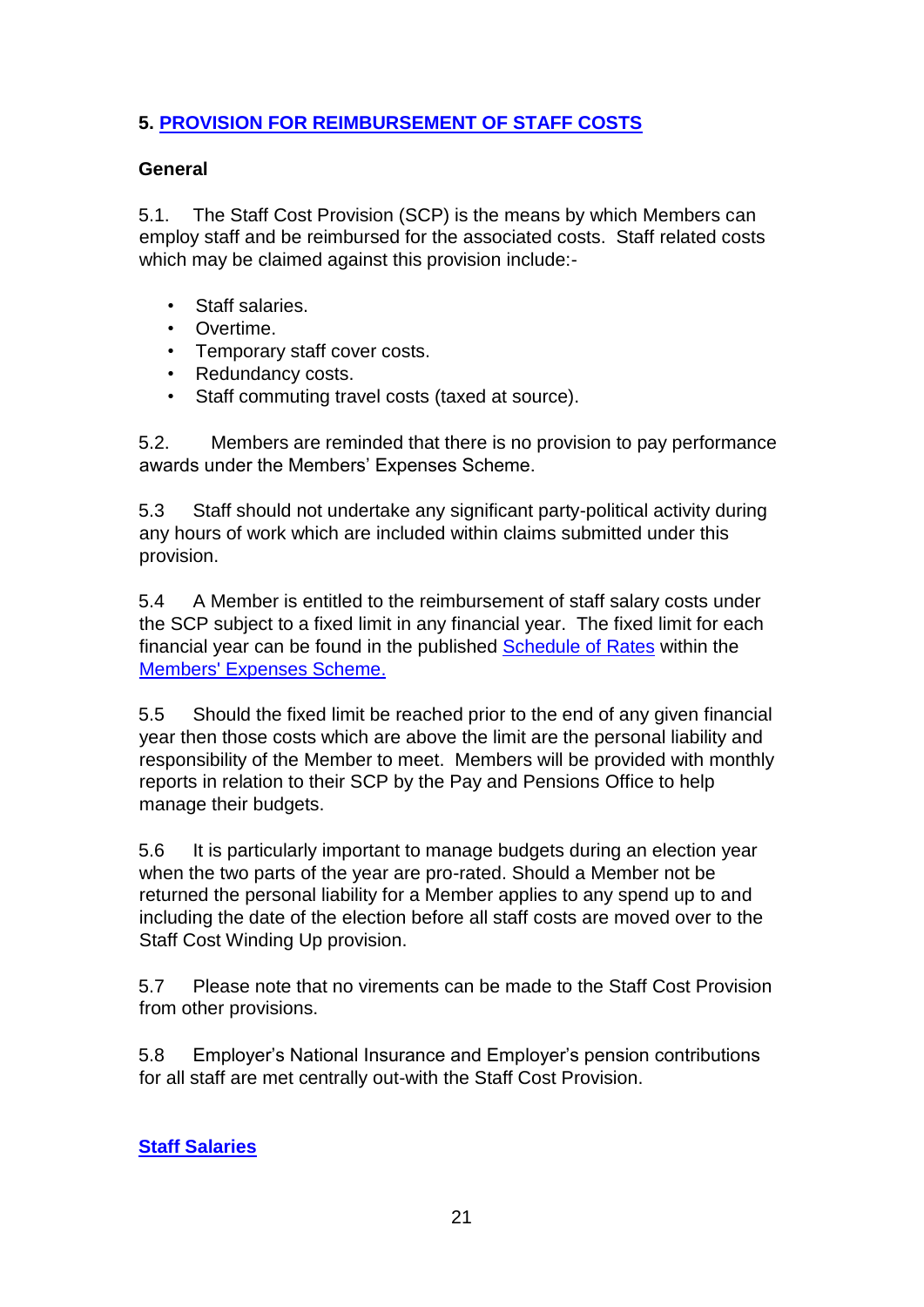# **5. PROVISION FOR REIMBURSEMENT OF STAFF COSTS**

## **General**

5.1. The Staff Cost Provision (SCP) is the means by which Members can employ staff and be reimbursed for the associated costs. Staff related costs which may be claimed against this provision include:-

- Staff salaries.
- Overtime.
- Temporary staff cover costs.
- Redundancy costs.
- Staff commuting travel costs (taxed at source).

5.2. Members are reminded that there is no provision to pay performance awards under the Members' Expenses Scheme.

5.3 Staff should not undertake any significant party-political activity during any hours of work which are included within claims submitted under this provision.

5.4 A Member is entitled to the reimbursement of staff salary costs under the SCP subject to a fixed limit in any financial year. The fixed limit for each financial year can be found in the published [Schedule of Rates](https://www.parliament.scot/msps/members-expenses/allowances-rates) [w](https://www.parliament.scot/msps/members-expenses/allowances-rates)ithin the [Members' Expenses Scheme.](https://www.parliament.scot/msps/members-expenses)

5.5 Should the fixed limit be reached prior to the end of any given financial year then those costs which are above the limit are the personal liability and responsibility of the Member to meet. Members will be provided with monthly reports in relation to their SCP by the Pay and Pensions Office to help manage their budgets.

5.6 It is particularly important to manage budgets during an election year when the two parts of the year are pro-rated. Should a Member not be returned the personal liability for a Member applies to any spend up to and including the date of the election before all staff costs are moved over to the Staff Cost Winding Up provision.

5.7 Please note that no virements can be made to the Staff Cost Provision from other provisions.

5.8 Employer's National Insurance and Employer's pension contributions for all staff are met centrally out-with the Staff Cost Provision.

**Staff Salaries**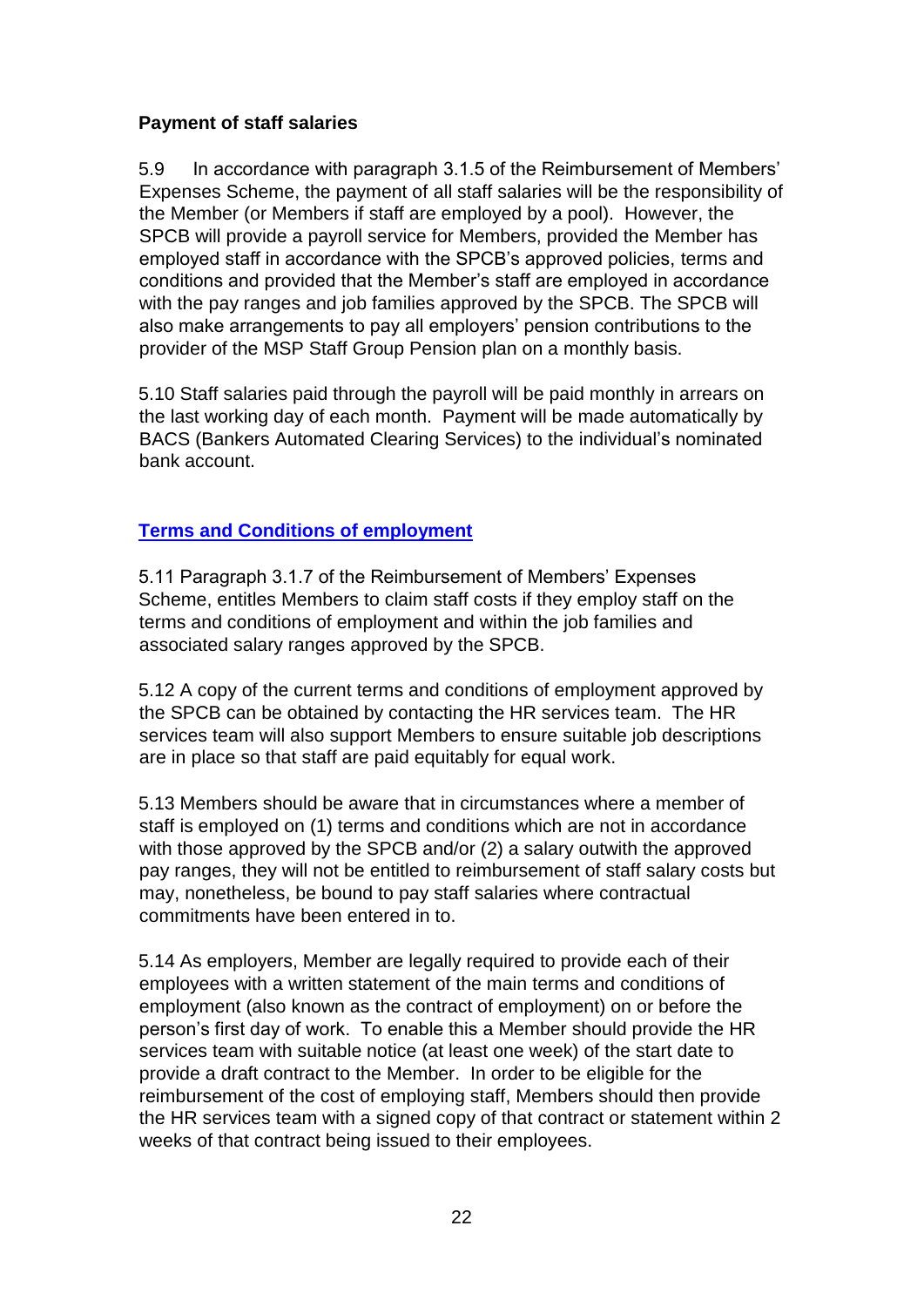## **Payment of staff salaries**

5.9 In accordance with paragraph 3.1.5 of the Reimbursement of Members' Expenses Scheme, the payment of all staff salaries will be the responsibility of the Member (or Members if staff are employed by a pool). However, the SPCB will provide a payroll service for Members, provided the Member has employed staff in accordance with the SPCB's approved policies, terms and conditions and provided that the Member's staff are employed in accordance with the pay ranges and job families approved by the SPCB. The SPCB will also make arrangements to pay all employers' pension contributions to the provider of the MSP Staff Group Pension plan on a monthly basis.

5.10 Staff salaries paid through the payroll will be paid monthly in arrears on the last working day of each month. Payment will be made automatically by BACS (Bankers Automated Clearing Services) to the individual's nominated bank account.

# **Terms and Conditions of employment**

5.11 Paragraph 3.1.7 of the Reimbursement of Members' Expenses Scheme, entitles Members to claim staff costs if they employ staff on the terms and conditions of employment and within the job families and associated salary ranges approved by the SPCB.

5.12 A copy of the current terms and conditions of employment approved by the SPCB can be obtained by contacting the HR services team. The HR services team will also support Members to ensure suitable job descriptions are in place so that staff are paid equitably for equal work.

5.13 Members should be aware that in circumstances where a member of staff is employed on (1) terms and conditions which are not in accordance with those approved by the SPCB and/or (2) a salary outwith the approved pay ranges, they will not be entitled to reimbursement of staff salary costs but may, nonetheless, be bound to pay staff salaries where contractual commitments have been entered in to.

5.14 As employers, Member are legally required to provide each of their employees with a written statement of the main terms and conditions of employment (also known as the contract of employment) on or before the person's first day of work. To enable this a Member should provide the HR services team with suitable notice (at least one week) of the start date to provide a draft contract to the Member. In order to be eligible for the reimbursement of the cost of employing staff, Members should then provide the HR services team with a signed copy of that contract or statement within 2 weeks of that contract being issued to their employees.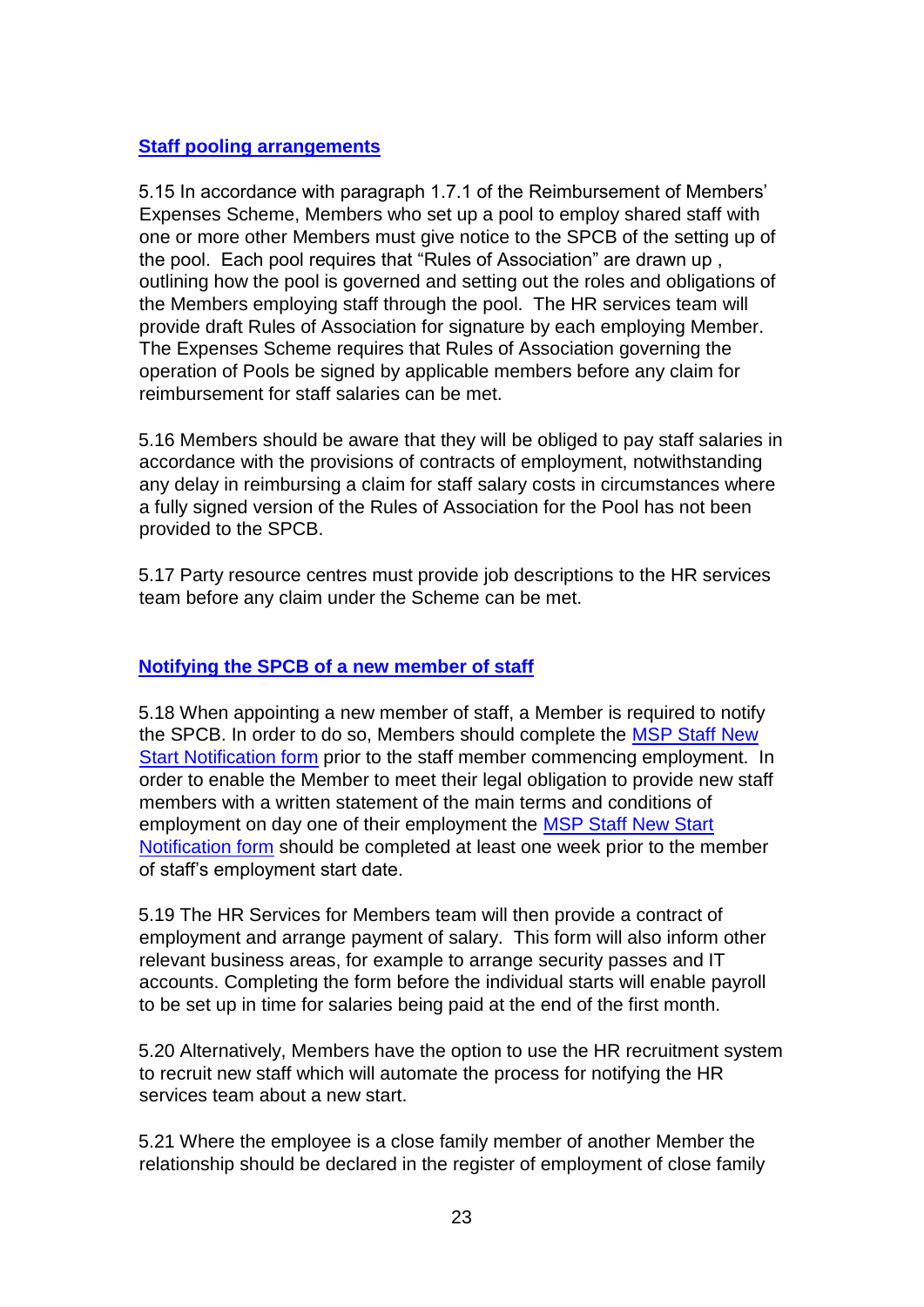#### **Staff pooling arrangements**

5.15 In accordance with paragraph 1.7.1 of the Reimbursement of Members' Expenses Scheme, Members who set up a pool to employ shared staff with one or more other Members must give notice to the SPCB of the setting up of the pool. Each pool requires that "Rules of Association" are drawn up , outlining how the pool is governed and setting out the roles and obligations of the Members employing staff through the pool. The HR services team will provide draft Rules of Association for signature by each employing Member. The Expenses Scheme requires that Rules of Association governing the operation of Pools be signed by applicable members before any claim for reimbursement for staff salaries can be met.

5.16 Members should be aware that they will be obliged to pay staff salaries in accordance with the provisions of contracts of employment, notwithstanding any delay in reimbursing a claim for staff salary costs in circumstances where a fully signed version of the Rules of Association for the Pool has not been provided to the SPCB.

5.17 Party resource centres must provide job descriptions to the HR services team before any claim under the Scheme can be met.

## **Notifying the SPCB of a new member of staff**

5.18 When appointing a new member of staff, a Member is required to notify the SPCB. In order to do so, Members should complete the [MSP Staff New](http://cas/Forms/_layouts/15/FormServer.aspx?XsnLocation=http://cas/FormServerTemplates/MSFP.xsn&SaveLocation=http%3A%2F%2Fcas%2FForms%2FMSF&ClientInstalled=true&DefaultItemOpen=1&Source=http://cas/Forms/SitePages/Home.aspx) [Start Notification form](http://cas/Forms/_layouts/15/FormServer.aspx?XsnLocation=http://cas/FormServerTemplates/MSFP.xsn&SaveLocation=http%3A%2F%2Fcas%2FForms%2FMSF&ClientInstalled=true&DefaultItemOpen=1&Source=http://cas/Forms/SitePages/Home.aspx) [p](http://cas/Forms/_layouts/15/FormServer.aspx?XsnLocation=http://cas/FormServerTemplates/MSFP.xsn&SaveLocation=http%3A%2F%2Fcas%2FForms%2FMSF&ClientInstalled=true&DefaultItemOpen=1&Source=http://cas/Forms/SitePages/Home.aspx)rior to the staff member commencing employment. In order to enable the Member to meet their legal obligation to provide new staff members with a written statement of the main terms and conditions of employment on day one of their employment the [MSP Staff New Start](http://cas/Forms/_layouts/15/FormServer.aspx?XsnLocation=http://cas/FormServerTemplates/MSFP.xsn&SaveLocation=http%3A%2F%2Fcas%2FForms%2FMSF&ClientInstalled=true&DefaultItemOpen=1&Source=http://cas/Forms/SitePages/Home.aspx) [Notification form](http://cas/Forms/_layouts/15/FormServer.aspx?XsnLocation=http://cas/FormServerTemplates/MSFP.xsn&SaveLocation=http%3A%2F%2Fcas%2FForms%2FMSF&ClientInstalled=true&DefaultItemOpen=1&Source=http://cas/Forms/SitePages/Home.aspx) should be completed at least one week prior to the member of staff's employment start date.

5.19 The HR Services for Members team will then provide a contract of employment and arrange payment of salary. This form will also inform other relevant business areas, for example to arrange security passes and IT accounts. Completing the form before the individual starts will enable payroll to be set up in time for salaries being paid at the end of the first month.

5.20 Alternatively, Members have the option to use the HR recruitment system to recruit new staff which will automate the process for notifying the HR services team about a new start.

5.21 Where the employee is a close family member of another Member the relationship should be declared in the register of employment of close family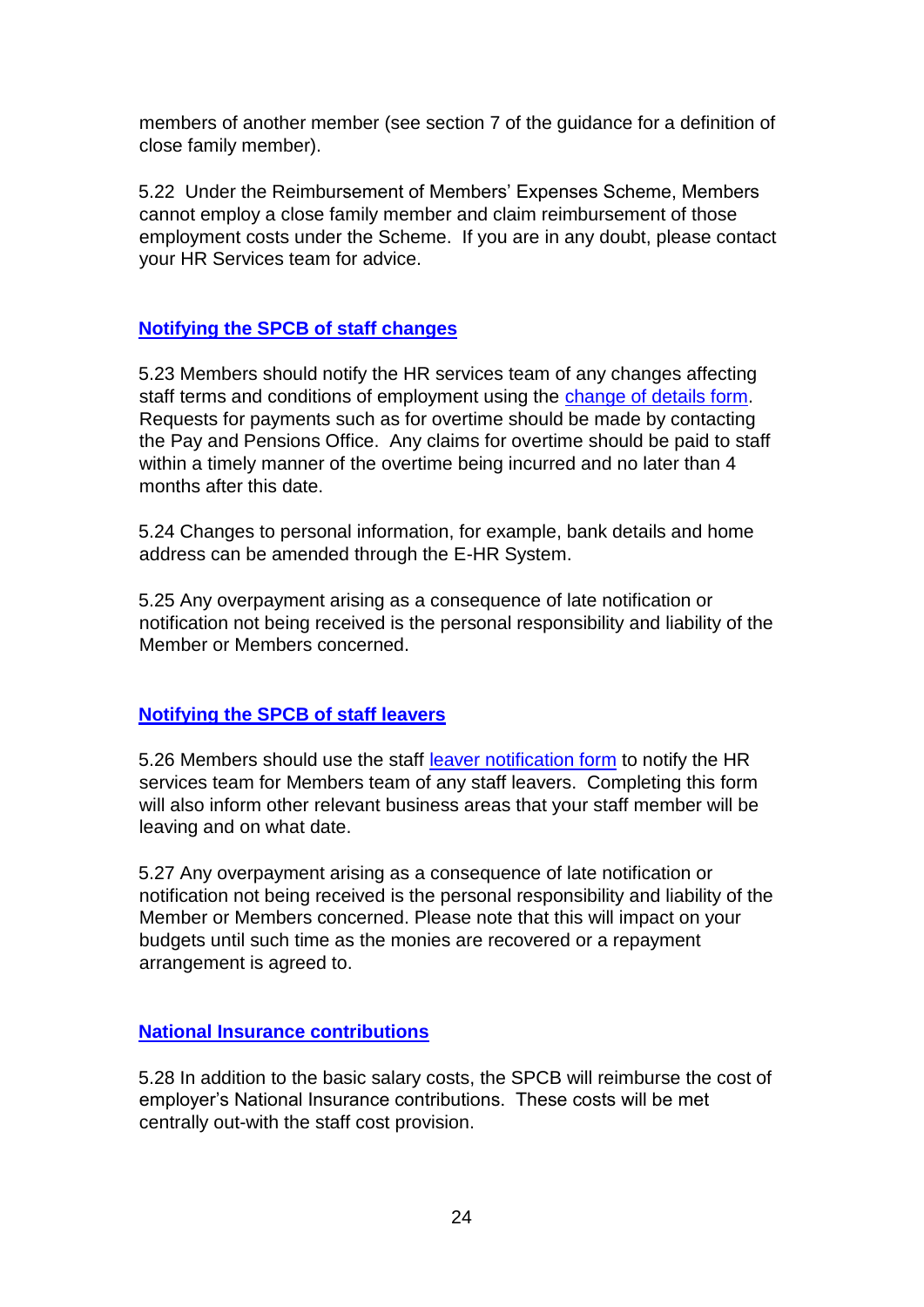members of another member (see section 7 of the guidance for a definition of close family member).

5.22 Under the Reimbursement of Members' Expenses Scheme, Members cannot employ a close family member and claim reimbursement of those employment costs under the Scheme. If you are in any doubt, please contact your HR Services team for advice.

#### **Notifying the SPCB of staff changes**

5.23 Members should notify the HR services team of any changes affecting staff terms and conditions of employment using the [change of details form.](http://cas/Forms/_layouts/15/FormServer.aspx?XsnLocation=http://cas/FormServerTemplates/MCDP.xsn&SaveLocation=http%3A%2F%2Fcas%2FForms%2FMCD&ClientInstalled=true&DefaultItemOpen=1&Source=http://cas/Forms/SitePages/Home.aspx)  Requests for payments such as for overtime should be made by contacting the Pay and Pensions Office. Any claims for overtime should be paid to staff within a timely manner of the overtime being incurred and no later than 4 months after this date.

5.24 Changes to personal information, for example, bank details and home address can be amended through the E-HR System.

5.25 Any overpayment arising as a consequence of late notification or notification not being received is the personal responsibility and liability of the Member or Members concerned.

## **Notifying the SPCB of staff leavers**

5.26 Members should use the staff [leaver notification form](http://intranet/organisation/offices-h-z/personnel/forms/mspstaffleaver/) to notify the HR services team for Members team of any staff leavers. Completing this form will also inform other relevant business areas that your staff member will be leaving and on what date.

5.27 Any overpayment arising as a consequence of late notification or notification not being received is the personal responsibility and liability of the Member or Members concerned. Please note that this will impact on your budgets until such time as the monies are recovered or a repayment arrangement is agreed to.

#### **National Insurance contributions**

5.28 In addition to the basic salary costs, the SPCB will reimburse the cost of employer's National Insurance contributions. These costs will be met centrally out-with the staff cost provision.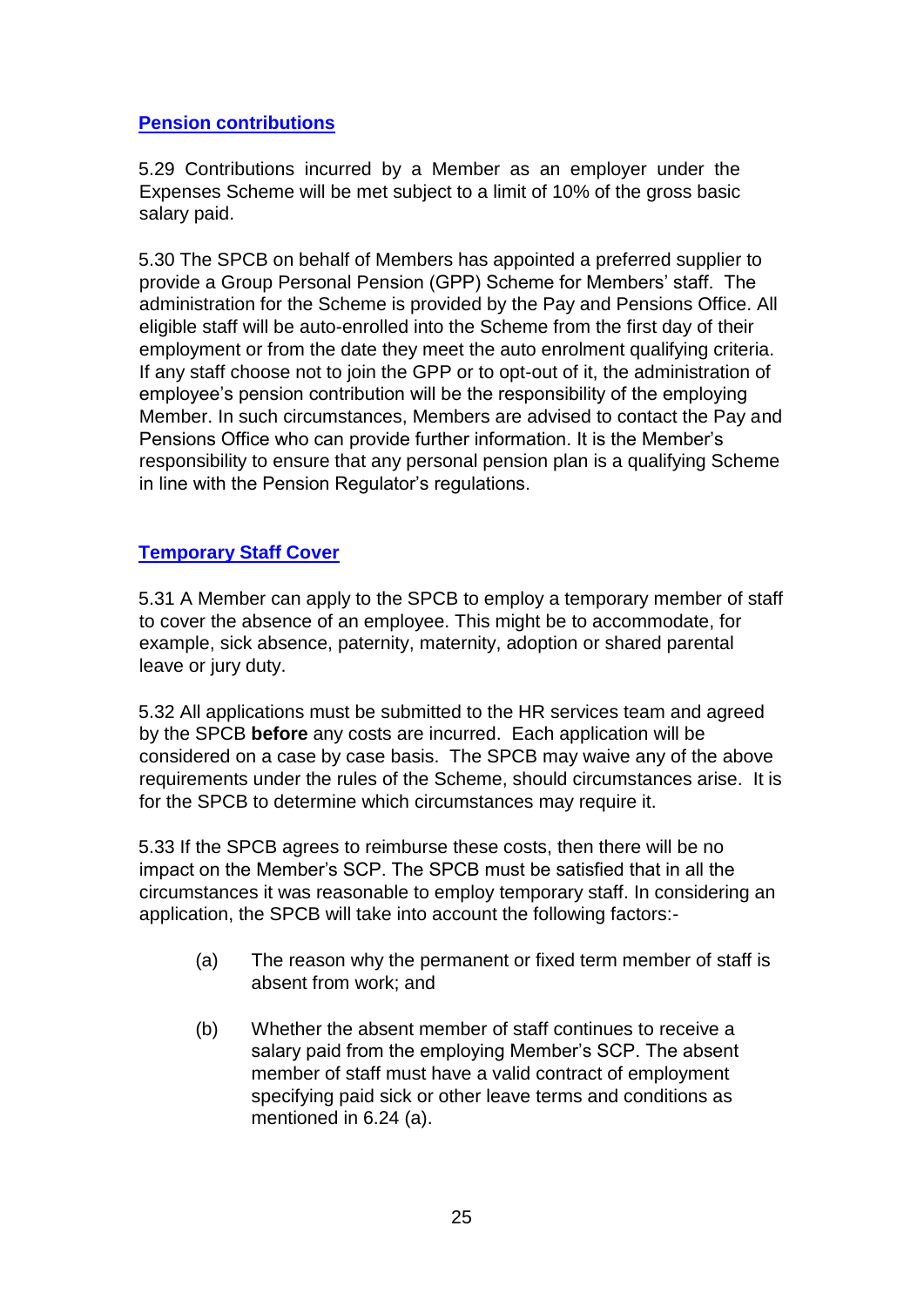## **Pension contributions**

5.29 Contributions incurred by a Member as an employer under the Expenses Scheme will be met subject to a limit of 10% of the gross basic salary paid.

5.30 The SPCB on behalf of Members has appointed a preferred supplier to provide a Group Personal Pension (GPP) Scheme for Members' staff. The administration for the Scheme is provided by the Pay and Pensions Office. All eligible staff will be auto-enrolled into the Scheme from the first day of their employment or from the date they meet the auto enrolment qualifying criteria. If any staff choose not to join the GPP or to opt-out of it, the administration of employee's pension contribution will be the responsibility of the employing Member. In such circumstances, Members are advised to contact the Pay and Pensions Office who can provide further information. It is the Member's responsibility to ensure that any personal pension plan is a qualifying Scheme in line with the Pension Regulator's regulations.

# **Temporary Staff Cover**

5.31 A Member can apply to the SPCB to employ a temporary member of staff to cover the absence of an employee. This might be to accommodate, for example, sick absence, paternity, maternity, adoption or shared parental leave or jury duty.

5.32 All applications must be submitted to the HR services team and agreed by the SPCB **before** any costs are incurred. Each application will be considered on a case by case basis. The SPCB may waive any of the above requirements under the rules of the Scheme, should circumstances arise. It is for the SPCB to determine which circumstances may require it.

5.33 If the SPCB agrees to reimburse these costs, then there will be no impact on the Member's SCP. The SPCB must be satisfied that in all the circumstances it was reasonable to employ temporary staff. In considering an application, the SPCB will take into account the following factors:-

- (a) The reason why the permanent or fixed term member of staff is absent from work; and
- (b) Whether the absent member of staff continues to receive a salary paid from the employing Member's SCP. The absent member of staff must have a valid contract of employment specifying paid sick or other leave terms and conditions as mentioned in 6.24 (a).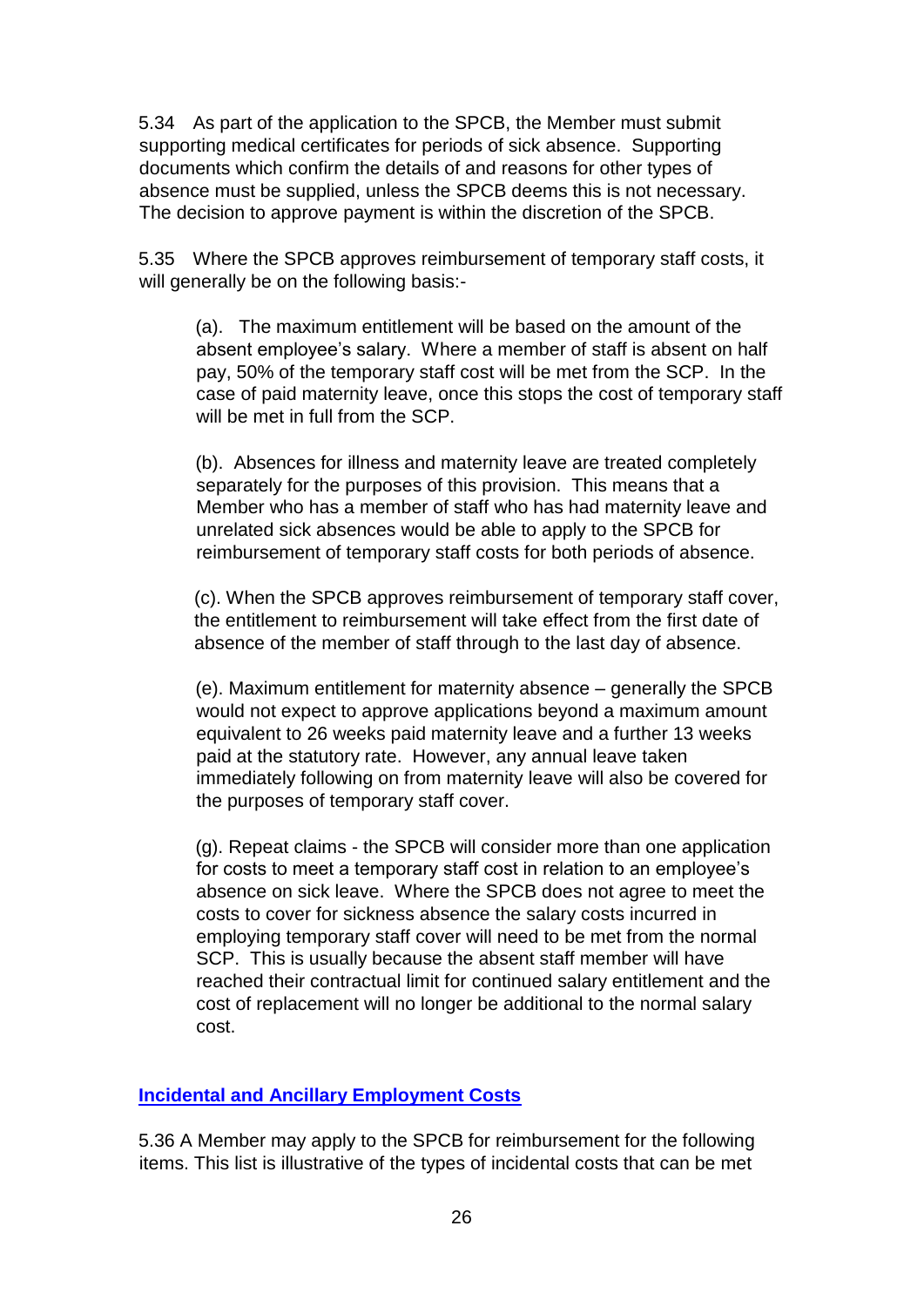5.34 As part of the application to the SPCB, the Member must submit supporting medical certificates for periods of sick absence. Supporting documents which confirm the details of and reasons for other types of absence must be supplied, unless the SPCB deems this is not necessary. The decision to approve payment is within the discretion of the SPCB.

5.35 Where the SPCB approves reimbursement of temporary staff costs, it will generally be on the following basis:-

(a). The maximum entitlement will be based on the amount of the absent employee's salary. Where a member of staff is absent on half pay, 50% of the temporary staff cost will be met from the SCP. In the case of paid maternity leave, once this stops the cost of temporary staff will be met in full from the SCP.

(b). Absences for illness and maternity leave are treated completely separately for the purposes of this provision. This means that a Member who has a member of staff who has had maternity leave and unrelated sick absences would be able to apply to the SPCB for reimbursement of temporary staff costs for both periods of absence.

(c). When the SPCB approves reimbursement of temporary staff cover, the entitlement to reimbursement will take effect from the first date of absence of the member of staff through to the last day of absence.

(e). Maximum entitlement for maternity absence – generally the SPCB would not expect to approve applications beyond a maximum amount equivalent to 26 weeks paid maternity leave and a further 13 weeks paid at the statutory rate. However, any annual leave taken immediately following on from maternity leave will also be covered for the purposes of temporary staff cover.

(g). Repeat claims - the SPCB will consider more than one application for costs to meet a temporary staff cost in relation to an employee's absence on sick leave. Where the SPCB does not agree to meet the costs to cover for sickness absence the salary costs incurred in employing temporary staff cover will need to be met from the normal SCP. This is usually because the absent staff member will have reached their contractual limit for continued salary entitlement and the cost of replacement will no longer be additional to the normal salary cost.

## **Incidental and Ancillary Employment Costs**

5.36 A Member may apply to the SPCB for reimbursement for the following items. This list is illustrative of the types of incidental costs that can be met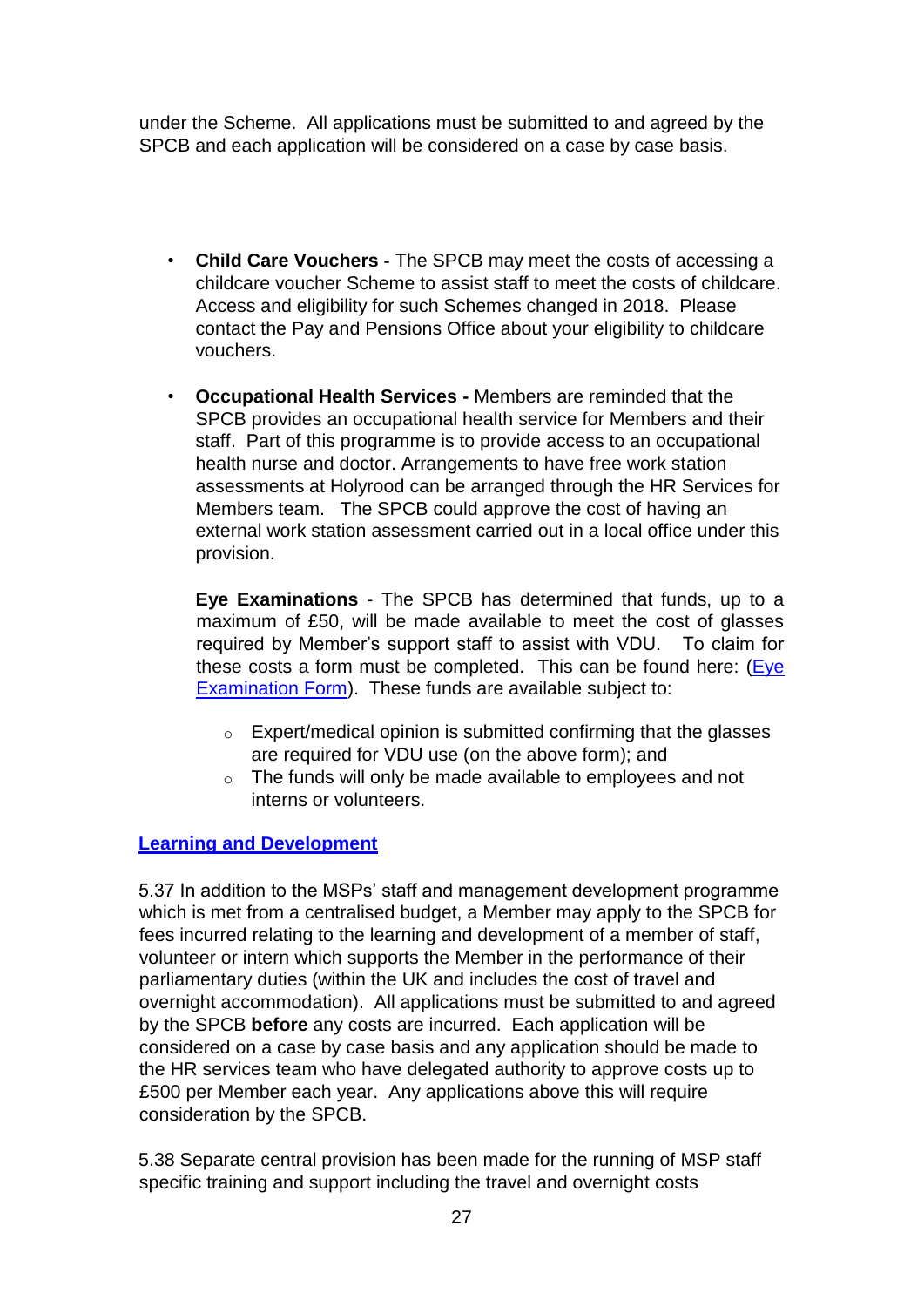under the Scheme. All applications must be submitted to and agreed by the SPCB and each application will be considered on a case by case basis.

- **Child Care Vouchers -** The SPCB may meet the costs of accessing a childcare voucher Scheme to assist staff to meet the costs of childcare. Access and eligibility for such Schemes changed in 2018. Please contact the Pay and Pensions Office about your eligibility to childcare vouchers.
- **Occupational Health Services -** Members are reminded that the SPCB provides an occupational health service for Members and their staff. Part of this programme is to provide access to an occupational health nurse and doctor. Arrangements to have free work station assessments at Holyrood can be arranged through the HR Services for Members team. The SPCB could approve the cost of having an external work station assessment carried out in a local office under this provision.

**Eye Examinations** - The SPCB has determined that funds, up to a maximum of £50, will be made available to meet the cost of glasses required by Member's support staff to assist with VDU. To claim for these costs a form must be completed. This can be found here: [\(Eye](https://archive2021.parliament.scot/msps/26900.aspx) [Examination Form\).](https://archive2021.parliament.scot/msps/26900.aspx) These funds are available subject to:

- $\circ$  Expert/medical opinion is submitted confirming that the glasses are required for VDU use (on the above form); and
- o The funds will only be made available to employees and not interns or volunteers.

# **Learning and Development**

5.37 In addition to the MSPs' staff and management development programme which is met from a centralised budget, a Member may apply to the SPCB for fees incurred relating to the learning and development of a member of staff, volunteer or intern which supports the Member in the performance of their parliamentary duties (within the UK and includes the cost of travel and overnight accommodation). All applications must be submitted to and agreed by the SPCB **before** any costs are incurred. Each application will be considered on a case by case basis and any application should be made to the HR services team who have delegated authority to approve costs up to £500 per Member each year. Any applications above this will require consideration by the SPCB.

5.38 Separate central provision has been made for the running of MSP staff specific training and support including the travel and overnight costs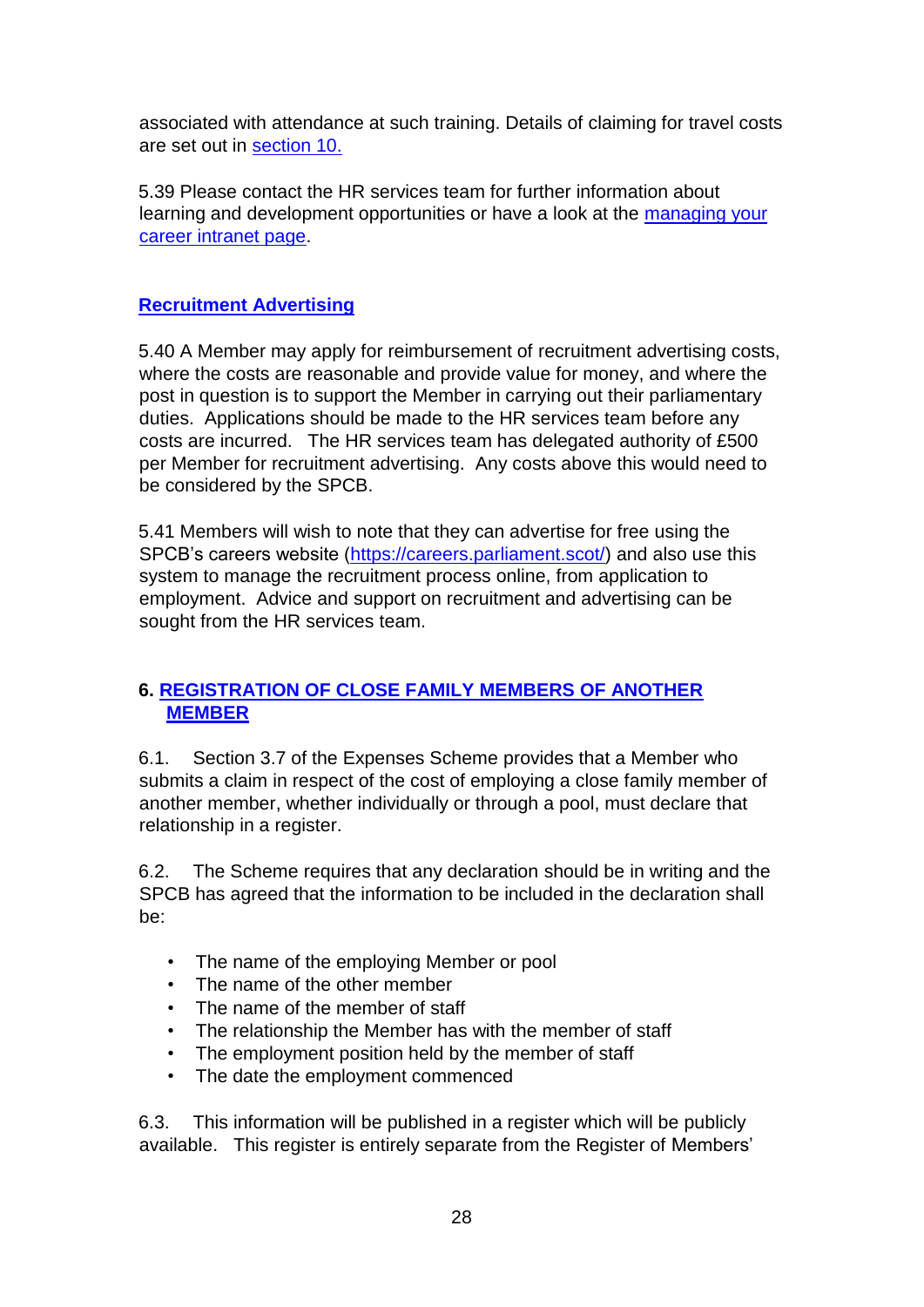associated with attendance at such training. Details of claiming for travel costs are set out in section 10.

5.39 Please contact the HR services team for further information about learning and development opportunities or have a look at the [managing your](https://scottish4.sharepoint.com/SitePages/MSP-Staff---Managing-Your-Career.aspx) [career intranet page.](https://scottish4.sharepoint.com/SitePages/MSP-Staff---Managing-Your-Career.aspx) 

# **Recruitment Advertising**

5.40 A Member may apply for reimbursement of recruitment advertising costs, where the costs are reasonable and provide value for money, and where the post in question is to support the Member in carrying out their parliamentary duties. Applications should be made to the HR services team before any costs are incurred. The HR services team has delegated authority of £500 per Member for recruitment advertising. Any costs above this would need to be considered by the SPCB.

5.41 Members will wish to note that they can advertise for free using the SPCB's careers website [\(https://careers.parliament.scot/\)](https://careers.parliament.scot/) and also use this system to manage the recruitment process online, from application to employment. Advice and support on recruitment and advertising can be sought from the HR services team.

# **6. REGISTRATION OF CLOSE FAMILY MEMBERS OF ANOTHER MEMBER**

6.1. Section 3.7 of the Expenses Scheme provides that a Member who submits a claim in respect of the cost of employing a close family member of another member, whether individually or through a pool, must declare that relationship in a register.

6.2. The Scheme requires that any declaration should be in writing and the SPCB has agreed that the information to be included in the declaration shall be:

- The name of the employing Member or pool
- The name of the other member
- The name of the member of staff
- The relationship the Member has with the member of staff
- The employment position held by the member of staff
- The date the employment commenced

6.3. This information will be published in a register which will be publicly available. This register is entirely separate from the Register of Members'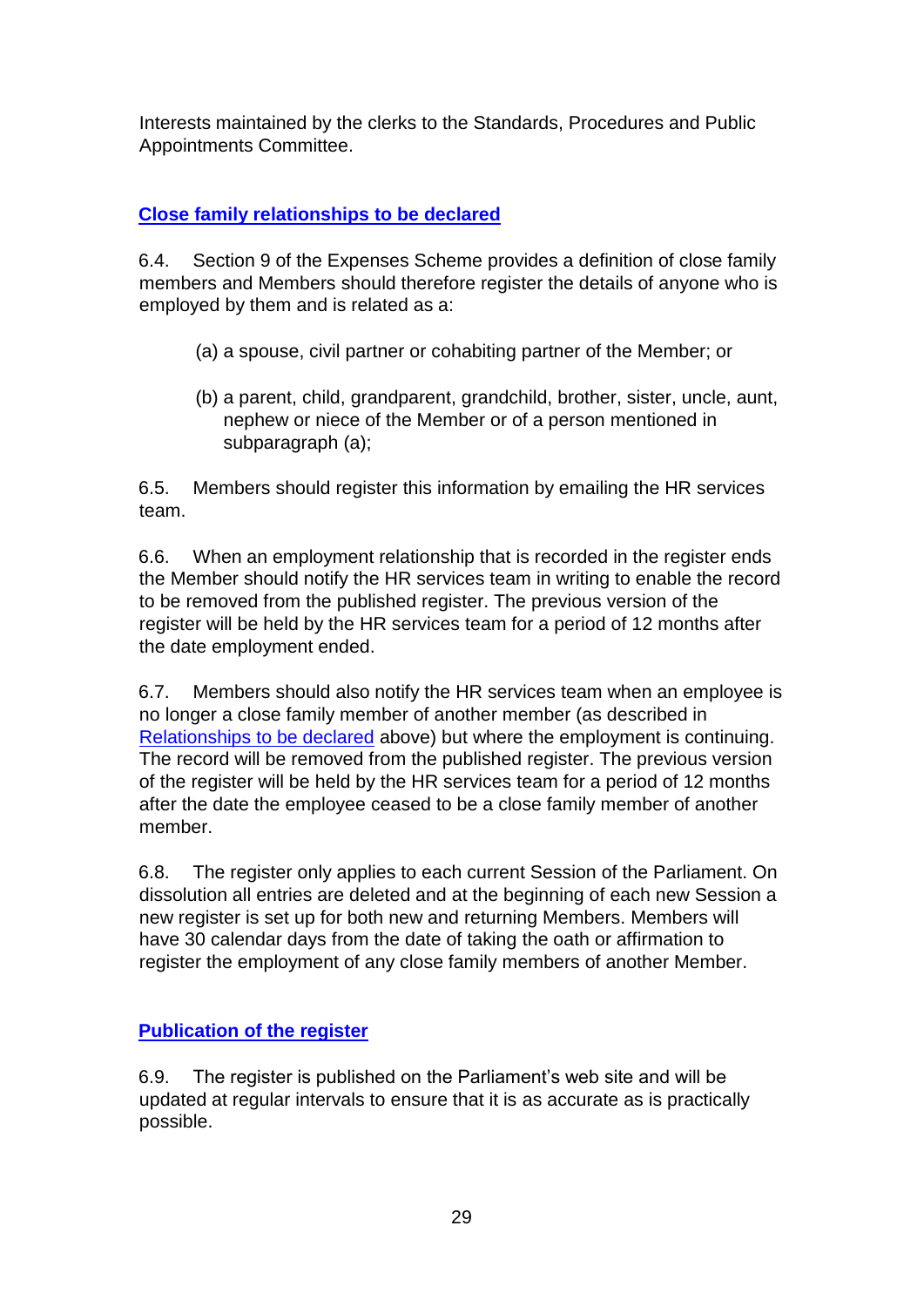Interests maintained by the clerks to the Standards, Procedures and Public Appointments Committee.

# **Close family relationships to be declared**

6.4. Section 9 of the Expenses Scheme provides a definition of close family members and Members should therefore register the details of anyone who is employed by them and is related as a:

- (a) a spouse, civil partner or cohabiting partner of the Member; or
- (b) a parent, child, grandparent, grandchild, brother, sister, uncle, aunt, nephew or niece of the Member or of a person mentioned in subparagraph (a);

6.5. Members should register this information by emailing the HR services team.

6.6. When an employment relationship that is recorded in the register ends the Member should notify the HR services team in writing to enable the record to be removed from the published register. The previous version of the register will be held by the HR services team for a period of 12 months after the date employment ended.

6.7. Members should also notify the HR services team when an employee is no longer a close family member of another member (as described in Relationships to be declared above) but where the employment is continuing. The record will be removed from the published register. The previous version of the register will be held by the HR services team for a period of 12 months after the date the employee ceased to be a close family member of another member.

6.8. The register only applies to each current Session of the Parliament. On dissolution all entries are deleted and at the beginning of each new Session a new register is set up for both new and returning Members. Members will have 30 calendar days from the date of taking the oath or affirmation to register the employment of any close family members of another Member.

# **Publication of the register**

6.9. The register is published on the Parliament's web site and will be updated at regular intervals to ensure that it is as accurate as is practically possible.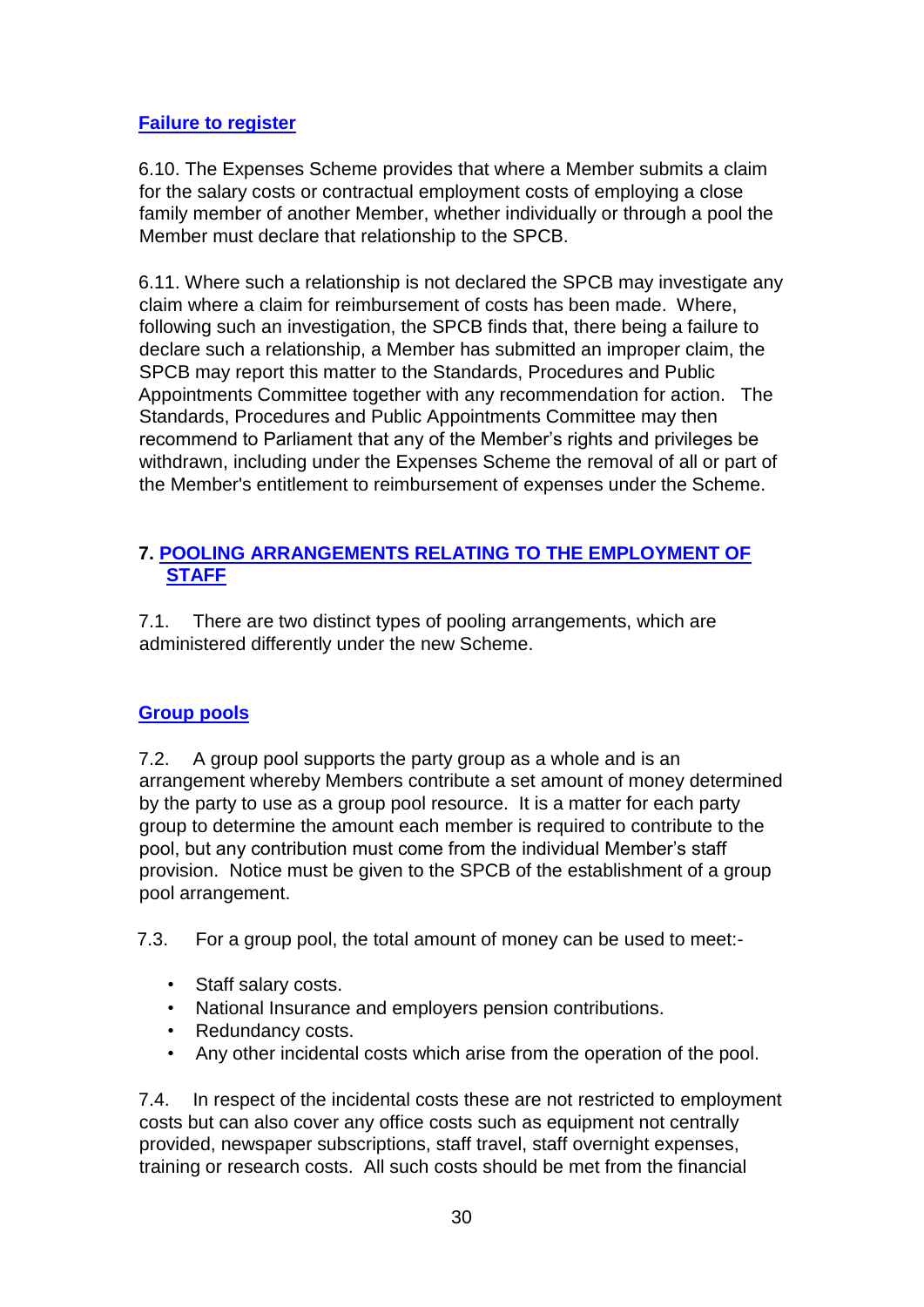# **Failure to register**

6.10. The Expenses Scheme provides that where a Member submits a claim for the salary costs or contractual employment costs of employing a close family member of another Member, whether individually or through a pool the Member must declare that relationship to the SPCB.

6.11. Where such a relationship is not declared the SPCB may investigate any claim where a claim for reimbursement of costs has been made. Where, following such an investigation, the SPCB finds that, there being a failure to declare such a relationship, a Member has submitted an improper claim, the SPCB may report this matter to the Standards, Procedures and Public Appointments Committee together with any recommendation for action. The Standards, Procedures and Public Appointments Committee may then recommend to Parliament that any of the Member's rights and privileges be withdrawn, including under the Expenses Scheme the removal of all or part of the Member's entitlement to reimbursement of expenses under the Scheme.

## **7. POOLING ARRANGEMENTS RELATING TO THE EMPLOYMENT OF STAFF**

7.1. There are two distinct types of pooling arrangements, which are administered differently under the new Scheme.

# **Group pools**

7.2. A group pool supports the party group as a whole and is an arrangement whereby Members contribute a set amount of money determined by the party to use as a group pool resource. It is a matter for each party group to determine the amount each member is required to contribute to the pool, but any contribution must come from the individual Member's staff provision. Notice must be given to the SPCB of the establishment of a group pool arrangement.

7.3. For a group pool, the total amount of money can be used to meet:-

- Staff salary costs.
- National Insurance and employers pension contributions.
- Redundancy costs.
- Any other incidental costs which arise from the operation of the pool.

7.4. In respect of the incidental costs these are not restricted to employment costs but can also cover any office costs such as equipment not centrally provided, newspaper subscriptions, staff travel, staff overnight expenses, training or research costs. All such costs should be met from the financial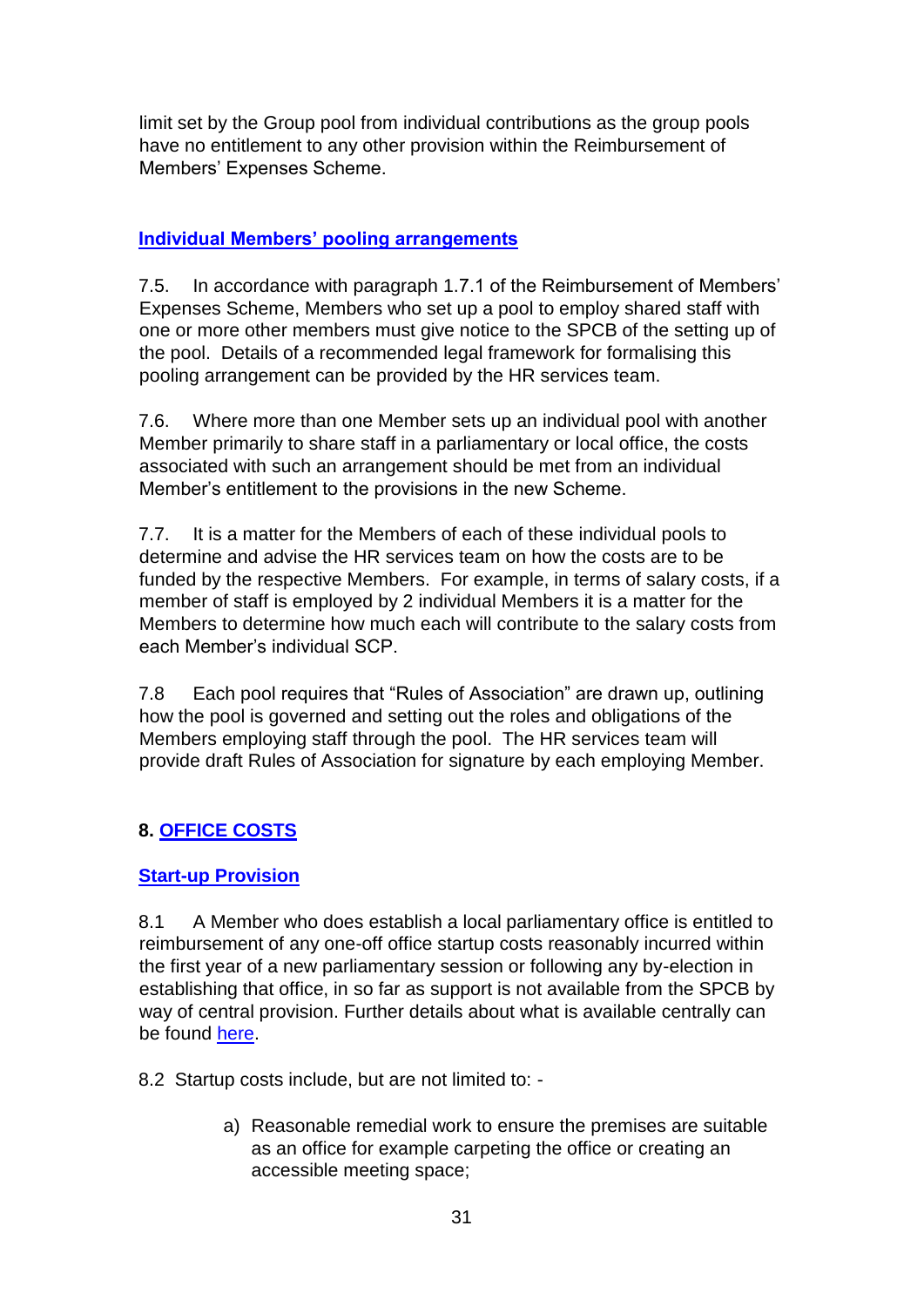limit set by the Group pool from individual contributions as the group pools have no entitlement to any other provision within the Reimbursement of Members' Expenses Scheme.

## **Individual Members' pooling arrangements**

7.5. In accordance with paragraph 1.7.1 of the Reimbursement of Members' Expenses Scheme, Members who set up a pool to employ shared staff with one or more other members must give notice to the SPCB of the setting up of the pool. Details of a recommended legal framework for formalising this pooling arrangement can be provided by the HR services team.

7.6. Where more than one Member sets up an individual pool with another Member primarily to share staff in a parliamentary or local office, the costs associated with such an arrangement should be met from an individual Member's entitlement to the provisions in the new Scheme.

7.7. It is a matter for the Members of each of these individual pools to determine and advise the HR services team on how the costs are to be funded by the respective Members. For example, in terms of salary costs, if a member of staff is employed by 2 individual Members it is a matter for the Members to determine how much each will contribute to the salary costs from each Member's individual SCP.

7.8 Each pool requires that "Rules of Association" are drawn up, outlining how the pool is governed and setting out the roles and obligations of the Members employing staff through the pool. The HR services team will provide draft Rules of Association for signature by each employing Member.

# **8. OFFICE COSTS**

## **Start-up Provision**

8.1 A Member who does establish a local parliamentary office is entitled to reimbursement of any one-off office startup costs reasonably incurred within the first year of a new parliamentary session or following any by-election in establishing that office, in so far as support is not available from the SPCB by way of central provision. Further details about what is available centrally can be foun[d](https://archive2021.parliament.scot/msps/17609.aspx) [here.](https://archive2021.parliament.scot/msps/17609.aspx)

8.2 Startup costs include, but are not limited to: -

a) Reasonable remedial work to ensure the premises are suitable as an office for example carpeting the office or creating an accessible meeting space;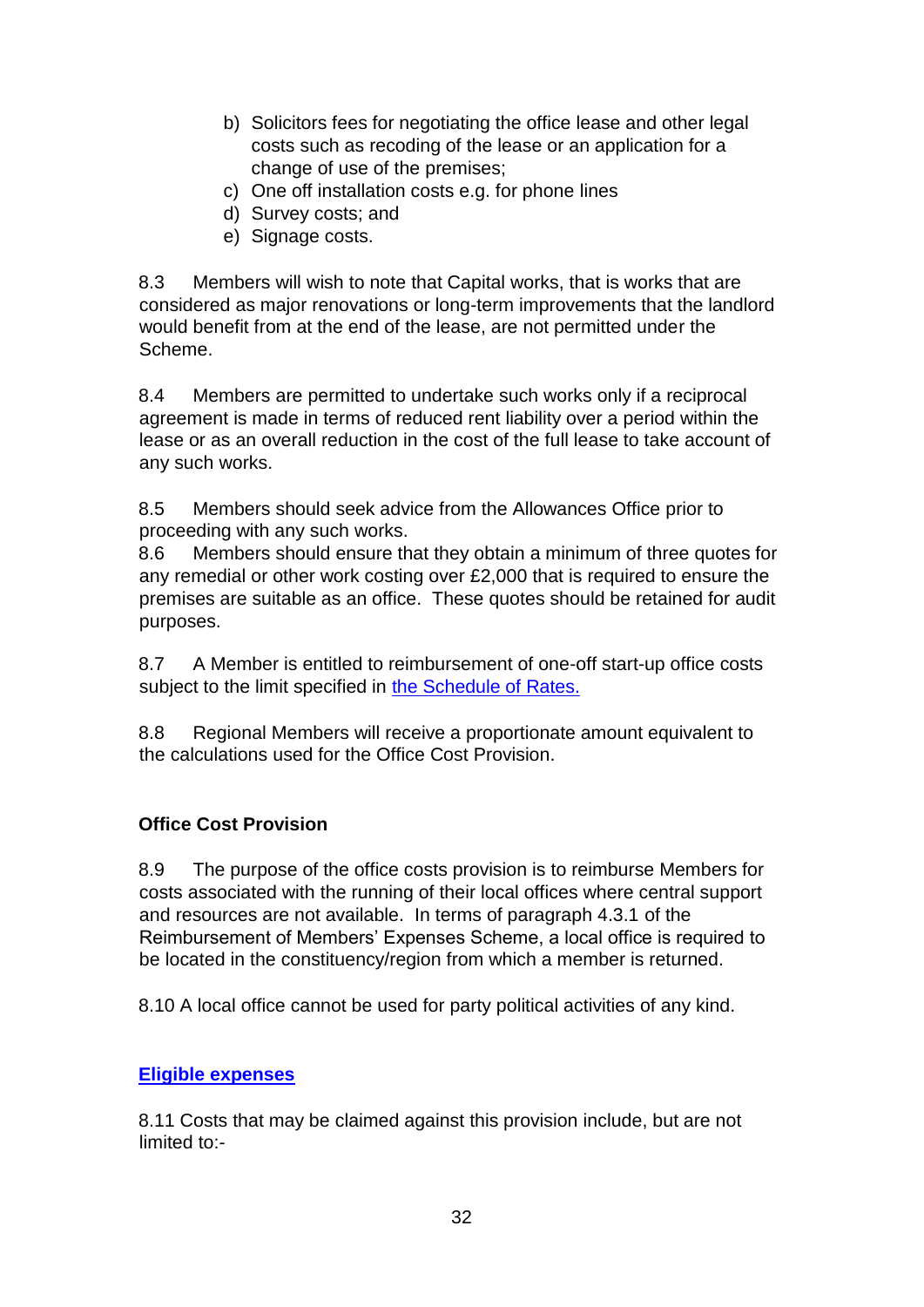- b) Solicitors fees for negotiating the office lease and other legal costs such as recoding of the lease or an application for a change of use of the premises;
- c) One off installation costs e.g. for phone lines
- d) Survey costs; and
- e) Signage costs.

8.3 Members will wish to note that Capital works, that is works that are considered as major renovations or long-term improvements that the landlord would benefit from at the end of the lease, are not permitted under the Scheme.

8.4 Members are permitted to undertake such works only if a reciprocal agreement is made in terms of reduced rent liability over a period within the lease or as an overall reduction in the cost of the full lease to take account of any such works.

8.5 Members should seek advice from the Allowances Office prior to proceeding with any such works.

8.6 Members should ensure that they obtain a minimum of three quotes for any remedial or other work costing over £2,000 that is required to ensure the premises are suitable as an office. These quotes should be retained for audit purposes.

8.7 A Member is entitled to reimbursement of one-off start-up office costs subject to the limit specified in [the Schedule of Rates.](https://www.parliament.scot/msps/members-expenses/allowances-rates)

8.8 Regional Members will receive a proportionate amount equivalent to the calculations used for the Office Cost Provision.

# **Office Cost Provision**

8.9 The purpose of the office costs provision is to reimburse Members for costs associated with the running of their local offices where central support and resources are not available. In terms of paragraph 4.3.1 of the Reimbursement of Members' Expenses Scheme, a local office is required to be located in the constituency/region from which a member is returned.

8.10 A local office cannot be used for party political activities of any kind.

## **Eligible expenses**

8.11 Costs that may be claimed against this provision include, but are not limited to:-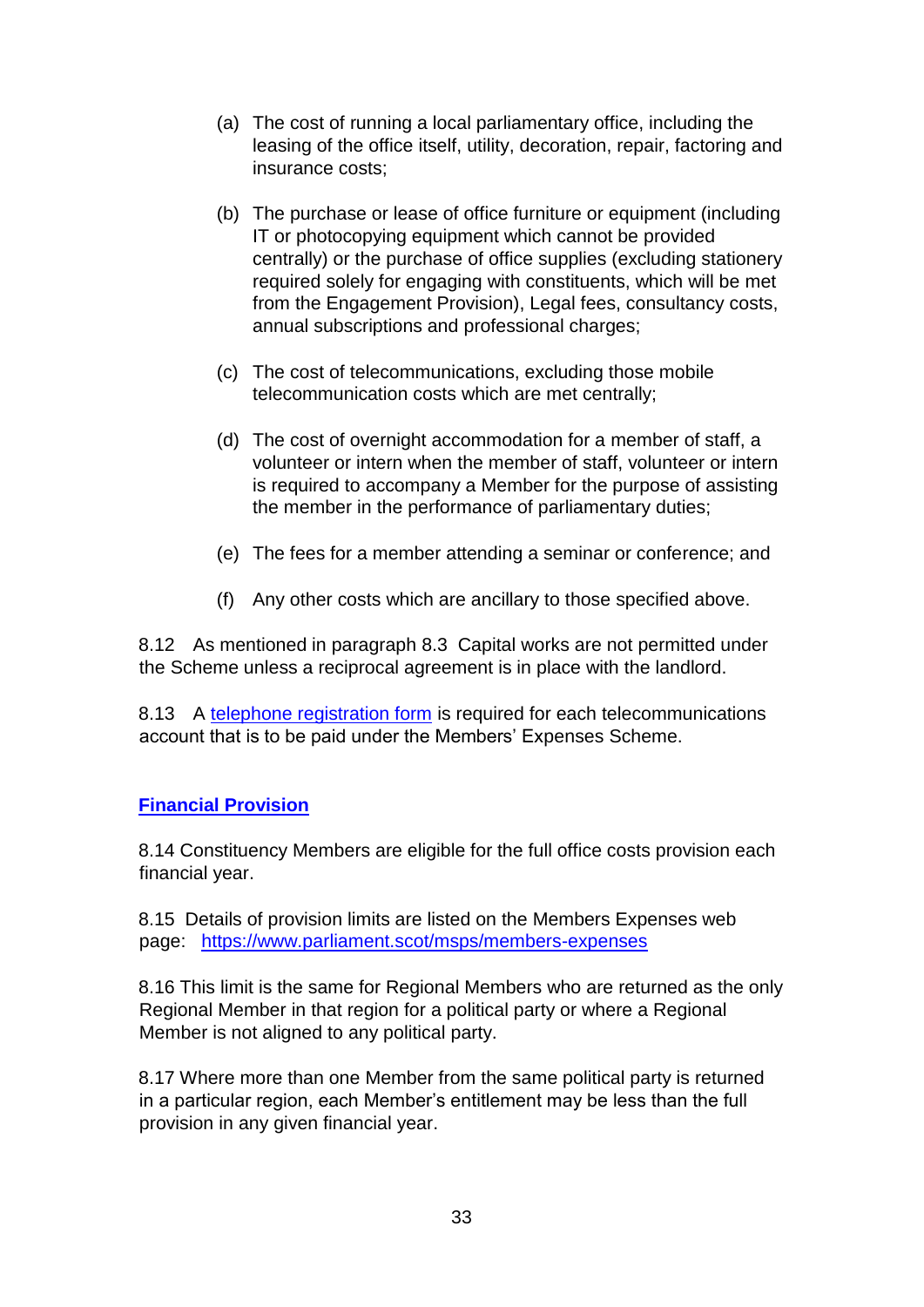- (a) The cost of running a local parliamentary office, including the leasing of the office itself, utility, decoration, repair, factoring and insurance costs;
- (b) The purchase or lease of office furniture or equipment (including IT or photocopying equipment which cannot be provided centrally) or the purchase of office supplies (excluding stationery required solely for engaging with constituents, which will be met from the Engagement Provision), Legal fees, consultancy costs, annual subscriptions and professional charges;
- (c) The cost of telecommunications, excluding those mobile telecommunication costs which are met centrally;
- (d) The cost of overnight accommodation for a member of staff, a volunteer or intern when the member of staff, volunteer or intern is required to accompany a Member for the purpose of assisting the member in the performance of parliamentary duties;
- (e) The fees for a member attending a seminar or conference; and
- (f) Any other costs which are ancillary to those specified above.

8.12 As mentioned in paragraph 8.3 Capital works are not permitted under the Scheme unless a reciprocal agreement is in place with the landlord.

8.13 A [telephone registration form](https://archive2021.parliament.scot/msps/26859.aspx) is required for each telecommunications account that is to be paid under the Members' Expenses Scheme.

## **Financial Provision**

8.14 Constituency Members are eligible for the full office costs provision each financial year.

8.15 Details of provision limits are listed on the Members Expenses web page: <https://www.parliament.scot/msps/members-expenses>

8.16 This limit is the same for Regional Members who are returned as the only Regional Member in that region for a political party or where a Regional Member is not aligned to any political party.

8.17 Where more than one Member from the same political party is returned in a particular region, each Member's entitlement may be less than the full provision in any given financial year.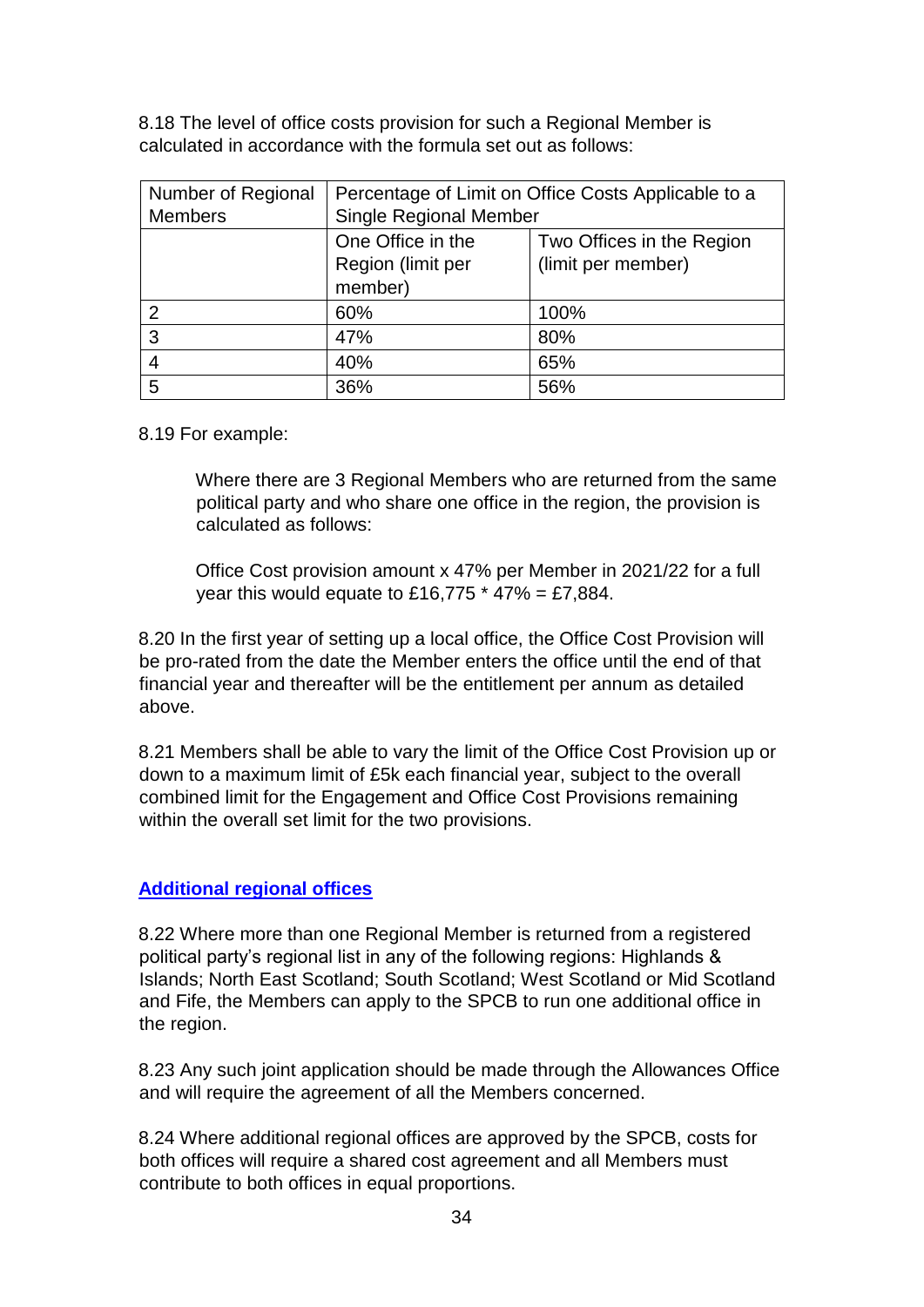8.18 The level of office costs provision for such a Regional Member is calculated in accordance with the formula set out as follows:

| Number of Regional | Percentage of Limit on Office Costs Applicable to a |                    |  |
|--------------------|-----------------------------------------------------|--------------------|--|
| <b>Members</b>     | <b>Single Regional Member</b>                       |                    |  |
|                    | One Office in the<br>Two Offices in the Region      |                    |  |
|                    | Region (limit per                                   | (limit per member) |  |
|                    | member)                                             |                    |  |
| $\mathcal{P}$      | 60%                                                 | 100%               |  |
| 3                  | 47%                                                 | 80%                |  |
|                    | 40%                                                 | 65%                |  |
| 5                  | 36%                                                 | 56%                |  |

8.19 For example:

Where there are 3 Regional Members who are returned from the same political party and who share one office in the region, the provision is calculated as follows:

Office Cost provision amount x 47% per Member in 2021/22 for a full year this would equate to £16,775  $*$  47% = £7,884.

8.20 In the first year of setting up a local office, the Office Cost Provision will be pro-rated from the date the Member enters the office until the end of that financial year and thereafter will be the entitlement per annum as detailed above.

8.21 Members shall be able to vary the limit of the Office Cost Provision up or down to a maximum limit of £5k each financial year, subject to the overall combined limit for the Engagement and Office Cost Provisions remaining within the overall set limit for the two provisions.

## **Additional regional offices**

8.22 Where more than one Regional Member is returned from a registered political party's regional list in any of the following regions: Highlands & Islands; North East Scotland; South Scotland; West Scotland or Mid Scotland and Fife, the Members can apply to the SPCB to run one additional office in the region.

8.23 Any such joint application should be made through the Allowances Office and will require the agreement of all the Members concerned.

8.24 Where additional regional offices are approved by the SPCB, costs for both offices will require a shared cost agreement and all Members must contribute to both offices in equal proportions.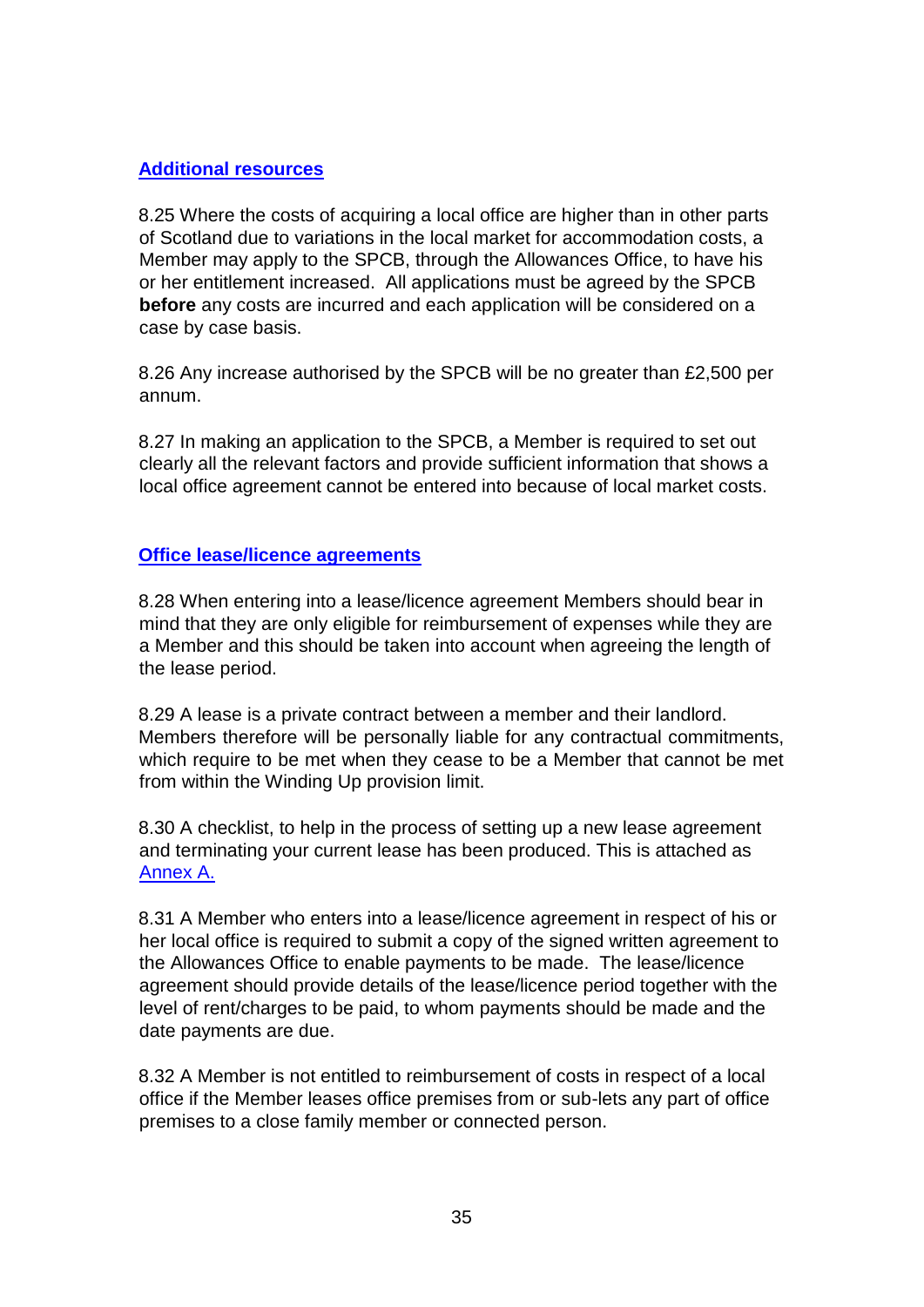## **Additional resources**

8.25 Where the costs of acquiring a local office are higher than in other parts of Scotland due to variations in the local market for accommodation costs, a Member may apply to the SPCB, through the Allowances Office, to have his or her entitlement increased. All applications must be agreed by the SPCB **before** any costs are incurred and each application will be considered on a case by case basis.

8.26 Any increase authorised by the SPCB will be no greater than £2,500 per annum.

8.27 In making an application to the SPCB, a Member is required to set out clearly all the relevant factors and provide sufficient information that shows a local office agreement cannot be entered into because of local market costs.

#### **Office lease/licence agreements**

8.28 When entering into a lease/licence agreement Members should bear in mind that they are only eligible for reimbursement of expenses while they are a Member and this should be taken into account when agreeing the length of the lease period.

8.29 A lease is a private contract between a member and their landlord. Members therefore will be personally liable for any contractual commitments, which require to be met when they cease to be a Member that cannot be met from within the Winding Up provision limit.

8.30 A checklist, to help in the process of setting up a new lease agreement and terminating your current lease has been produced. This is attached as Annex A.

8.31 A Member who enters into a lease/licence agreement in respect of his or her local office is required to submit a copy of the signed written agreement to the Allowances Office to enable payments to be made. The lease/licence agreement should provide details of the lease/licence period together with the level of rent/charges to be paid, to whom payments should be made and the date payments are due.

8.32 A Member is not entitled to reimbursement of costs in respect of a local office if the Member leases office premises from or sub-lets any part of office premises to a close family member or connected person.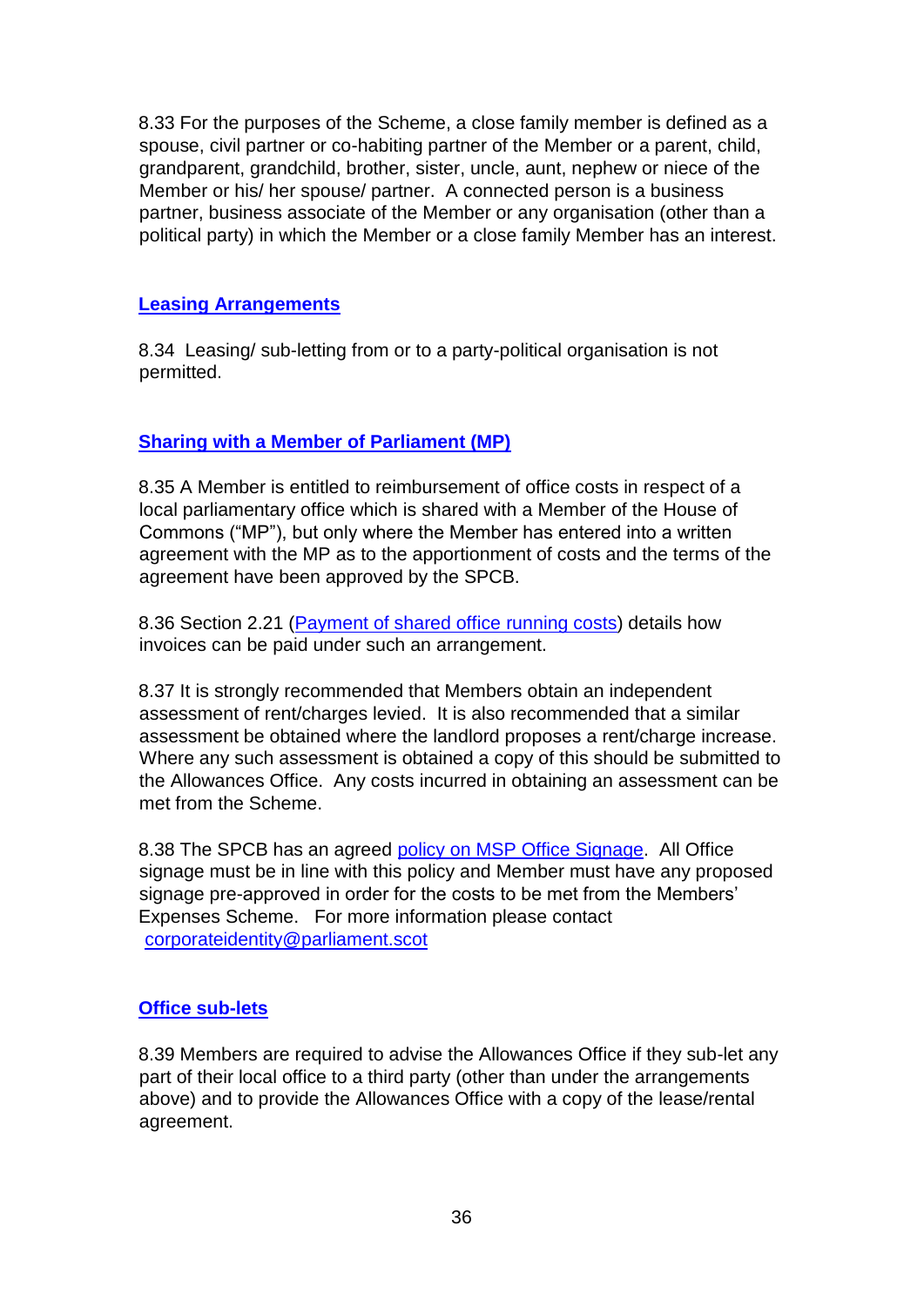8.33 For the purposes of the Scheme, a close family member is defined as a spouse, civil partner or co-habiting partner of the Member or a parent, child, grandparent, grandchild, brother, sister, uncle, aunt, nephew or niece of the Member or his/ her spouse/ partner. A connected person is a business partner, business associate of the Member or any organisation (other than a political party) in which the Member or a close family Member has an interest.

#### **Leasing Arrangements**

8.34 Leasing/ sub-letting from or to a party-political organisation is not permitted.

## **Sharing with a Member of Parliament (MP)**

8.35 A Member is entitled to reimbursement of office costs in respect of a local parliamentary office which is shared with a Member of the House of Commons ("MP"), but only where the Member has entered into a written agreement with the MP as to the apportionment of costs and the terms of the agreement have been approved by the SPCB.

8.36 Section 2.21 (Payment of shared office running costs) details how invoices can be paid under such an arrangement.

8.37 It is strongly recommended that Members obtain an independent assessment of rent/charges levied. It is also recommended that a similar assessment be obtained where the landlord proposes a rent/charge increase. Where any such assessment is obtained a copy of this should be submitted to the Allowances Office. Any costs incurred in obtaining an assessment can be met from the Scheme.

8.38 The SPCB has an agree[d](https://archive2021.parliament.scot/intranet/18119.aspx) [policy on MSP Office Signage.](https://archive2021.parliament.scot/intranet/18119.aspx) All Office signage must be in line with this policy and Member must have any proposed signage pre-approved in order for the costs to be met from the Members' Expenses Scheme. For more information please contact corporateidentity@parliament.scot

#### **Office sub-lets**

8.39 Members are required to advise the Allowances Office if they sub-let any part of their local office to a third party (other than under the arrangements above) and to provide the Allowances Office with a copy of the lease/rental agreement.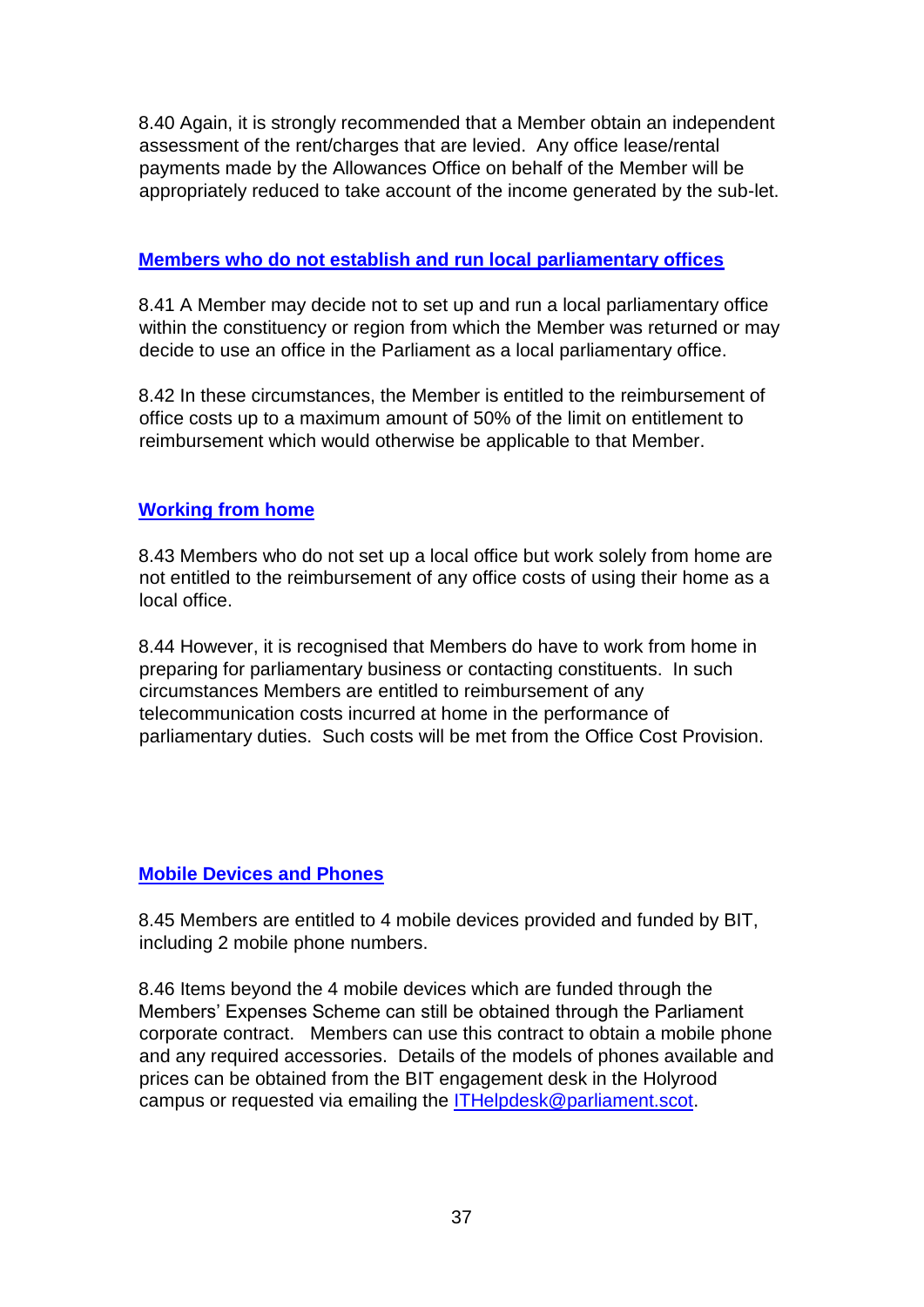8.40 Again, it is strongly recommended that a Member obtain an independent assessment of the rent/charges that are levied. Any office lease/rental payments made by the Allowances Office on behalf of the Member will be appropriately reduced to take account of the income generated by the sub-let.

#### **Members who do not establish and run local parliamentary offices**

8.41 A Member may decide not to set up and run a local parliamentary office within the constituency or region from which the Member was returned or may decide to use an office in the Parliament as a local parliamentary office.

8.42 In these circumstances, the Member is entitled to the reimbursement of office costs up to a maximum amount of 50% of the limit on entitlement to reimbursement which would otherwise be applicable to that Member.

## **Working from home**

8.43 Members who do not set up a local office but work solely from home are not entitled to the reimbursement of any office costs of using their home as a local office.

8.44 However, it is recognised that Members do have to work from home in preparing for parliamentary business or contacting constituents. In such circumstances Members are entitled to reimbursement of any telecommunication costs incurred at home in the performance of parliamentary duties. Such costs will be met from the Office Cost Provision.

## **Mobile Devices and Phones**

8.45 Members are entitled to 4 mobile devices provided and funded by BIT, including 2 mobile phone numbers.

8.46 Items beyond the 4 mobile devices which are funded through the Members' Expenses Scheme can still be obtained through the Parliament corporate contract. Members can use this contract to obtain a mobile phone and any required accessories. Details of the models of phones available and prices can be obtained from the BIT engagement desk in the Holyrood campus or requested via emailing the ITHelpdesk@parliament.scot.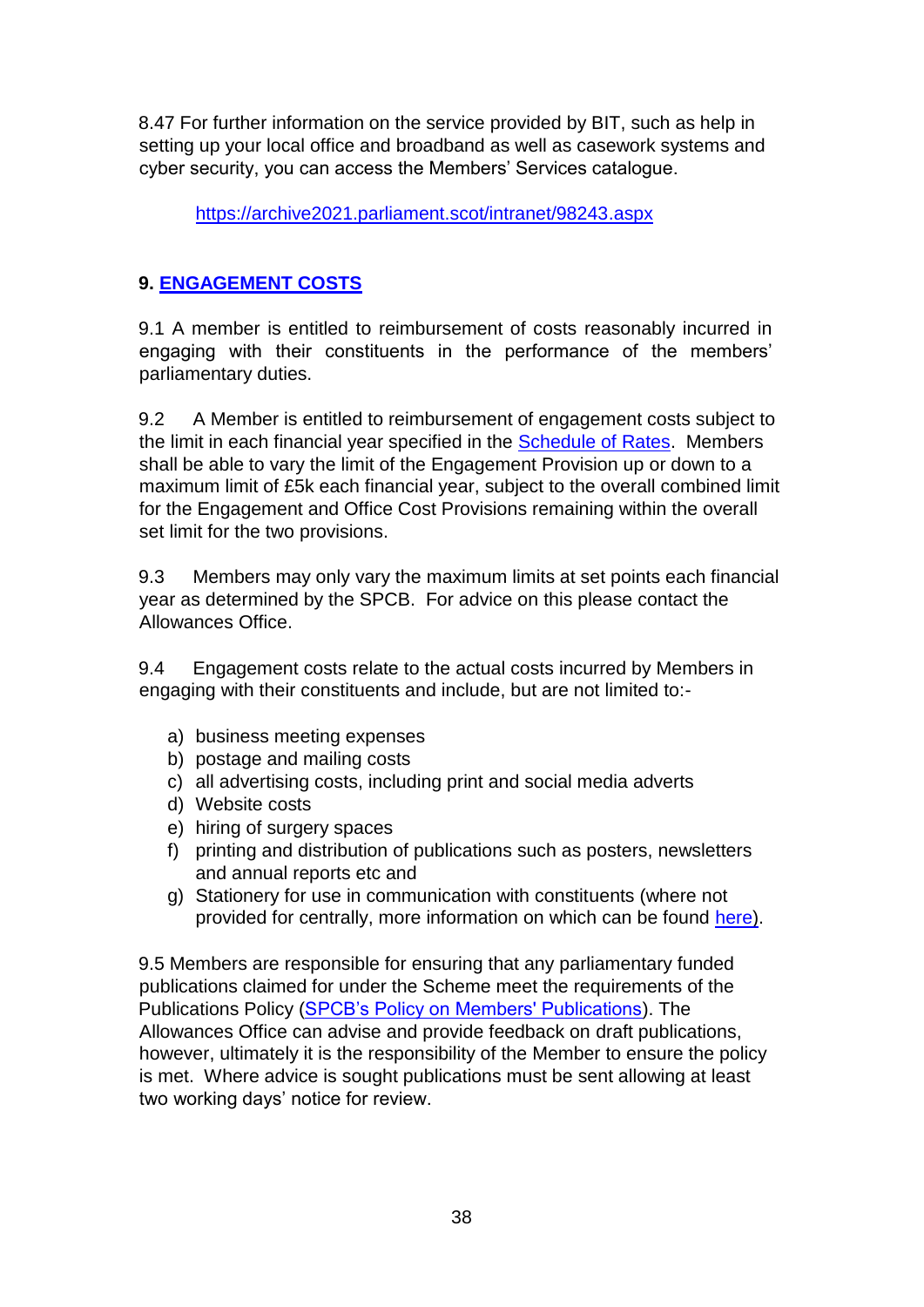8.47 For further information on the service provided by BIT, such as help in setting up your local office and broadband as well as casework systems and cyber security, you can access the Members' Services catalogue.

<https://archive2021.parliament.scot/intranet/98243.aspx>

# **9. ENGAGEMENT COSTS**

9.1 A member is entitled to reimbursement of costs reasonably incurred in engaging with their constituents in the performance of the members' parliamentary duties.

9.2 A Member is entitled to reimbursement of engagement costs subject to the limit in each financial year specified in the [Schedule of Rates.](https://www.parliament.scot/msps/members-expenses/allowances-rates) Members shall be able to vary the limit of the Engagement Provision up or down to a maximum limit of £5k each financial year, subject to the overall combined limit for the Engagement and Office Cost Provisions remaining within the overall set limit for the two provisions.

9.3 Members may only vary the maximum limits at set points each financial year as determined by the SPCB. For advice on this please contact the Allowances Office.

9.4 Engagement costs relate to the actual costs incurred by Members in engaging with their constituents and include, but are not limited to:-

- a) business meeting expenses
- b) postage and mailing costs
- c) all advertising costs, including print and social media adverts
- d) Website costs
- e) hiring of surgery spaces
- f) printing and distribution of publications such as posters, newsletters and annual reports etc and
- g) Stationery for use in communication with constituents (where not provided for centrally, more information on which can be found [here\).](https://archive2021.parliament.scot/FMResources/0421_Cost_allocation_For_MSPs.doc)

9.5 Members are responsible for ensuring that any parliamentary funded publications claimed for under the Scheme meet the requirements of the Publications Policy [\(SPCB's Policy on Members' Publications\).](https://archive2021.parliament.scot/msps/43147.aspx) The Allowances Office can advise and provide feedback on draft publications, however, ultimately it is the responsibility of the Member to ensure the policy is met. Where advice is sought publications must be sent allowing at least two working days' notice for review.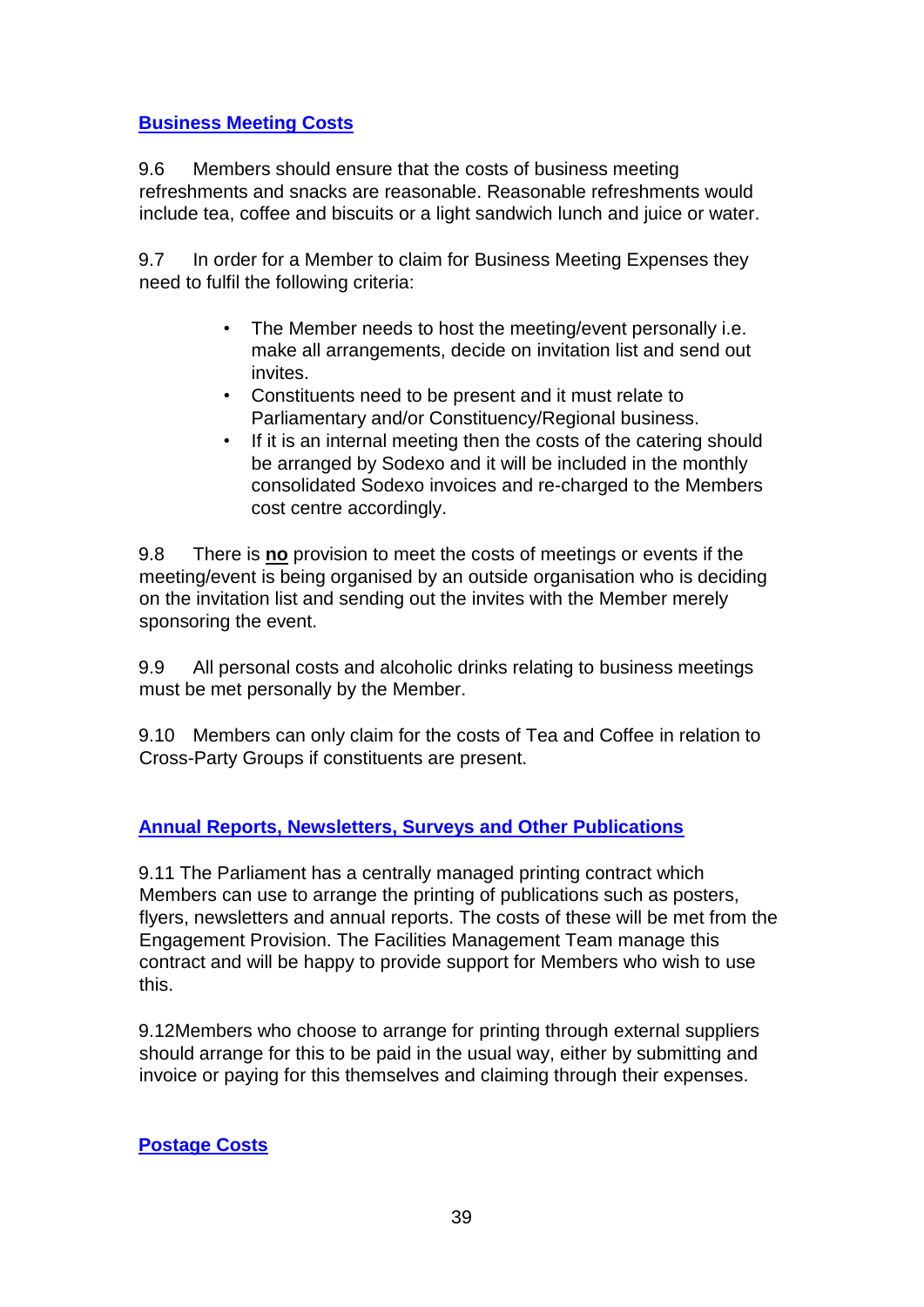# **Business Meeting Costs**

9.6 Members should ensure that the costs of business meeting refreshments and snacks are reasonable. Reasonable refreshments would include tea, coffee and biscuits or a light sandwich lunch and juice or water.

9.7 In order for a Member to claim for Business Meeting Expenses they need to fulfil the following criteria:

- The Member needs to host the meeting/event personally i.e. make all arrangements, decide on invitation list and send out invites.
- Constituents need to be present and it must relate to Parliamentary and/or Constituency/Regional business.
- If it is an internal meeting then the costs of the catering should be arranged by Sodexo and it will be included in the monthly consolidated Sodexo invoices and re-charged to the Members cost centre accordingly.

9.8 There is **no** provision to meet the costs of meetings or events if the meeting/event is being organised by an outside organisation who is deciding on the invitation list and sending out the invites with the Member merely sponsoring the event.

9.9 All personal costs and alcoholic drinks relating to business meetings must be met personally by the Member.

9.10 Members can only claim for the costs of Tea and Coffee in relation to Cross-Party Groups if constituents are present.

# **Annual Reports, Newsletters, Surveys and Other Publications**

9.11 The Parliament has a centrally managed printing contract which Members can use to arrange the printing of publications such as posters, flyers, newsletters and annual reports. The costs of these will be met from the Engagement Provision. The Facilities Management Team manage this contract and will be happy to provide support for Members who wish to use this.

9.12Members who choose to arrange for printing through external suppliers should arrange for this to be paid in the usual way, either by submitting and invoice or paying for this themselves and claiming through their expenses.

## **Postage Costs**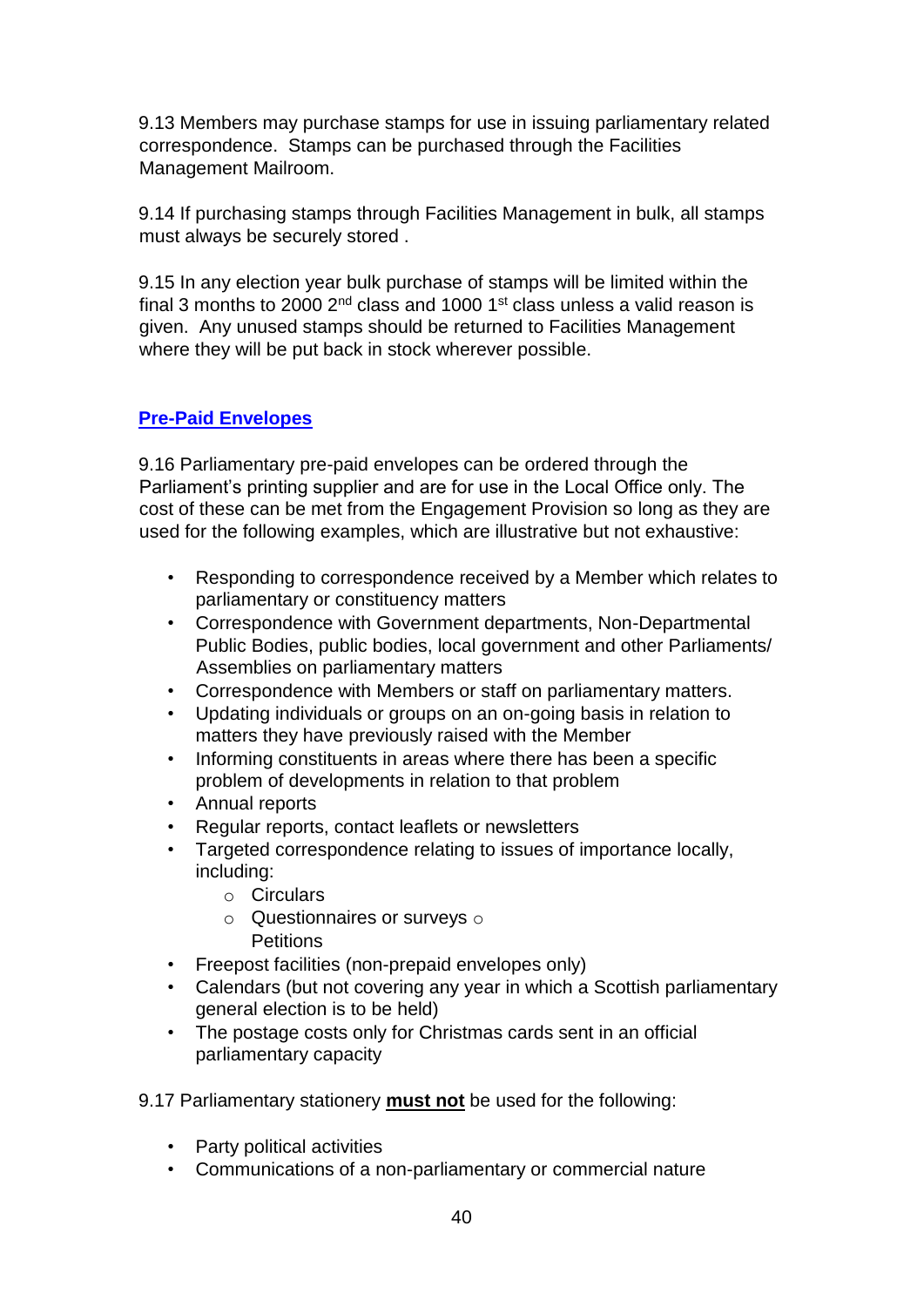9.13 Members may purchase stamps for use in issuing parliamentary related correspondence. Stamps can be purchased through the Facilities Management Mailroom.

9.14 If purchasing stamps through Facilities Management in bulk, all stamps must always be securely stored .

9.15 In any election year bulk purchase of stamps will be limited within the final 3 months to 2000  $2<sup>nd</sup>$  class and 1000 1<sup>st</sup> class unless a valid reason is given. Any unused stamps should be returned to Facilities Management where they will be put back in stock wherever possible.

# **Pre-Paid Envelopes**

9.16 Parliamentary pre-paid envelopes can be ordered through the Parliament's printing supplier and are for use in the Local Office only. The cost of these can be met from the Engagement Provision so long as they are used for the following examples, which are illustrative but not exhaustive:

- Responding to correspondence received by a Member which relates to parliamentary or constituency matters
- Correspondence with Government departments, Non-Departmental Public Bodies, public bodies, local government and other Parliaments/ Assemblies on parliamentary matters
- Correspondence with Members or staff on parliamentary matters.
- Updating individuals or groups on an on-going basis in relation to matters they have previously raised with the Member
- Informing constituents in areas where there has been a specific problem of developments in relation to that problem
- Annual reports
- Regular reports, contact leaflets or newsletters
- Targeted correspondence relating to issues of importance locally, including:
	- o Circulars
	- $\circ$  Questionnaires or surveys  $\circ$ **Petitions**
- Freepost facilities (non-prepaid envelopes only)
- Calendars (but not covering any year in which a Scottish parliamentary general election is to be held)
- The postage costs only for Christmas cards sent in an official parliamentary capacity
- 9.17 Parliamentary stationery **must not** be used for the following:
	- Party political activities
	- Communications of a non-parliamentary or commercial nature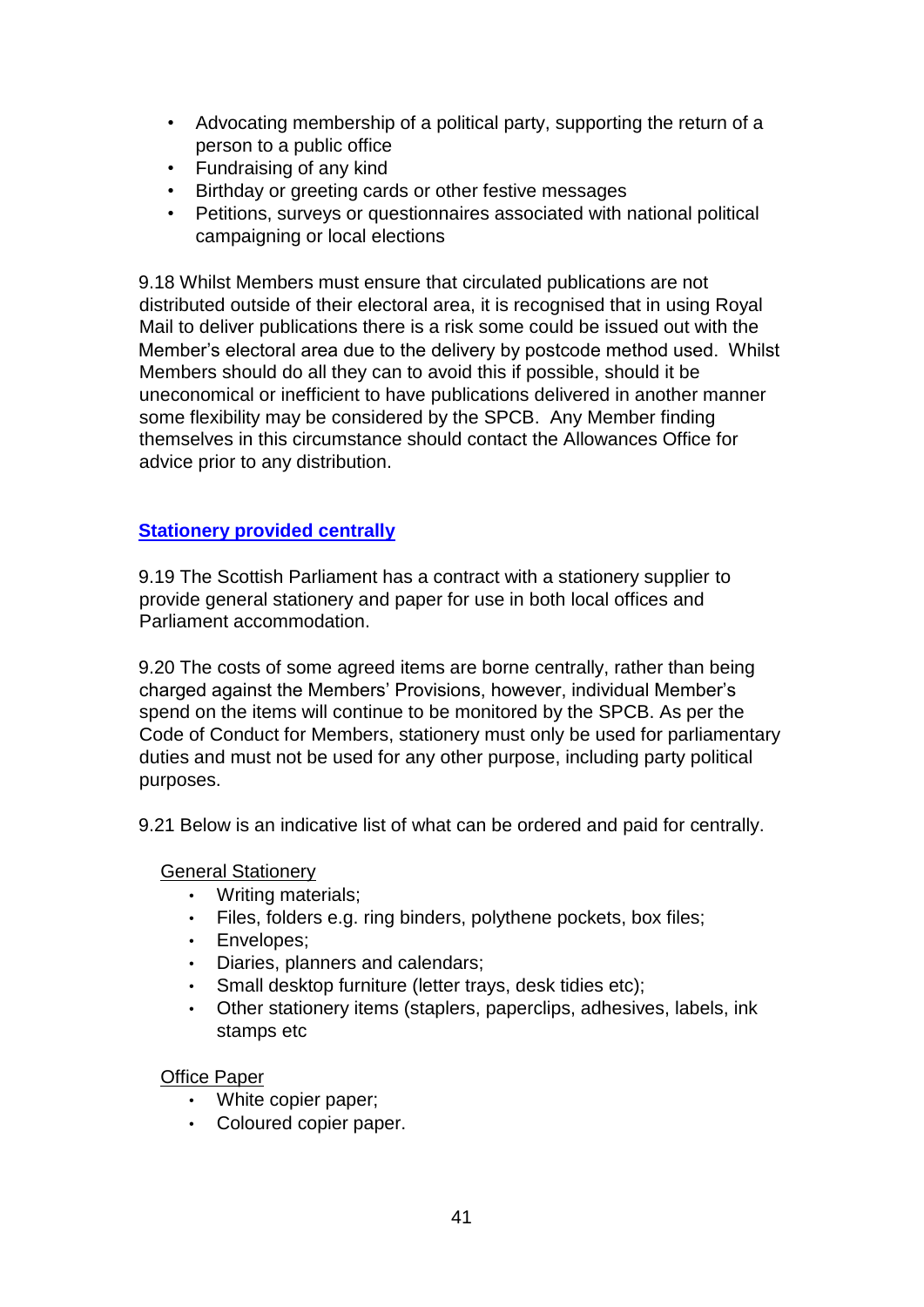- Advocating membership of a political party, supporting the return of a person to a public office
- Fundraising of any kind
- Birthday or greeting cards or other festive messages
- Petitions, surveys or questionnaires associated with national political campaigning or local elections

9.18 Whilst Members must ensure that circulated publications are not distributed outside of their electoral area, it is recognised that in using Royal Mail to deliver publications there is a risk some could be issued out with the Member's electoral area due to the delivery by postcode method used. Whilst Members should do all they can to avoid this if possible, should it be uneconomical or inefficient to have publications delivered in another manner some flexibility may be considered by the SPCB. Any Member finding themselves in this circumstance should contact the Allowances Office for advice prior to any distribution.

#### **Stationery provided centrally**

9.19 The Scottish Parliament has a contract with a stationery supplier to provide general stationery and paper for use in both local offices and Parliament accommodation.

9.20 The costs of some agreed items are borne centrally, rather than being charged against the Members' Provisions, however, individual Member's spend on the items will continue to be monitored by the SPCB. As per the Code of Conduct for Members, stationery must only be used for parliamentary duties and must not be used for any other purpose, including party political purposes.

9.21 Below is an indicative list of what can be ordered and paid for centrally.

#### General Stationery

- Writing materials;
- Files, folders e.g. ring binders, polythene pockets, box files;
- Envelopes;
- Diaries, planners and calendars;
- Small desktop furniture (letter trays, desk tidies etc);
- Other stationery items (staplers, paperclips, adhesives, labels, ink stamps etc

#### Office Paper

- White copier paper;
- Coloured copier paper.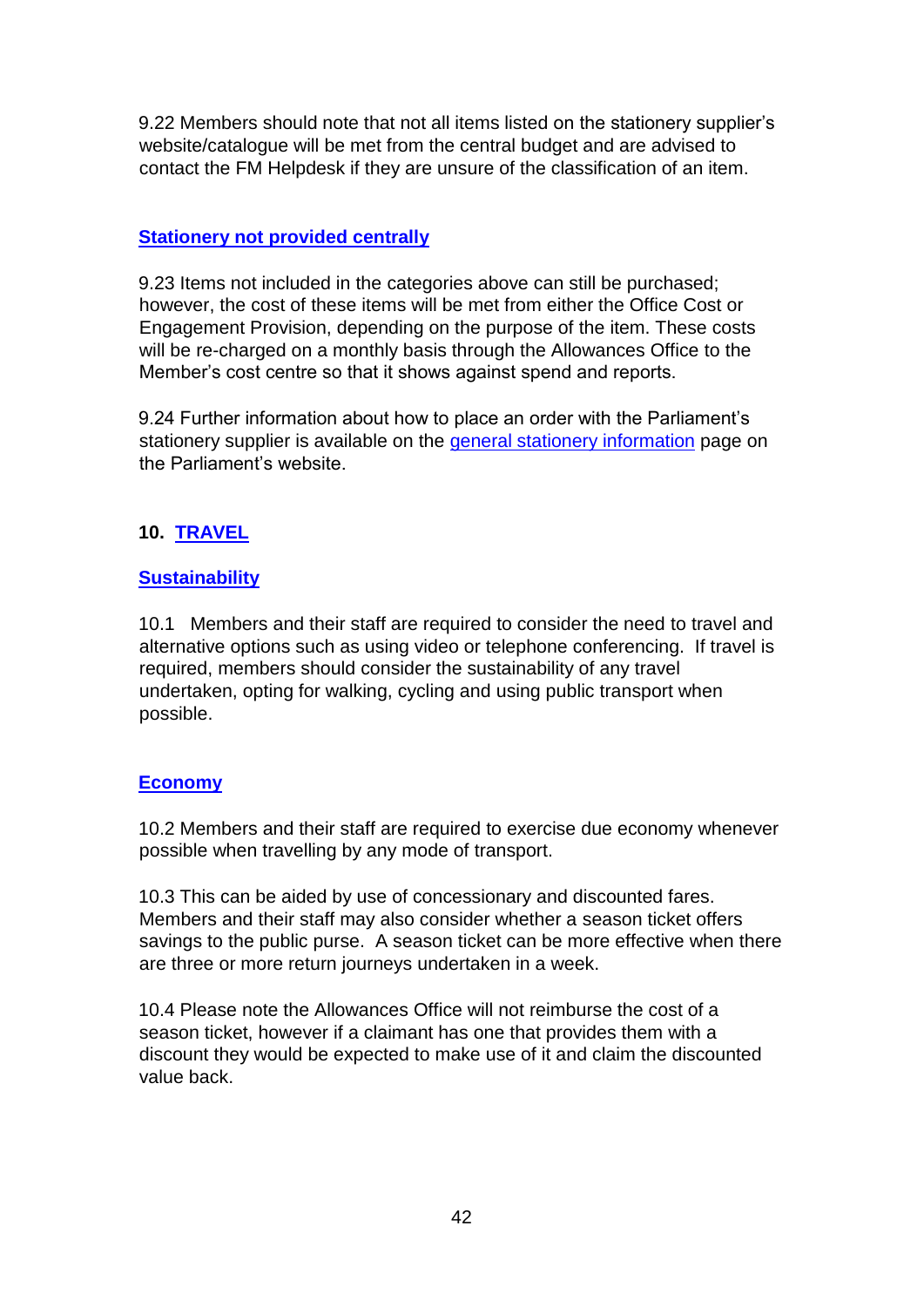9.22 Members should note that not all items listed on the stationery supplier's website/catalogue will be met from the central budget and are advised to contact the FM Helpdesk if they are unsure of the classification of an item.

## **Stationery not provided centrally**

9.23 Items not included in the categories above can still be purchased; however, the cost of these items will be met from either the Office Cost or Engagement Provision, depending on the purpose of the item. These costs will be re-charged on a monthly basis through the Allowances Office to the Member's cost centre so that it shows against spend and reports.

9.24 Further information about how to place an order with the Parliament's stationery supplier is available on the [general stationery information](https://archive2021.parliament.scot/intranet/21121.aspx) [p](https://archive2021.parliament.scot/intranet/21121.aspx)age on the Parliament's website.

# **10. TRAVEL**

# **Sustainability**

10.1 Members and their staff are required to consider the need to travel and alternative options such as using video or telephone conferencing. If travel is required, members should consider the sustainability of any travel undertaken, opting for walking, cycling and using public transport when possible.

## **Economy**

10.2 Members and their staff are required to exercise due economy whenever possible when travelling by any mode of transport.

10.3 This can be aided by use of concessionary and discounted fares. Members and their staff may also consider whether a season ticket offers savings to the public purse. A season ticket can be more effective when there are three or more return journeys undertaken in a week.

10.4 Please note the Allowances Office will not reimburse the cost of a season ticket, however if a claimant has one that provides them with a discount they would be expected to make use of it and claim the discounted value back.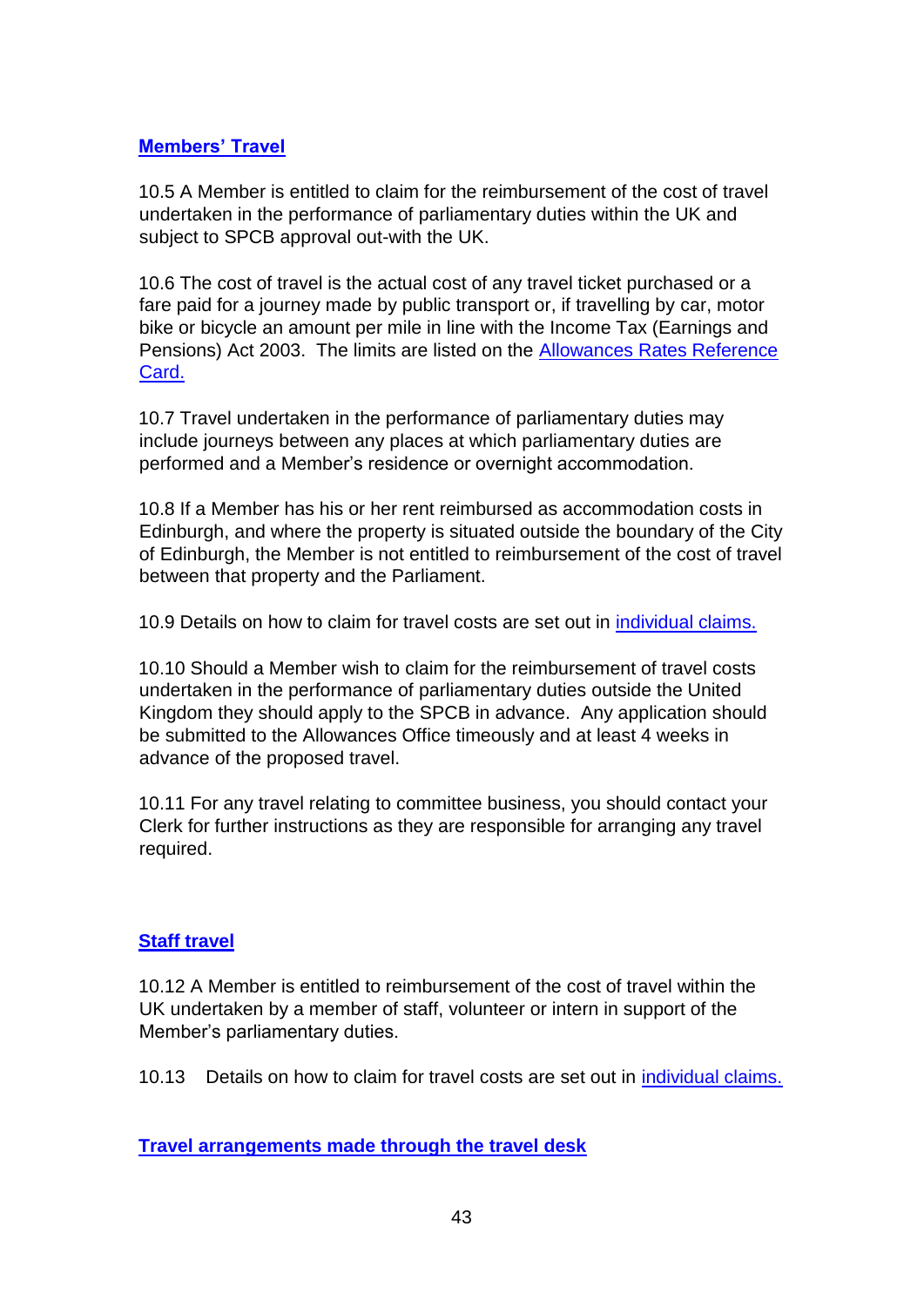#### **Members' Travel**

10.5 A Member is entitled to claim for the reimbursement of the cost of travel undertaken in the performance of parliamentary duties within the UK and subject to SPCB approval out-with the UK.

10.6 The cost of travel is the actual cost of any travel ticket purchased or a fare paid for a journey made by public transport or, if travelling by car, motor bike or bicycle an amount per mile in line with the Income Tax (Earnings and Pensions) Act 2003. The limits are listed on the [Allowances Rates Reference](https://www.parliament.scot/msps/members-expenses/allowances-rates) [Card.](https://www.parliament.scot/msps/members-expenses/allowances-rates)

10.7 Travel undertaken in the performance of parliamentary duties may include journeys between any places at which parliamentary duties are performed and a Member's residence or overnight accommodation.

10.8 If a Member has his or her rent reimbursed as accommodation costs in Edinburgh, and where the property is situated outside the boundary of the City of Edinburgh, the Member is not entitled to reimbursement of the cost of travel between that property and the Parliament.

10.9 Details on how to claim for travel costs are set out in individual claims.

10.10 Should a Member wish to claim for the reimbursement of travel costs undertaken in the performance of parliamentary duties outside the United Kingdom they should apply to the SPCB in advance. Any application should be submitted to the Allowances Office timeously and at least 4 weeks in advance of the proposed travel.

10.11 For any travel relating to committee business, you should contact your Clerk for further instructions as they are responsible for arranging any travel required.

## **Staff travel**

10.12 A Member is entitled to reimbursement of the cost of travel within the UK undertaken by a member of staff, volunteer or intern in support of the Member's parliamentary duties.

10.13 Details on how to claim for travel costs are set out in individual claims.

**Travel arrangements made through the travel desk**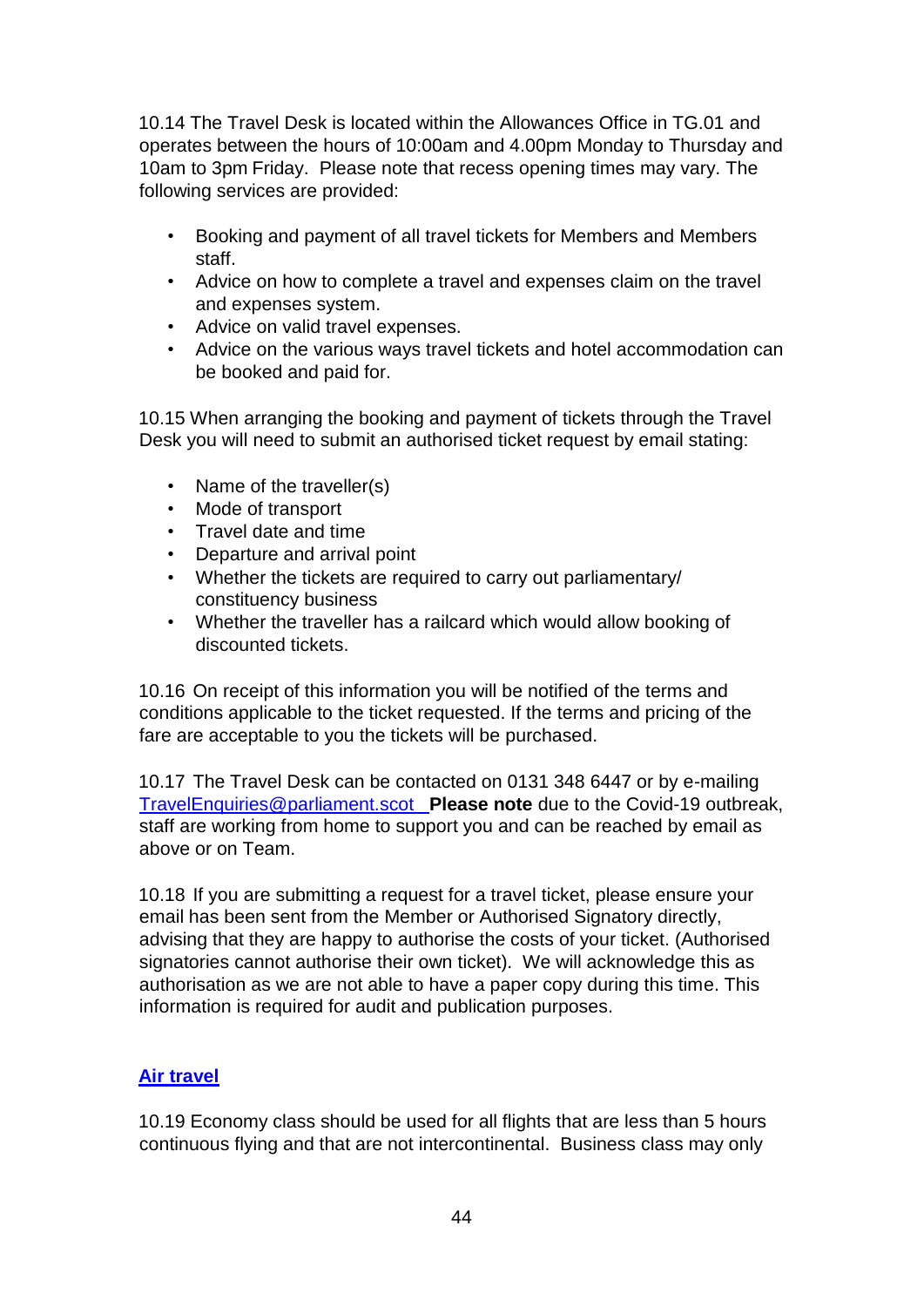10.14 The Travel Desk is located within the Allowances Office in TG.01 and operates between the hours of 10:00am and 4.00pm Monday to Thursday and 10am to 3pm Friday. Please note that recess opening times may vary. The following services are provided:

- Booking and payment of all travel tickets for Members and Members staff.
- Advice on how to complete a travel and expenses claim on the travel and expenses system.
- Advice on valid travel expenses.
- Advice on the various ways travel tickets and hotel accommodation can be booked and paid for.

10.15 When arranging the booking and payment of tickets through the Travel Desk you will need to submit an authorised ticket request by email stating:

- Name of the traveller(s)
- Mode of transport
- Travel date and time
- Departure and arrival point
- Whether the tickets are required to carry out parliamentary/ constituency business
- Whether the traveller has a railcard which would allow booking of discounted tickets.

10.16 On receipt of this information you will be notified of the terms and conditions applicable to the ticket requested. If the terms and pricing of the fare are acceptable to you the tickets will be purchased.

10.17 The Travel Desk can be contacted on 0131 348 6447 or by e-mailing TravelEnquiries@parliament.scot **Please note** due to the Covid-19 outbreak, staff are working from home to support you and can be reached by email as above or on Team.

10.18 If you are submitting a request for a travel ticket, please ensure your email has been sent from the Member or Authorised Signatory directly, advising that they are happy to authorise the costs of your ticket. (Authorised signatories cannot authorise their own ticket). We will acknowledge this as authorisation as we are not able to have a paper copy during this time. This information is required for audit and publication purposes.

# **Air travel**

10.19 Economy class should be used for all flights that are less than 5 hours continuous flying and that are not intercontinental. Business class may only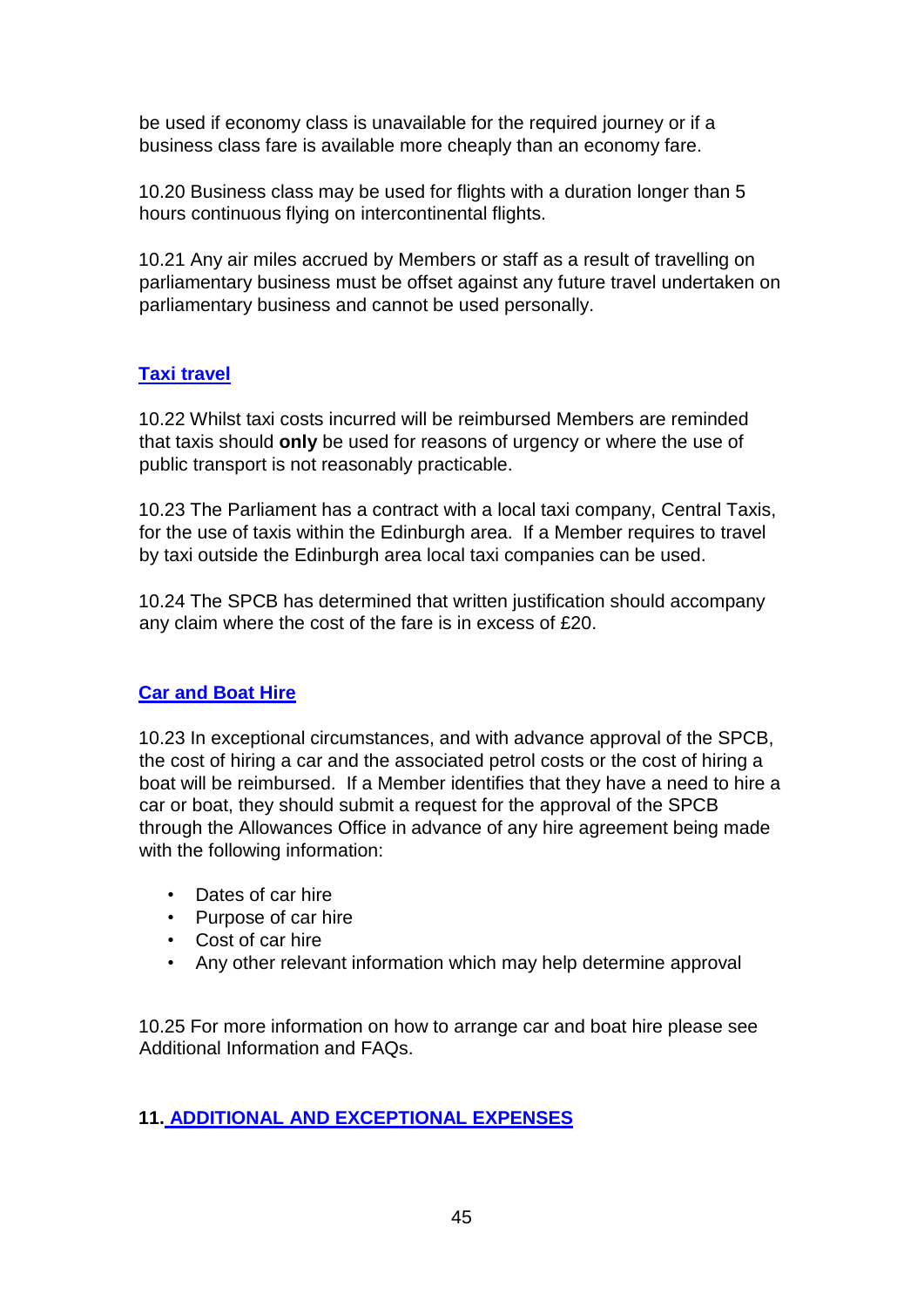be used if economy class is unavailable for the required journey or if a business class fare is available more cheaply than an economy fare.

10.20 Business class may be used for flights with a duration longer than 5 hours continuous flying on intercontinental flights.

10.21 Any air miles accrued by Members or staff as a result of travelling on parliamentary business must be offset against any future travel undertaken on parliamentary business and cannot be used personally.

# **Taxi travel**

10.22 Whilst taxi costs incurred will be reimbursed Members are reminded that taxis should **only** be used for reasons of urgency or where the use of public transport is not reasonably practicable.

10.23 The Parliament has a contract with a local taxi company, Central Taxis, for the use of taxis within the Edinburgh area. If a Member requires to travel by taxi outside the Edinburgh area local taxi companies can be used.

10.24 The SPCB has determined that written justification should accompany any claim where the cost of the fare is in excess of £20.

# **Car and Boat Hire**

10.23 In exceptional circumstances, and with advance approval of the SPCB, the cost of hiring a car and the associated petrol costs or the cost of hiring a boat will be reimbursed. If a Member identifies that they have a need to hire a car or boat, they should submit a request for the approval of the SPCB through the Allowances Office in advance of any hire agreement being made with the following information:

- Dates of car hire
- Purpose of car hire
- Cost of car hire
- Any other relevant information which may help determine approval

10.25 For more information on how to arrange car and boat hire please see Additional Information and FAQs.

# **11. ADDITIONAL AND EXCEPTIONAL EXPENSES**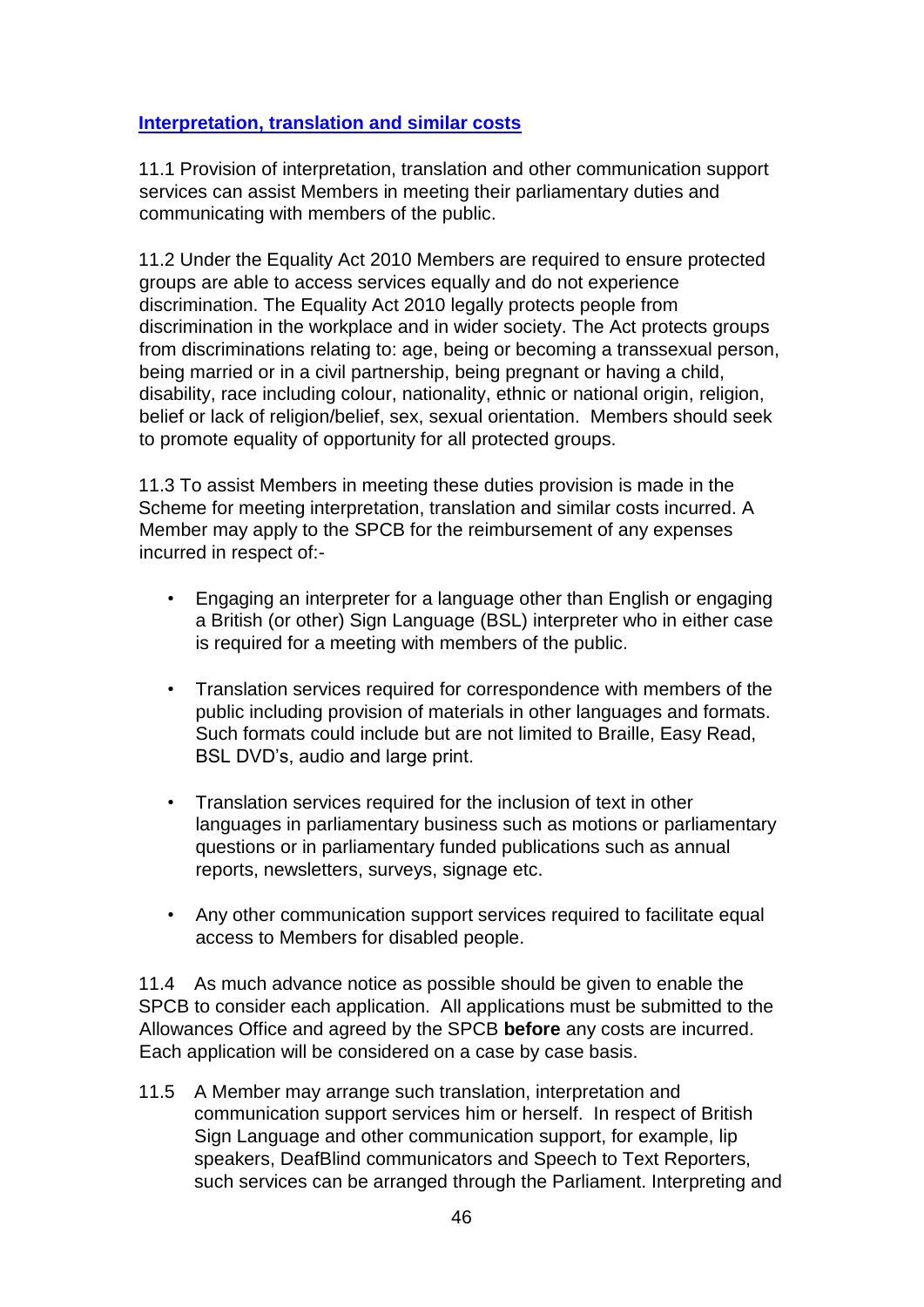## **Interpretation, translation and similar costs**

11.1 Provision of interpretation, translation and other communication support services can assist Members in meeting their parliamentary duties and communicating with members of the public.

11.2 Under the Equality Act 2010 Members are required to ensure protected groups are able to access services equally and do not experience discrimination. The Equality Act 2010 legally protects people from discrimination in the workplace and in wider society. The Act protects groups from discriminations relating to: age, being or becoming a transsexual person, being married or in a civil partnership, being pregnant or having a child, disability, race including colour, nationality, ethnic or national origin, religion, belief or lack of religion/belief, sex, sexual orientation. Members should seek to promote equality of opportunity for all protected groups.

11.3 To assist Members in meeting these duties provision is made in the Scheme for meeting interpretation, translation and similar costs incurred. A Member may apply to the SPCB for the reimbursement of any expenses incurred in respect of:-

- Engaging an interpreter for a language other than English or engaging a British (or other) Sign Language (BSL) interpreter who in either case is required for a meeting with members of the public.
- Translation services required for correspondence with members of the public including provision of materials in other languages and formats. Such formats could include but are not limited to Braille, Easy Read, BSL DVD's, audio and large print.
- Translation services required for the inclusion of text in other languages in parliamentary business such as motions or parliamentary questions or in parliamentary funded publications such as annual reports, newsletters, surveys, signage etc.
- Any other communication support services required to facilitate equal access to Members for disabled people.

11.4 As much advance notice as possible should be given to enable the SPCB to consider each application. All applications must be submitted to the Allowances Office and agreed by the SPCB **before** any costs are incurred. Each application will be considered on a case by case basis.

11.5 A Member may arrange such translation, interpretation and communication support services him or herself. In respect of British Sign Language and other communication support, for example, lip speakers, DeafBlind communicators and Speech to Text Reporters, such services can be arranged through the Parliament. Interpreting and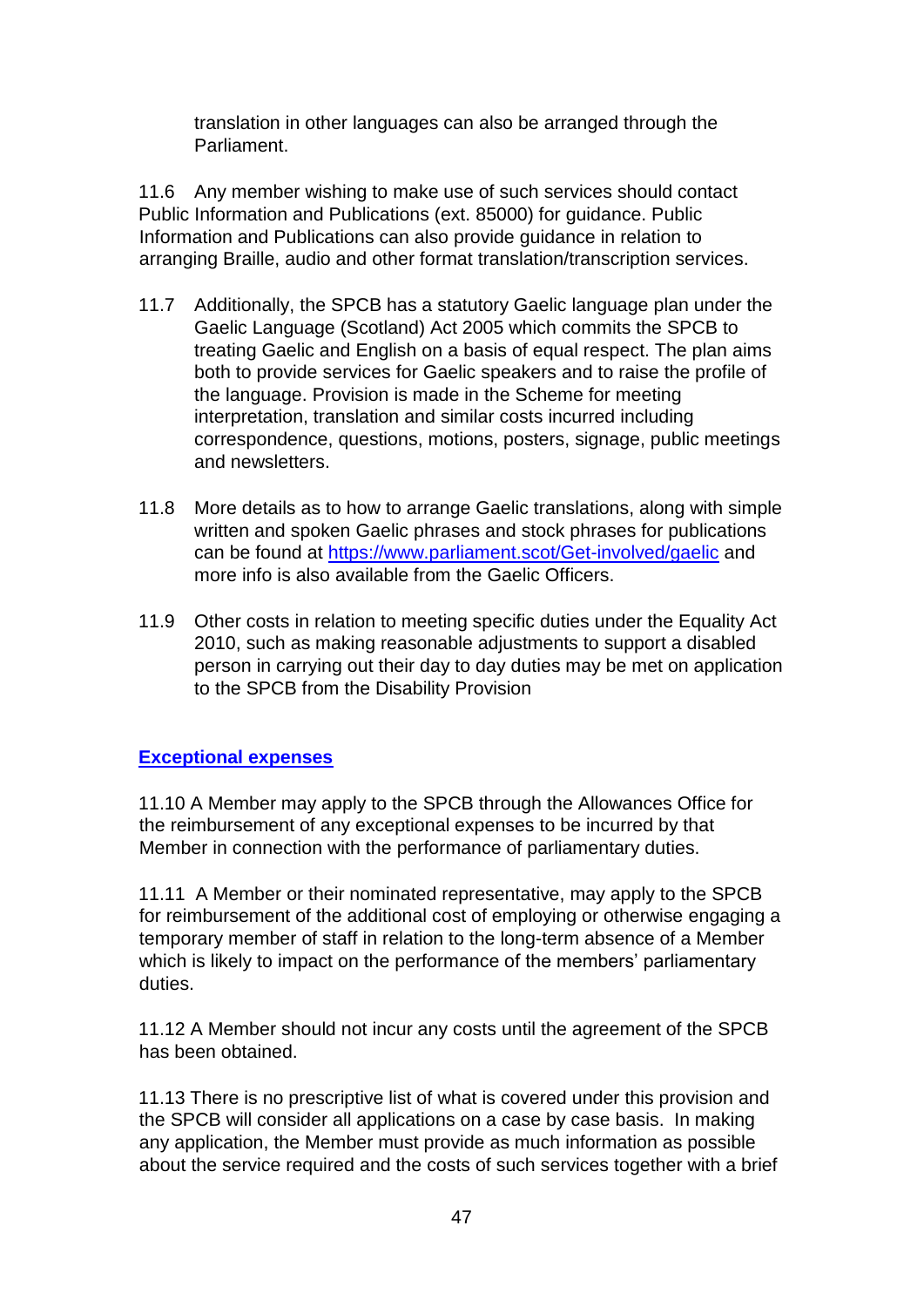translation in other languages can also be arranged through the Parliament.

11.6 Any member wishing to make use of such services should contact Public Information and Publications (ext. 85000) for guidance. Public Information and Publications can also provide guidance in relation to arranging Braille, audio and other format translation/transcription services.

- 11.7 Additionally, the SPCB has a statutory Gaelic language plan under the Gaelic Language (Scotland) Act 2005 which commits the SPCB to treating Gaelic and English on a basis of equal respect. The plan aims both to provide services for Gaelic speakers and to raise the profile of the language. Provision is made in the Scheme for meeting interpretation, translation and similar costs incurred including correspondence, questions, motions, posters, signage, public meetings and newsletters.
- 11.8 More details as to how to arrange Gaelic translations, along with simple written and spoken Gaelic phrases and stock phrases for publications can be found at<https://www.parliament.scot/Get-involved/gaelic> and more info is also available from the Gaelic Officers.
- 11.9 Other costs in relation to meeting specific duties under the Equality Act 2010, such as making reasonable adjustments to support a disabled person in carrying out their day to day duties may be met on application to the SPCB from the Disability Provision

## **Exceptional expenses**

11.10 A Member may apply to the SPCB through the Allowances Office for the reimbursement of any exceptional expenses to be incurred by that Member in connection with the performance of parliamentary duties.

11.11 A Member or their nominated representative, may apply to the SPCB for reimbursement of the additional cost of employing or otherwise engaging a temporary member of staff in relation to the long-term absence of a Member which is likely to impact on the performance of the members' parliamentary duties.

11.12 A Member should not incur any costs until the agreement of the SPCB has been obtained.

11.13 There is no prescriptive list of what is covered under this provision and the SPCB will consider all applications on a case by case basis. In making any application, the Member must provide as much information as possible about the service required and the costs of such services together with a brief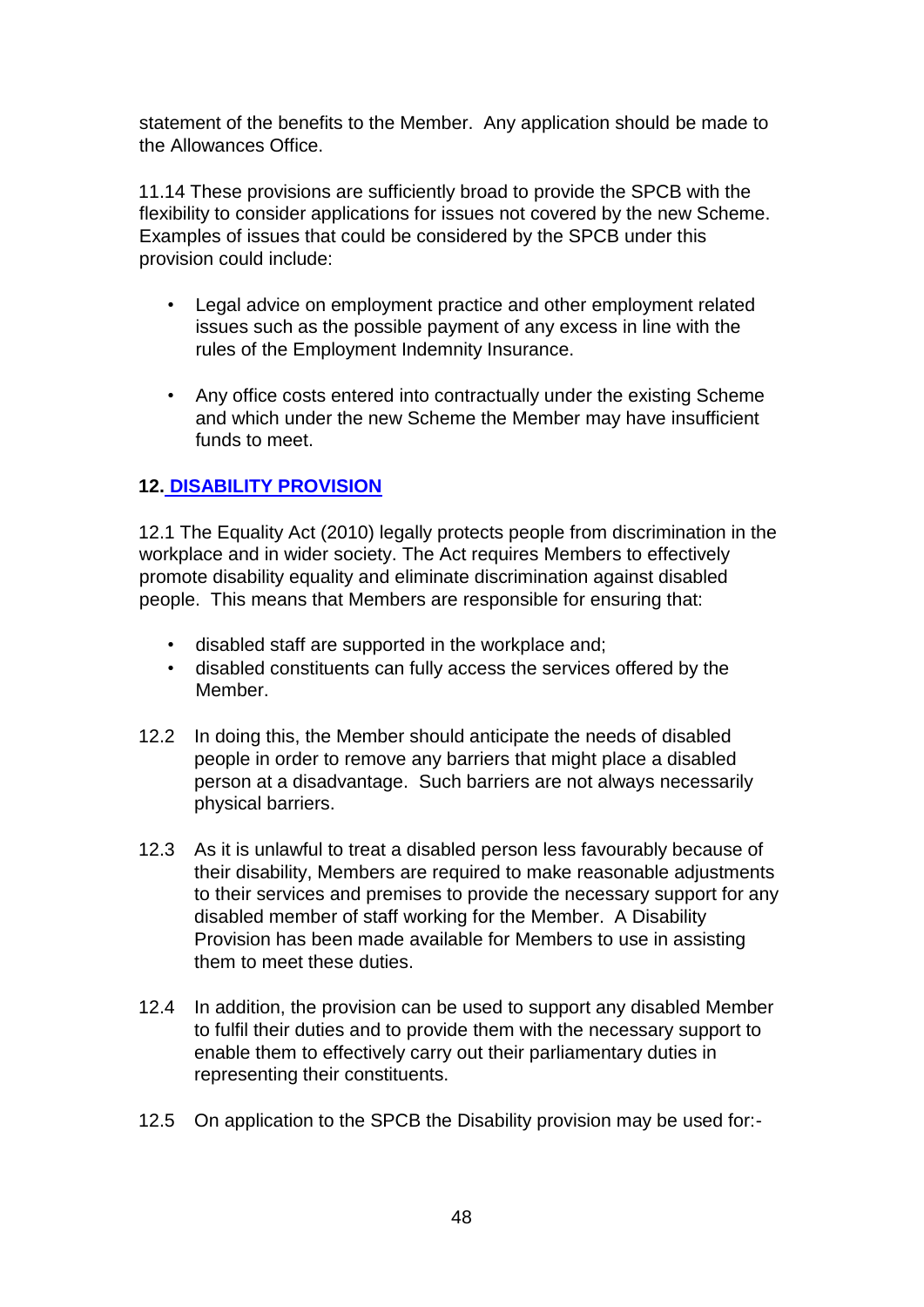statement of the benefits to the Member. Any application should be made to the Allowances Office.

11.14 These provisions are sufficiently broad to provide the SPCB with the flexibility to consider applications for issues not covered by the new Scheme. Examples of issues that could be considered by the SPCB under this provision could include:

- Legal advice on employment practice and other employment related issues such as the possible payment of any excess in line with the rules of the Employment Indemnity Insurance.
- Any office costs entered into contractually under the existing Scheme and which under the new Scheme the Member may have insufficient funds to meet.

# **12. DISABILITY PROVISION**

12.1 The Equality Act (2010) legally protects people from discrimination in the workplace and in wider society. The Act requires Members to effectively promote disability equality and eliminate discrimination against disabled people. This means that Members are responsible for ensuring that:

- disabled staff are supported in the workplace and;
- disabled constituents can fully access the services offered by the Member.
- 12.2 In doing this, the Member should anticipate the needs of disabled people in order to remove any barriers that might place a disabled person at a disadvantage. Such barriers are not always necessarily physical barriers.
- 12.3 As it is unlawful to treat a disabled person less favourably because of their disability, Members are required to make reasonable adjustments to their services and premises to provide the necessary support for any disabled member of staff working for the Member. A Disability Provision has been made available for Members to use in assisting them to meet these duties.
- 12.4 In addition, the provision can be used to support any disabled Member to fulfil their duties and to provide them with the necessary support to enable them to effectively carry out their parliamentary duties in representing their constituents.
- 12.5 On application to the SPCB the Disability provision may be used for:-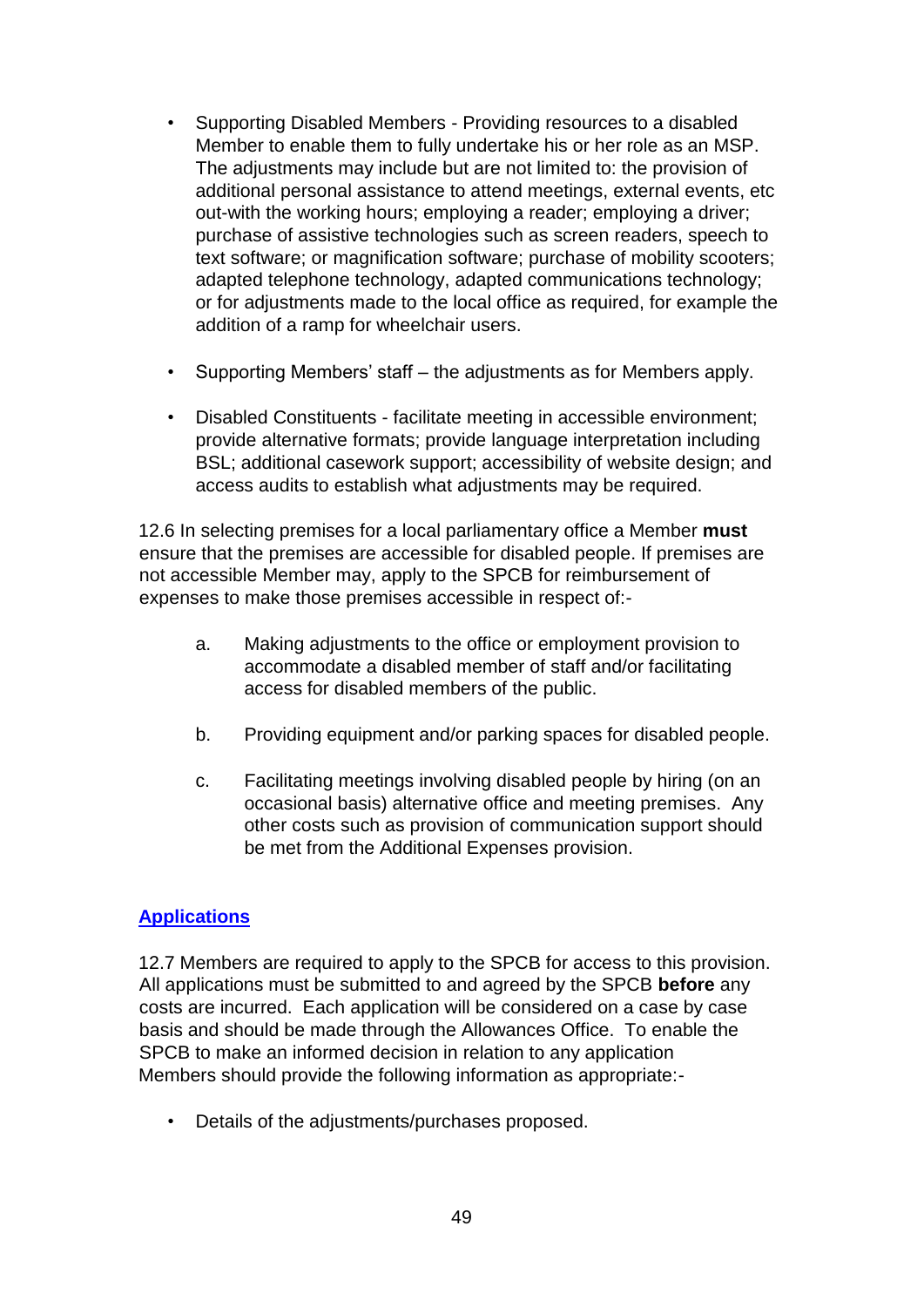- Supporting Disabled Members Providing resources to a disabled Member to enable them to fully undertake his or her role as an MSP. The adjustments may include but are not limited to: the provision of additional personal assistance to attend meetings, external events, etc out-with the working hours; employing a reader; employing a driver; purchase of assistive technologies such as screen readers, speech to text software; or magnification software; purchase of mobility scooters; adapted telephone technology, adapted communications technology; or for adjustments made to the local office as required, for example the addition of a ramp for wheelchair users.
- Supporting Members' staff the adjustments as for Members apply.
- Disabled Constituents facilitate meeting in accessible environment; provide alternative formats; provide language interpretation including BSL; additional casework support; accessibility of website design; and access audits to establish what adjustments may be required.

12.6 In selecting premises for a local parliamentary office a Member **must** ensure that the premises are accessible for disabled people. If premises are not accessible Member may, apply to the SPCB for reimbursement of expenses to make those premises accessible in respect of:-

- a. Making adjustments to the office or employment provision to accommodate a disabled member of staff and/or facilitating access for disabled members of the public.
- b. Providing equipment and/or parking spaces for disabled people.
- c. Facilitating meetings involving disabled people by hiring (on an occasional basis) alternative office and meeting premises. Any other costs such as provision of communication support should be met from the Additional Expenses provision.

## **Applications**

12.7 Members are required to apply to the SPCB for access to this provision. All applications must be submitted to and agreed by the SPCB **before** any costs are incurred. Each application will be considered on a case by case basis and should be made through the Allowances Office. To enable the SPCB to make an informed decision in relation to any application Members should provide the following information as appropriate:-

• Details of the adjustments/purchases proposed.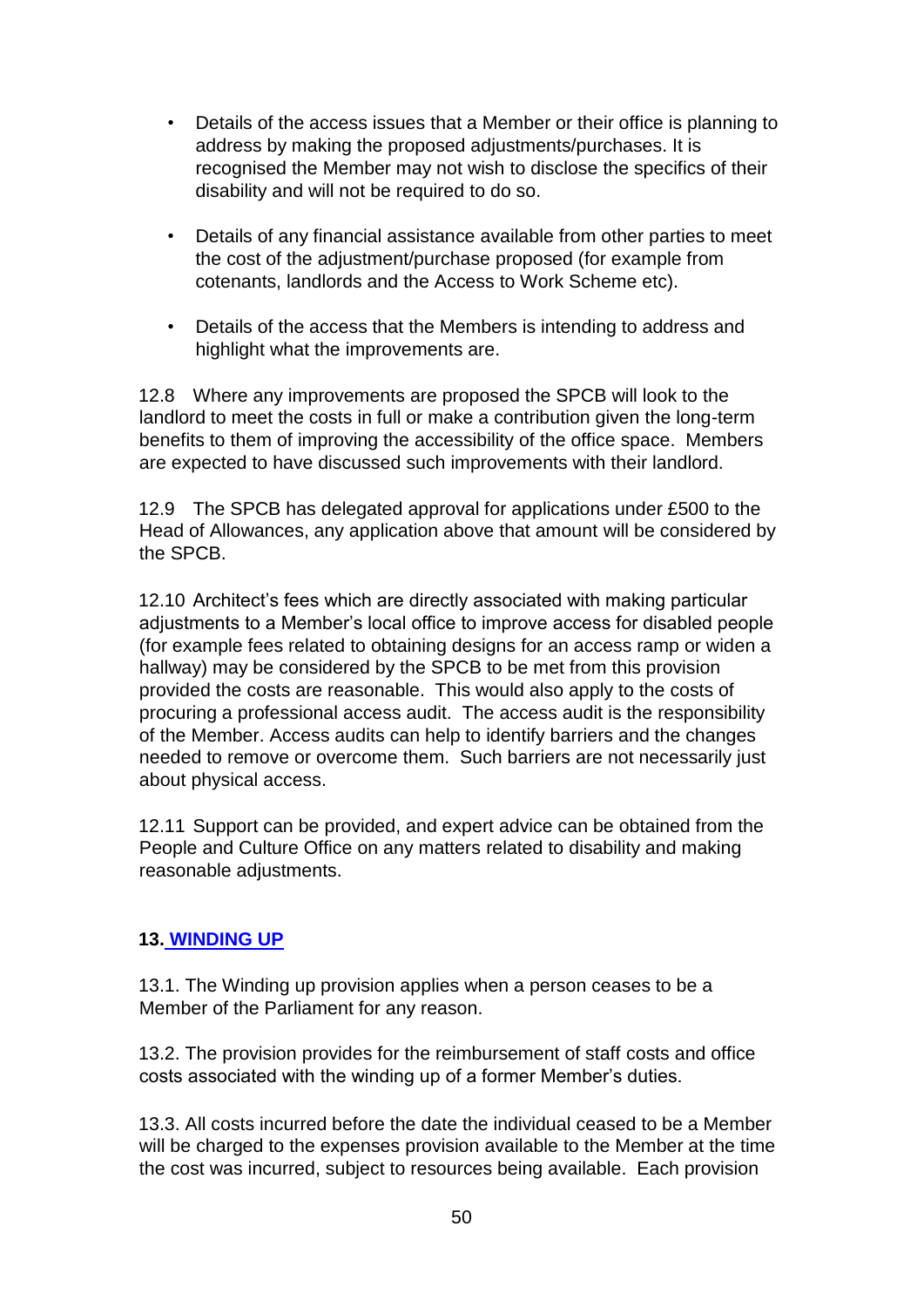- Details of the access issues that a Member or their office is planning to address by making the proposed adjustments/purchases. It is recognised the Member may not wish to disclose the specifics of their disability and will not be required to do so.
- Details of any financial assistance available from other parties to meet the cost of the adjustment/purchase proposed (for example from cotenants, landlords and the Access to Work Scheme etc).
- Details of the access that the Members is intending to address and highlight what the improvements are.

12.8 Where any improvements are proposed the SPCB will look to the landlord to meet the costs in full or make a contribution given the long-term benefits to them of improving the accessibility of the office space. Members are expected to have discussed such improvements with their landlord.

12.9 The SPCB has delegated approval for applications under £500 to the Head of Allowances, any application above that amount will be considered by the SPCB.

12.10 Architect's fees which are directly associated with making particular adjustments to a Member's local office to improve access for disabled people (for example fees related to obtaining designs for an access ramp or widen a hallway) may be considered by the SPCB to be met from this provision provided the costs are reasonable. This would also apply to the costs of procuring a professional access audit. The access audit is the responsibility of the Member. Access audits can help to identify barriers and the changes needed to remove or overcome them. Such barriers are not necessarily just about physical access.

12.11 Support can be provided, and expert advice can be obtained from the People and Culture Office on any matters related to disability and making reasonable adjustments.

## **13. WINDING UP**

13.1. The Winding up provision applies when a person ceases to be a Member of the Parliament for any reason.

13.2. The provision provides for the reimbursement of staff costs and office costs associated with the winding up of a former Member's duties.

13.3. All costs incurred before the date the individual ceased to be a Member will be charged to the expenses provision available to the Member at the time the cost was incurred, subject to resources being available. Each provision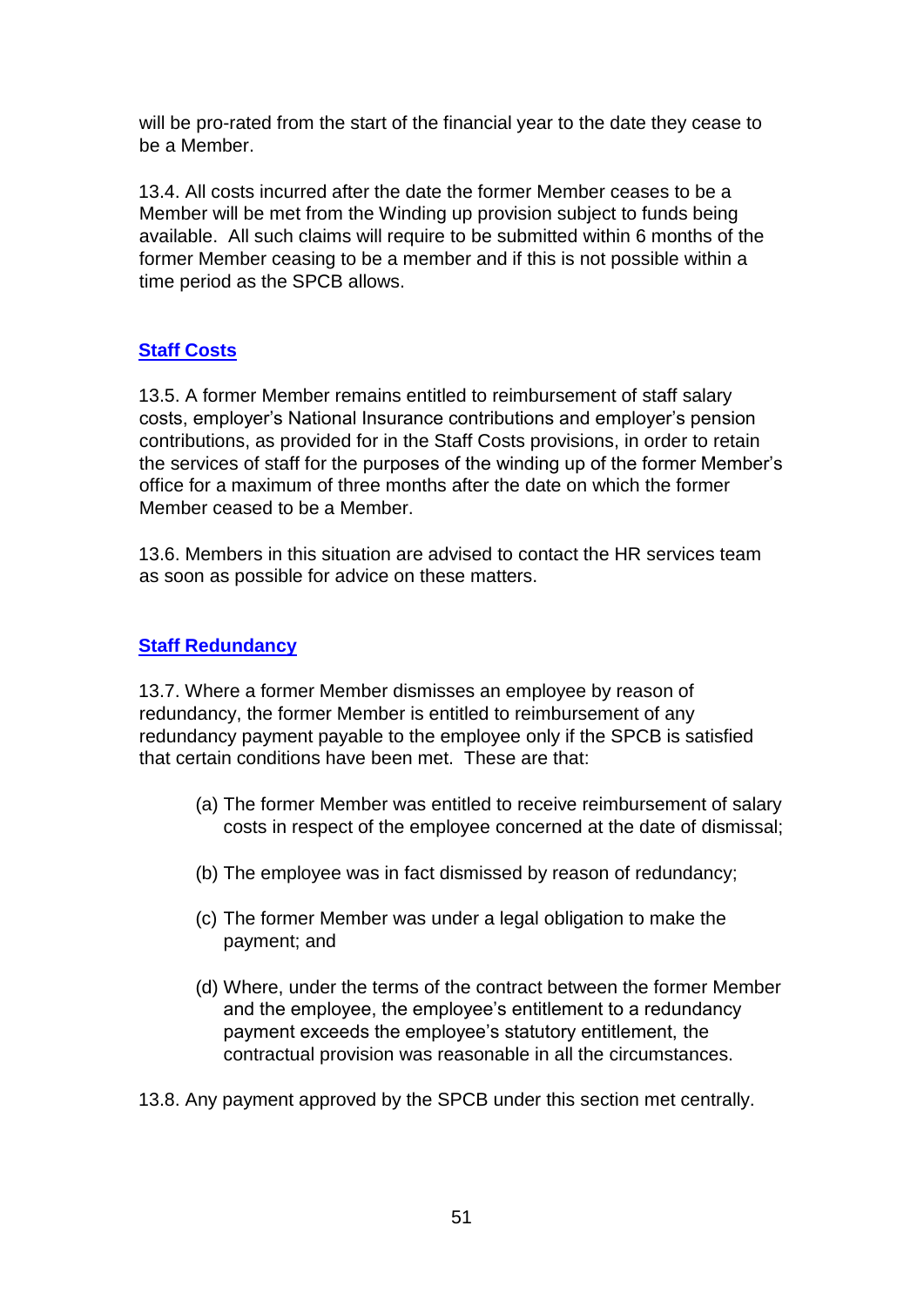will be pro-rated from the start of the financial year to the date they cease to be a Member.

13.4. All costs incurred after the date the former Member ceases to be a Member will be met from the Winding up provision subject to funds being available. All such claims will require to be submitted within 6 months of the former Member ceasing to be a member and if this is not possible within a time period as the SPCB allows.

# **Staff Costs**

13.5. A former Member remains entitled to reimbursement of staff salary costs, employer's National Insurance contributions and employer's pension contributions, as provided for in the Staff Costs provisions, in order to retain the services of staff for the purposes of the winding up of the former Member's office for a maximum of three months after the date on which the former Member ceased to be a Member.

13.6. Members in this situation are advised to contact the HR services team as soon as possible for advice on these matters.

## **Staff Redundancy**

13.7. Where a former Member dismisses an employee by reason of redundancy, the former Member is entitled to reimbursement of any redundancy payment payable to the employee only if the SPCB is satisfied that certain conditions have been met. These are that:

- (a) The former Member was entitled to receive reimbursement of salary costs in respect of the employee concerned at the date of dismissal;
- (b) The employee was in fact dismissed by reason of redundancy;
- (c) The former Member was under a legal obligation to make the payment; and
- (d) Where, under the terms of the contract between the former Member and the employee, the employee's entitlement to a redundancy payment exceeds the employee's statutory entitlement, the contractual provision was reasonable in all the circumstances.
- 13.8. Any payment approved by the SPCB under this section met centrally.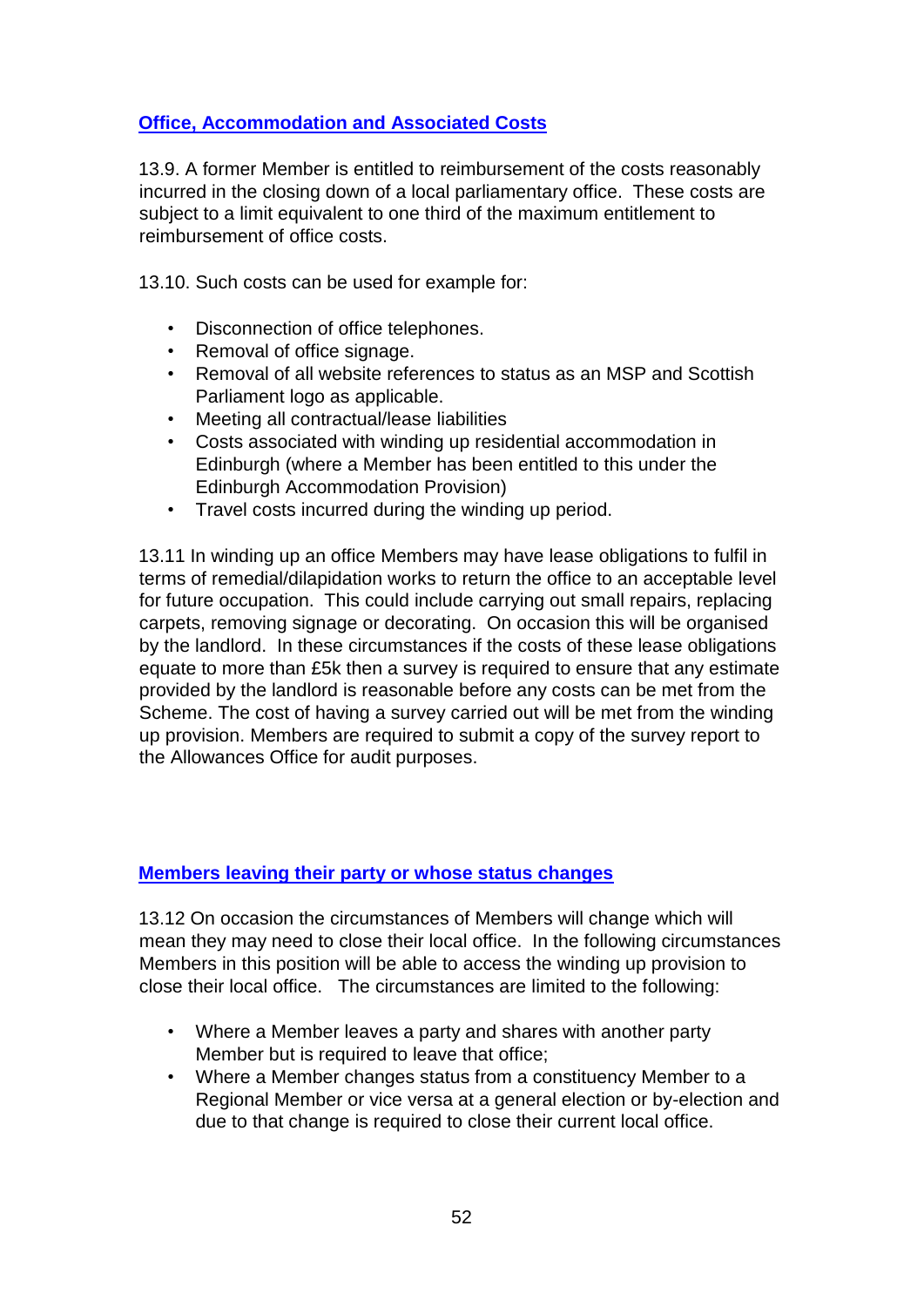# **Office, Accommodation and Associated Costs**

13.9. A former Member is entitled to reimbursement of the costs reasonably incurred in the closing down of a local parliamentary office. These costs are subject to a limit equivalent to one third of the maximum entitlement to reimbursement of office costs.

13.10. Such costs can be used for example for:

- Disconnection of office telephones.
- Removal of office signage.
- Removal of all website references to status as an MSP and Scottish Parliament logo as applicable.
- Meeting all contractual/lease liabilities
- Costs associated with winding up residential accommodation in Edinburgh (where a Member has been entitled to this under the Edinburgh Accommodation Provision)
- Travel costs incurred during the winding up period.

13.11 In winding up an office Members may have lease obligations to fulfil in terms of remedial/dilapidation works to return the office to an acceptable level for future occupation. This could include carrying out small repairs, replacing carpets, removing signage or decorating. On occasion this will be organised by the landlord. In these circumstances if the costs of these lease obligations equate to more than £5k then a survey is required to ensure that any estimate provided by the landlord is reasonable before any costs can be met from the Scheme. The cost of having a survey carried out will be met from the winding up provision. Members are required to submit a copy of the survey report to the Allowances Office for audit purposes.

#### **Members leaving their party or whose status changes**

13.12 On occasion the circumstances of Members will change which will mean they may need to close their local office. In the following circumstances Members in this position will be able to access the winding up provision to close their local office. The circumstances are limited to the following:

- Where a Member leaves a party and shares with another party Member but is required to leave that office;
- Where a Member changes status from a constituency Member to a Regional Member or vice versa at a general election or by-election and due to that change is required to close their current local office.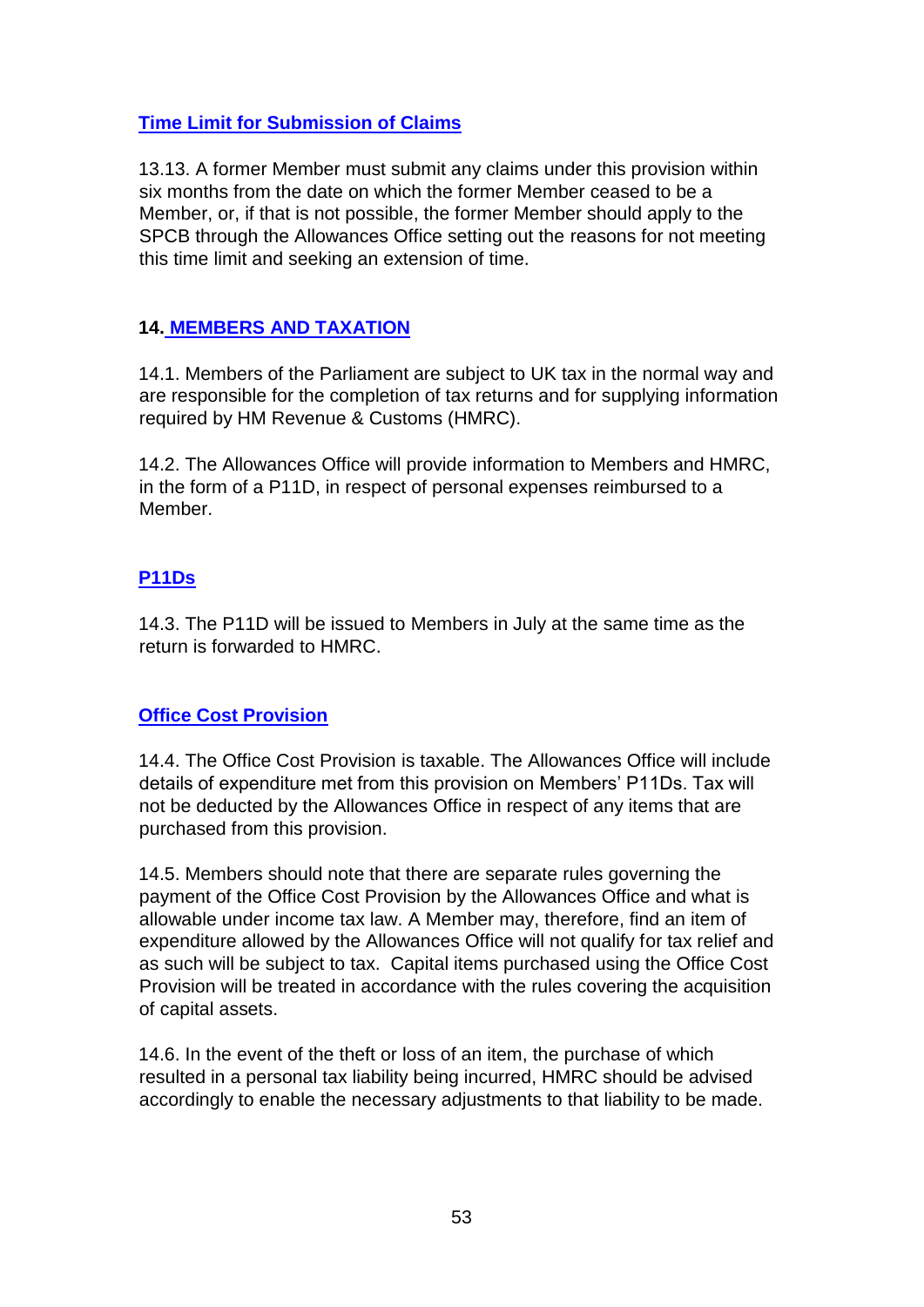## **Time Limit for Submission of Claims**

13.13. A former Member must submit any claims under this provision within six months from the date on which the former Member ceased to be a Member, or, if that is not possible, the former Member should apply to the SPCB through the Allowances Office setting out the reasons for not meeting this time limit and seeking an extension of time.

## **14. MEMBERS AND TAXATION**

14.1. Members of the Parliament are subject to UK tax in the normal way and are responsible for the completion of tax returns and for supplying information required by HM Revenue & Customs (HMRC).

14.2. The Allowances Office will provide information to Members and HMRC, in the form of a P11D, in respect of personal expenses reimbursed to a Member.

# **P11Ds**

14.3. The P11D will be issued to Members in July at the same time as the return is forwarded to HMRC.

## **Office Cost Provision**

14.4. The Office Cost Provision is taxable. The Allowances Office will include details of expenditure met from this provision on Members' P11Ds. Tax will not be deducted by the Allowances Office in respect of any items that are purchased from this provision.

14.5. Members should note that there are separate rules governing the payment of the Office Cost Provision by the Allowances Office and what is allowable under income tax law. A Member may, therefore, find an item of expenditure allowed by the Allowances Office will not qualify for tax relief and as such will be subject to tax. Capital items purchased using the Office Cost Provision will be treated in accordance with the rules covering the acquisition of capital assets.

14.6. In the event of the theft or loss of an item, the purchase of which resulted in a personal tax liability being incurred, HMRC should be advised accordingly to enable the necessary adjustments to that liability to be made.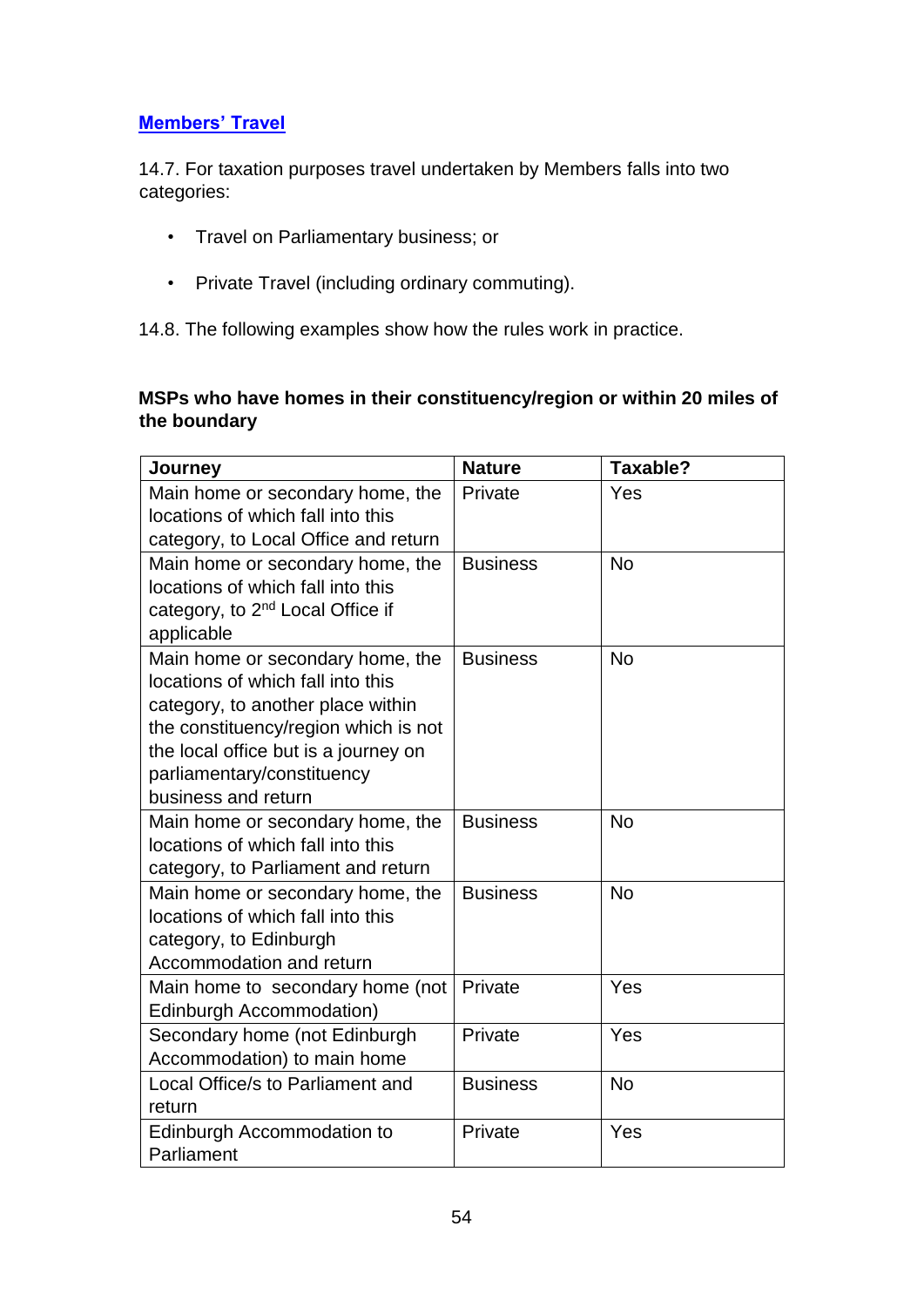# **Members' Travel**

14.7. For taxation purposes travel undertaken by Members falls into two categories:

- Travel on Parliamentary business; or
- Private Travel (including ordinary commuting).

14.8. The following examples show how the rules work in practice.

## **MSPs who have homes in their constituency/region or within 20 miles of the boundary**

| Journey                                                                                                                                                                                                                                         | <b>Nature</b>   | Taxable?  |
|-------------------------------------------------------------------------------------------------------------------------------------------------------------------------------------------------------------------------------------------------|-----------------|-----------|
| Main home or secondary home, the<br>locations of which fall into this<br>category, to Local Office and return                                                                                                                                   | Private         | Yes       |
| Main home or secondary home, the<br>locations of which fall into this<br>category, to 2 <sup>nd</sup> Local Office if<br>applicable                                                                                                             | <b>Business</b> | <b>No</b> |
| Main home or secondary home, the<br>locations of which fall into this<br>category, to another place within<br>the constituency/region which is not<br>the local office but is a journey on<br>parliamentary/constituency<br>business and return | <b>Business</b> | No        |
| Main home or secondary home, the<br>locations of which fall into this<br>category, to Parliament and return                                                                                                                                     | <b>Business</b> | <b>No</b> |
| Main home or secondary home, the<br>locations of which fall into this<br>category, to Edinburgh<br>Accommodation and return                                                                                                                     | <b>Business</b> | <b>No</b> |
| Main home to secondary home (not<br>Edinburgh Accommodation)                                                                                                                                                                                    | Private         | Yes       |
| Secondary home (not Edinburgh<br>Accommodation) to main home                                                                                                                                                                                    | Private         | Yes       |
| Local Office/s to Parliament and<br>return                                                                                                                                                                                                      | <b>Business</b> | <b>No</b> |
| Edinburgh Accommodation to<br>Parliament                                                                                                                                                                                                        | Private         | Yes       |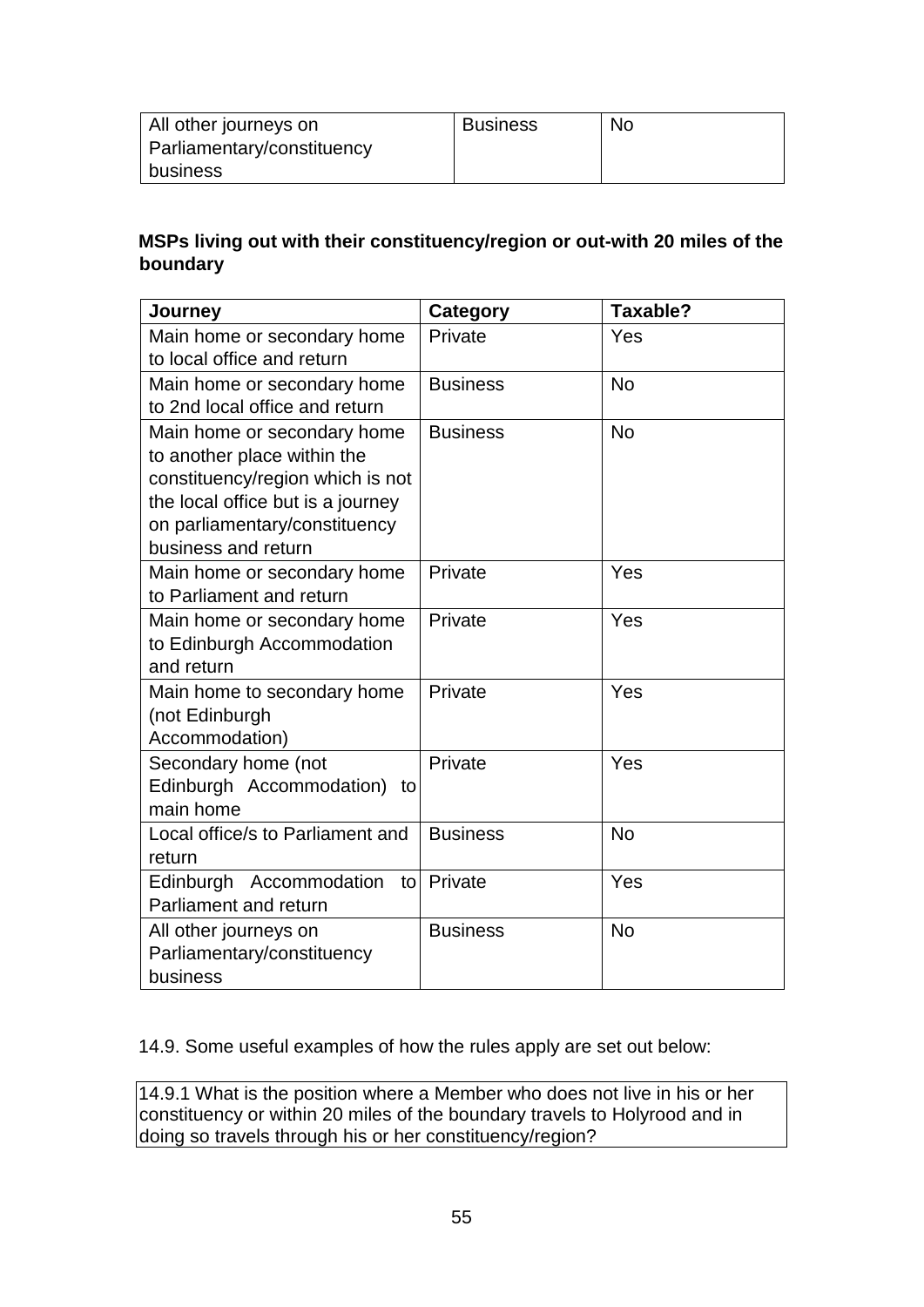| All other journeys on      | <b>Business</b> | No. |
|----------------------------|-----------------|-----|
| Parliamentary/constituency |                 |     |
| business                   |                 |     |

## **MSPs living out with their constituency/region or out-with 20 miles of the boundary**

| Journey                                                                                                                                                                                     | <b>Category</b> | Taxable?  |
|---------------------------------------------------------------------------------------------------------------------------------------------------------------------------------------------|-----------------|-----------|
| Main home or secondary home<br>to local office and return                                                                                                                                   | Private         | Yes       |
| Main home or secondary home<br>to 2nd local office and return                                                                                                                               | <b>Business</b> | <b>No</b> |
| Main home or secondary home<br>to another place within the<br>constituency/region which is not<br>the local office but is a journey<br>on parliamentary/constituency<br>business and return | <b>Business</b> | <b>No</b> |
| Main home or secondary home<br>to Parliament and return                                                                                                                                     | Private         | Yes       |
| Main home or secondary home<br>to Edinburgh Accommodation<br>and return                                                                                                                     | Private         | Yes       |
| Main home to secondary home<br>(not Edinburgh<br>Accommodation)                                                                                                                             | Private         | Yes       |
| Secondary home (not<br>Edinburgh Accommodation) to<br>main home                                                                                                                             | Private         | Yes       |
| Local office/s to Parliament and<br>return                                                                                                                                                  | <b>Business</b> | <b>No</b> |
| Edinburgh Accommodation<br>to<br>Parliament and return                                                                                                                                      | Private         | Yes       |
| All other journeys on<br>Parliamentary/constituency<br>business                                                                                                                             | <b>Business</b> | No        |

14.9. Some useful examples of how the rules apply are set out below:

14.9.1 What is the position where a Member who does not live in his or her constituency or within 20 miles of the boundary travels to Holyrood and in doing so travels through his or her constituency/region?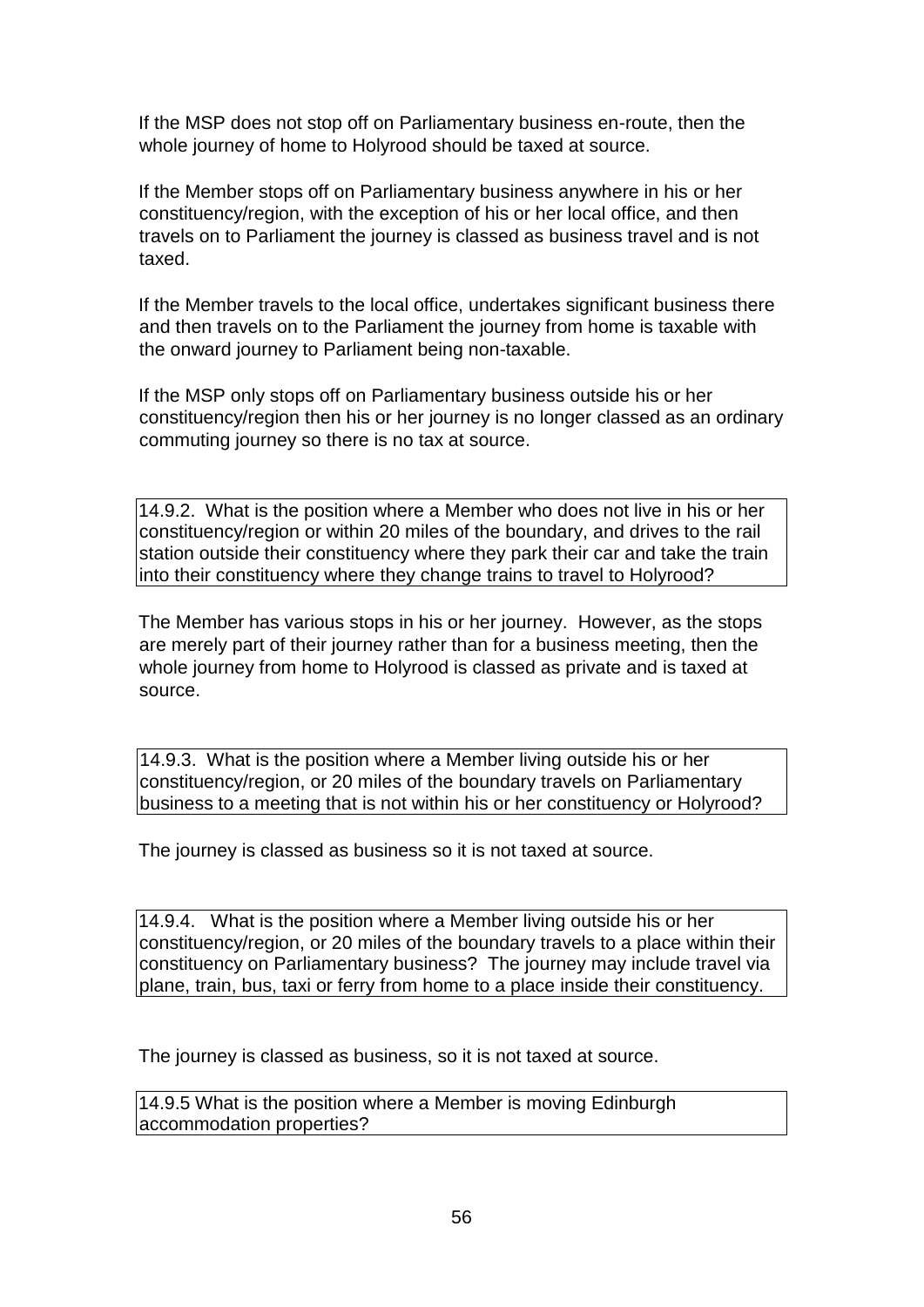If the MSP does not stop off on Parliamentary business en-route, then the whole journey of home to Holyrood should be taxed at source.

If the Member stops off on Parliamentary business anywhere in his or her constituency/region, with the exception of his or her local office, and then travels on to Parliament the journey is classed as business travel and is not taxed.

If the Member travels to the local office, undertakes significant business there and then travels on to the Parliament the journey from home is taxable with the onward journey to Parliament being non-taxable.

If the MSP only stops off on Parliamentary business outside his or her constituency/region then his or her journey is no longer classed as an ordinary commuting journey so there is no tax at source.

14.9.2. What is the position where a Member who does not live in his or her constituency/region or within 20 miles of the boundary, and drives to the rail station outside their constituency where they park their car and take the train into their constituency where they change trains to travel to Holyrood?

The Member has various stops in his or her journey. However, as the stops are merely part of their journey rather than for a business meeting, then the whole journey from home to Holyrood is classed as private and is taxed at source.

14.9.3. What is the position where a Member living outside his or her constituency/region, or 20 miles of the boundary travels on Parliamentary business to a meeting that is not within his or her constituency or Holyrood?

The journey is classed as business so it is not taxed at source.

14.9.4. What is the position where a Member living outside his or her constituency/region, or 20 miles of the boundary travels to a place within their constituency on Parliamentary business? The journey may include travel via plane, train, bus, taxi or ferry from home to a place inside their constituency.

The journey is classed as business, so it is not taxed at source.

14.9.5 What is the position where a Member is moving Edinburgh accommodation properties?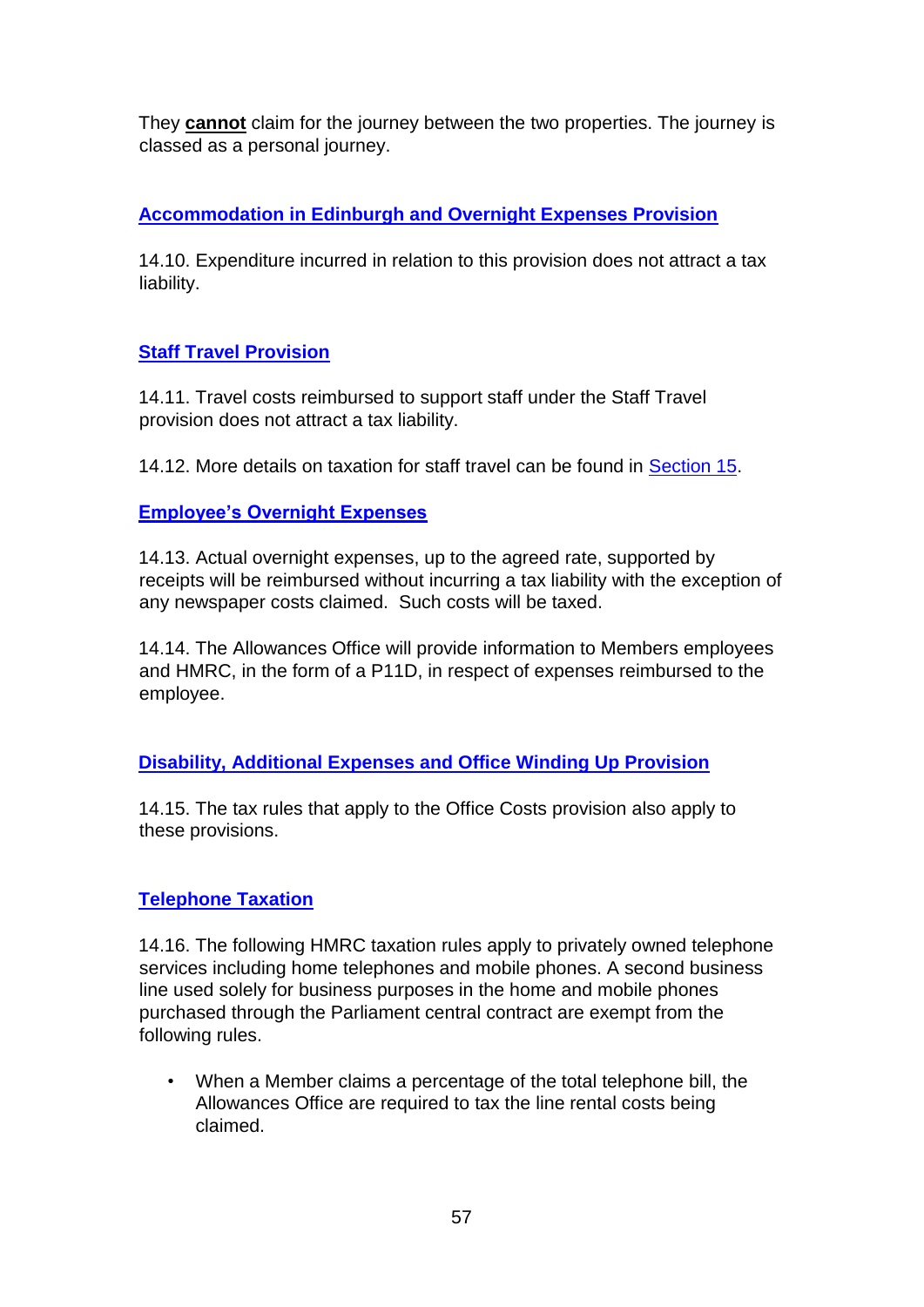They **cannot** claim for the journey between the two properties. The journey is classed as a personal journey.

# **Accommodation in Edinburgh and Overnight Expenses Provision**

14.10. Expenditure incurred in relation to this provision does not attract a tax liability.

# **Staff Travel Provision**

14.11. Travel costs reimbursed to support staff under the Staff Travel provision does not attract a tax liability.

14.12. More details on taxation for staff travel can be found in Section 15.

# **Employee's Overnight Expenses**

14.13. Actual overnight expenses, up to the agreed rate, supported by receipts will be reimbursed without incurring a tax liability with the exception of any newspaper costs claimed. Such costs will be taxed.

14.14. The Allowances Office will provide information to Members employees and HMRC, in the form of a P11D, in respect of expenses reimbursed to the employee.

# **Disability, Additional Expenses and Office Winding Up Provision**

14.15. The tax rules that apply to the Office Costs provision also apply to these provisions.

# **Telephone Taxation**

14.16. The following HMRC taxation rules apply to privately owned telephone services including home telephones and mobile phones. A second business line used solely for business purposes in the home and mobile phones purchased through the Parliament central contract are exempt from the following rules.

• When a Member claims a percentage of the total telephone bill, the Allowances Office are required to tax the line rental costs being claimed.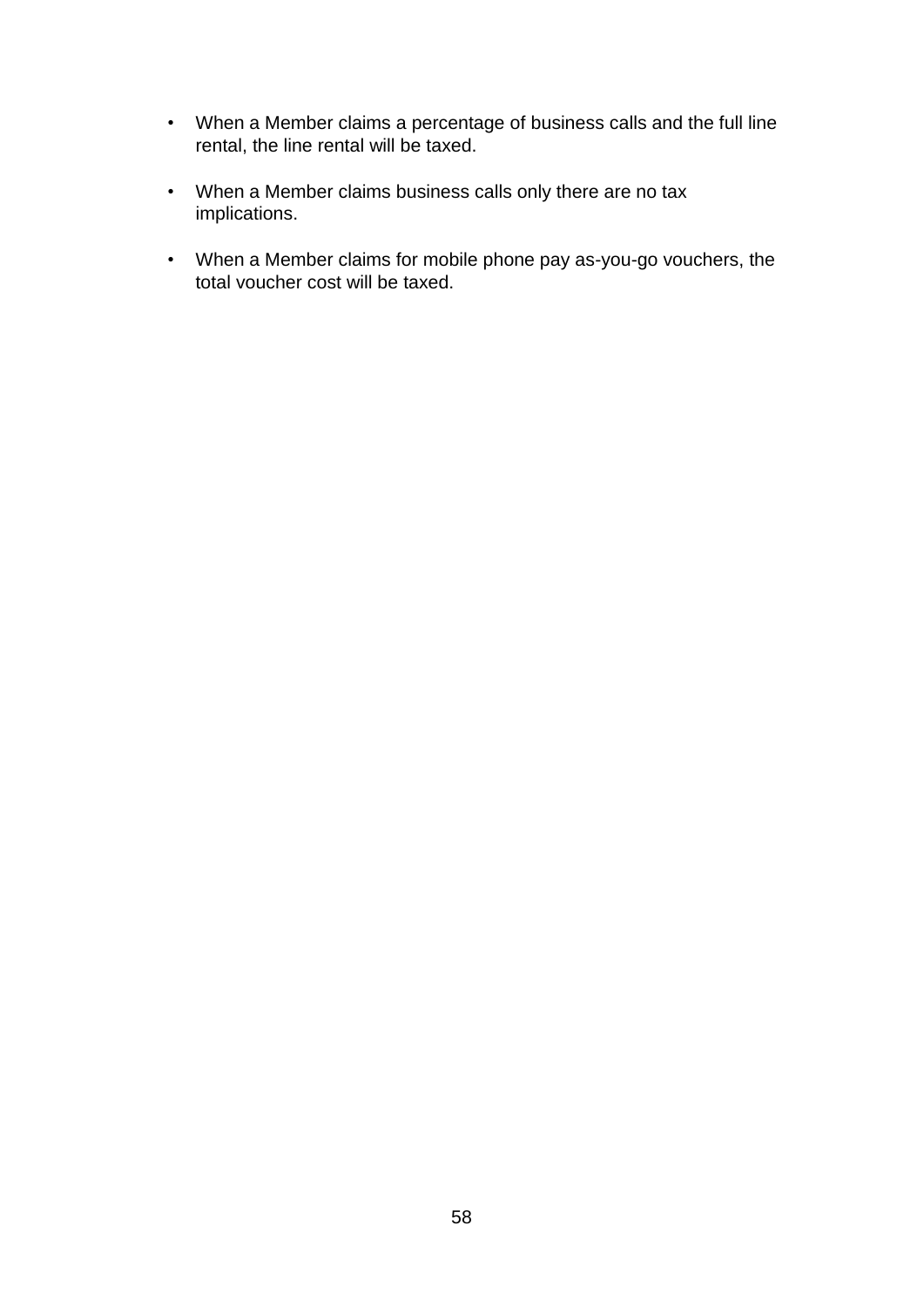- When a Member claims a percentage of business calls and the full line rental, the line rental will be taxed.
- When a Member claims business calls only there are no tax implications.
- When a Member claims for mobile phone pay as-you-go vouchers, the total voucher cost will be taxed.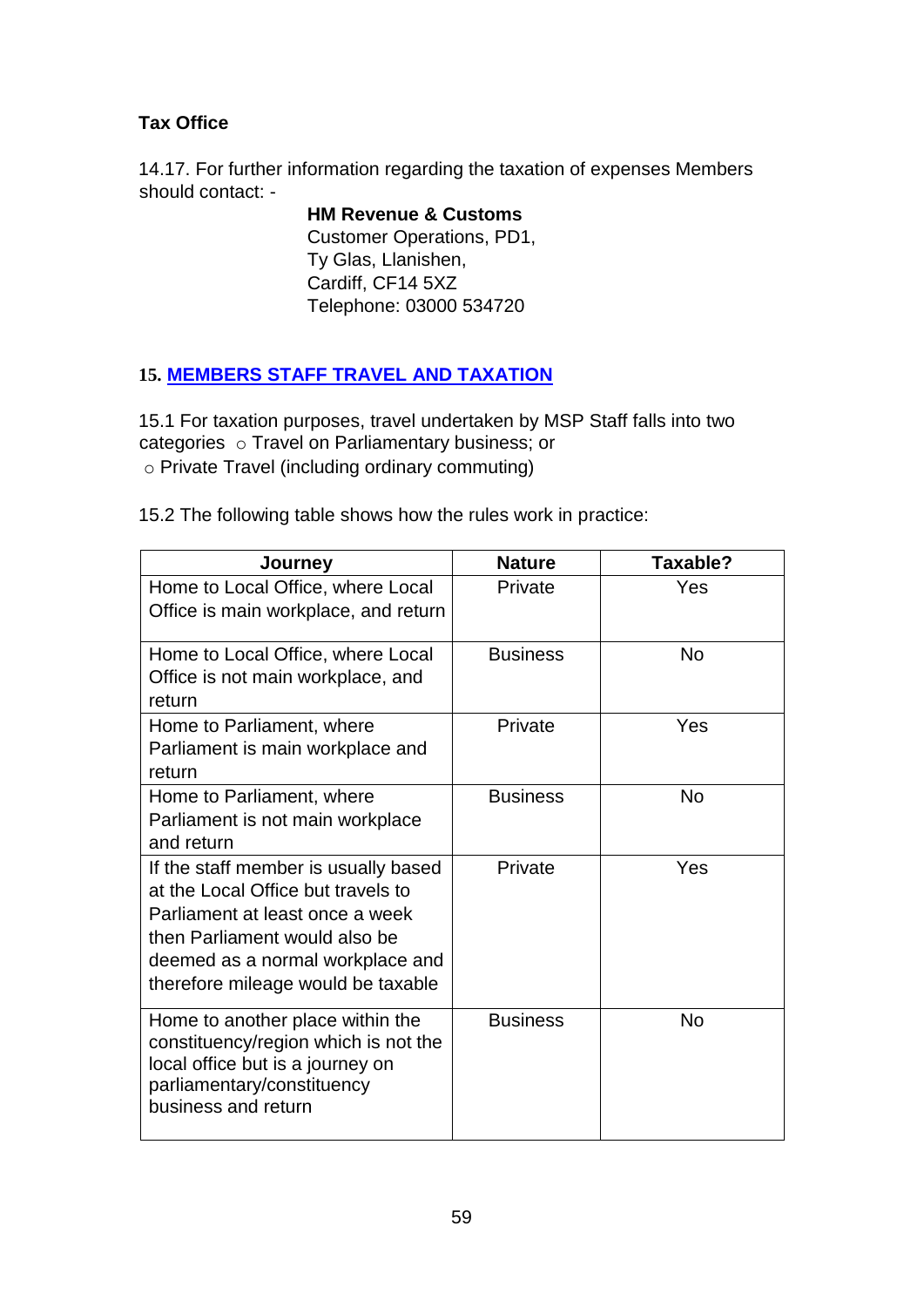# **Tax Office**

14.17. For further information regarding the taxation of expenses Members should contact: -

> **HM Revenue & Customs** Customer Operations, PD1, Ty Glas, Llanishen, Cardiff, CF14 5XZ Telephone: 03000 534720

# **15. MEMBERS STAFF TRAVEL AND TAXATION**

15.1 For taxation purposes, travel undertaken by MSP Staff falls into two categories o Travel on Parliamentary business; or o Private Travel (including ordinary commuting)

15.2 The following table shows how the rules work in practice:

| Journey                                                                                                                                                                                                                  | <b>Nature</b>   | Taxable?  |
|--------------------------------------------------------------------------------------------------------------------------------------------------------------------------------------------------------------------------|-----------------|-----------|
| Home to Local Office, where Local<br>Office is main workplace, and return                                                                                                                                                | Private         | Yes       |
| Home to Local Office, where Local<br>Office is not main workplace, and<br>return                                                                                                                                         | <b>Business</b> | <b>No</b> |
| Home to Parliament, where<br>Parliament is main workplace and<br>return                                                                                                                                                  | Private         | Yes       |
| Home to Parliament, where<br>Parliament is not main workplace<br>and return                                                                                                                                              | <b>Business</b> | <b>No</b> |
| If the staff member is usually based<br>at the Local Office but travels to<br>Parliament at least once a week<br>then Parliament would also be<br>deemed as a normal workplace and<br>therefore mileage would be taxable | Private         | Yes       |
| Home to another place within the<br>constituency/region which is not the<br>local office but is a journey on<br>parliamentary/constituency<br>business and return                                                        | <b>Business</b> | <b>No</b> |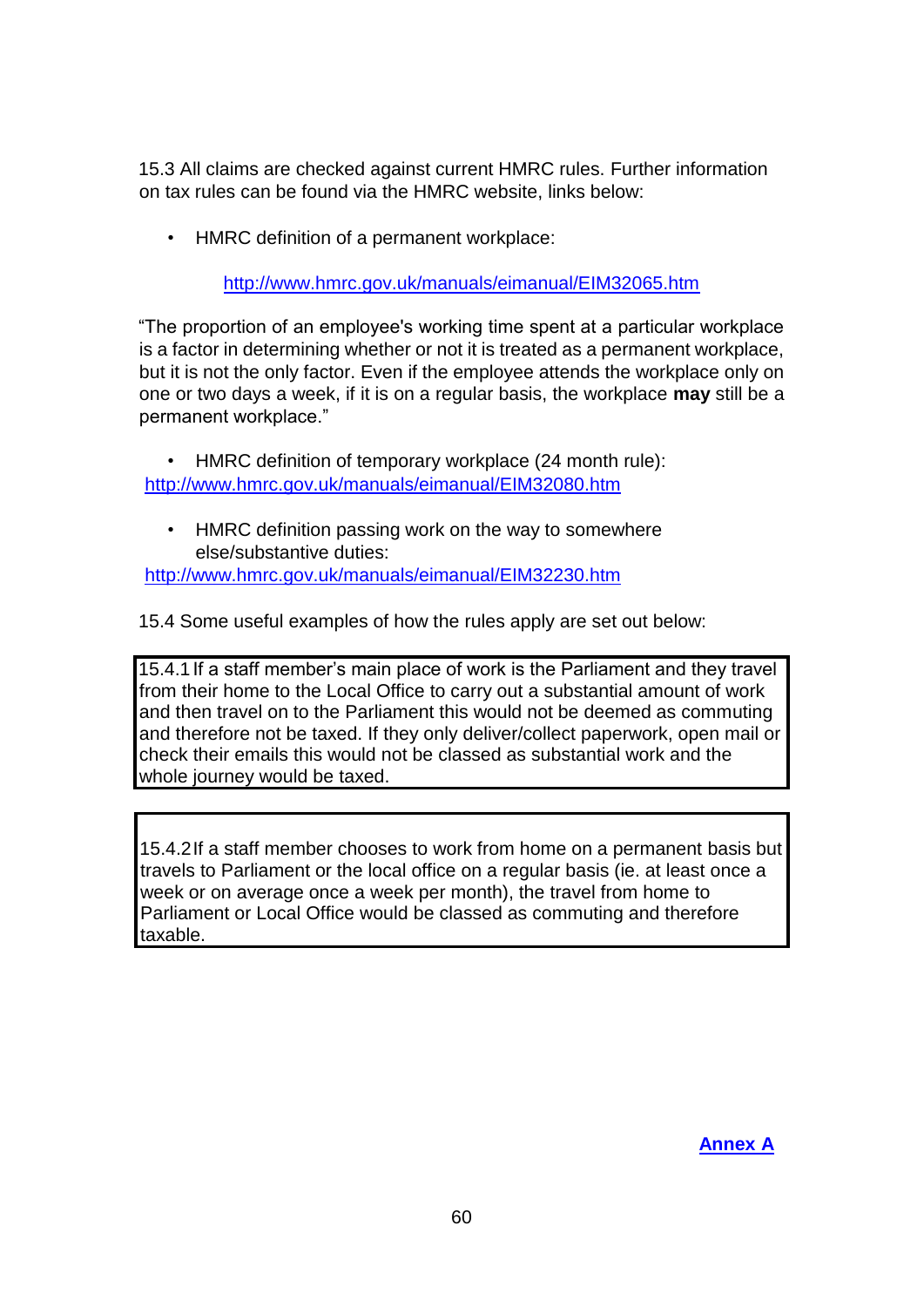15.3 All claims are checked against current HMRC rules. Further information on tax rules can be found via the HMRC website, links below:

• HMRC definition of a permanent workplace:

<http://www.hmrc.gov.uk/manuals/eimanual/EIM32065.htm>

"The proportion of an employee's working time spent at a particular workplace is a factor in determining whether or not it is treated as a permanent workplace, but it is not the only factor. Even if the employee attends the workplace only on one or two days a week, if it is on a regular basis, the workplace **may** still be a permanent workplace."

• HMRC definition of temporary workplace (24 month rule): <http://www.hmrc.gov.uk/manuals/eimanual/EIM32080.htm>

HMRC definition passing work on the way to somewhere else/substantive duties:

<http://www.hmrc.gov.uk/manuals/eimanual/EIM32230.htm>

15.4 Some useful examples of how the rules apply are set out below:

15.4.1If a staff member's main place of work is the Parliament and they travel from their home to the Local Office to carry out a substantial amount of work and then travel on to the Parliament this would not be deemed as commuting and therefore not be taxed. If they only deliver/collect paperwork, open mail or check their emails this would not be classed as substantial work and the whole journey would be taxed.

15.4.2If a staff member chooses to work from home on a permanent basis but travels to Parliament or the local office on a regular basis (ie. at least once a week or on average once a week per month), the travel from home to Parliament or Local Office would be classed as commuting and therefore taxable.

**Annex A**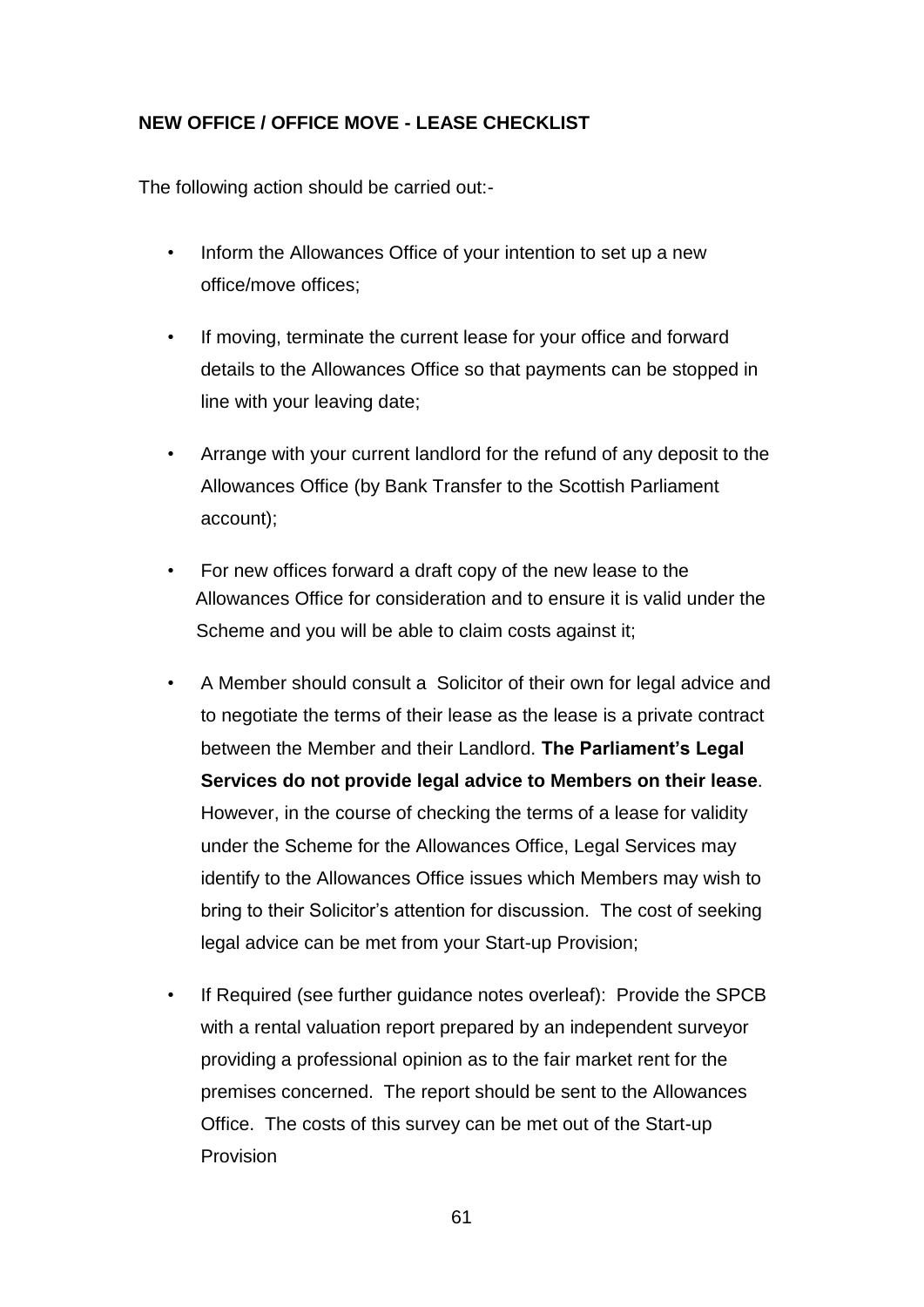# **NEW OFFICE / OFFICE MOVE - LEASE CHECKLIST**

The following action should be carried out:-

- Inform the Allowances Office of your intention to set up a new office/move offices;
- If moving, terminate the current lease for your office and forward details to the Allowances Office so that payments can be stopped in line with your leaving date;
- Arrange with your current landlord for the refund of any deposit to the Allowances Office (by Bank Transfer to the Scottish Parliament account);
- For new offices forward a draft copy of the new lease to the Allowances Office for consideration and to ensure it is valid under the Scheme and you will be able to claim costs against it;
- A Member should consult a Solicitor of their own for legal advice and to negotiate the terms of their lease as the lease is a private contract between the Member and their Landlord. **The Parliament's Legal Services do not provide legal advice to Members on their lease**. However, in the course of checking the terms of a lease for validity under the Scheme for the Allowances Office, Legal Services may identify to the Allowances Office issues which Members may wish to bring to their Solicitor's attention for discussion. The cost of seeking legal advice can be met from your Start-up Provision;
- If Required (see further quidance notes overleaf): Provide the SPCB with a rental valuation report prepared by an independent surveyor providing a professional opinion as to the fair market rent for the premises concerned. The report should be sent to the Allowances Office. The costs of this survey can be met out of the Start-up Provision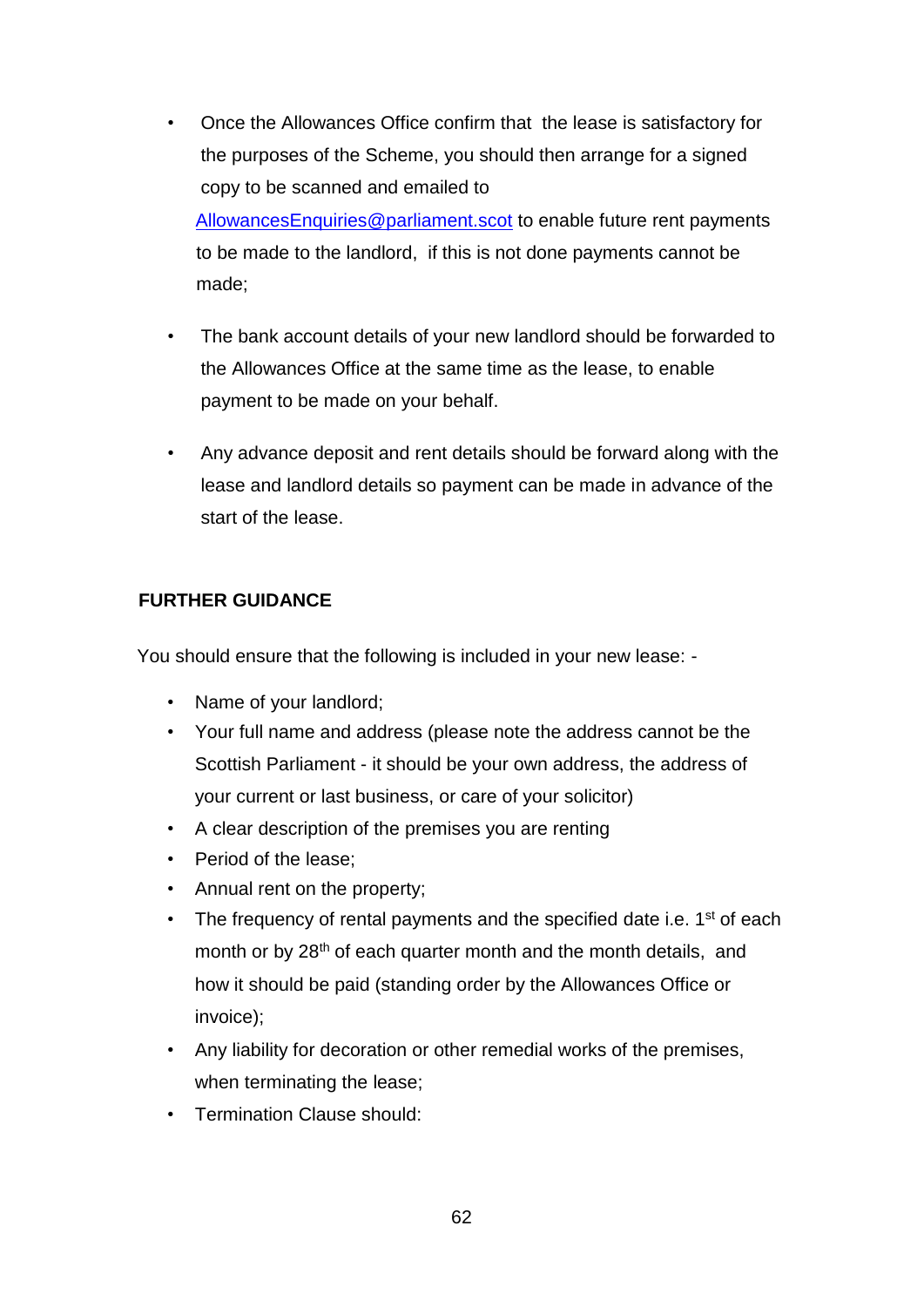- Once the Allowances Office confirm that the lease is satisfactory for the purposes of the Scheme, you should then arrange for a signed copy to be scanned and emailed to AllowancesEnquiries@parliament.scot to enable future rent payments to be made to the landlord, if this is not done payments cannot be made;
- The bank account details of your new landlord should be forwarded to the Allowances Office at the same time as the lease, to enable payment to be made on your behalf.
- Any advance deposit and rent details should be forward along with the lease and landlord details so payment can be made in advance of the start of the lease.

#### **FURTHER GUIDANCE**

You should ensure that the following is included in your new lease: -

- Name of your landlord;
- Your full name and address (please note the address cannot be the Scottish Parliament - it should be your own address, the address of your current or last business, or care of your solicitor)
- A clear description of the premises you are renting
- Period of the lease;
- Annual rent on the property;
- The frequency of rental payments and the specified date i.e.  $1<sup>st</sup>$  of each month or by 28<sup>th</sup> of each quarter month and the month details, and how it should be paid (standing order by the Allowances Office or invoice);
- Any liability for decoration or other remedial works of the premises, when terminating the lease;
- Termination Clause should: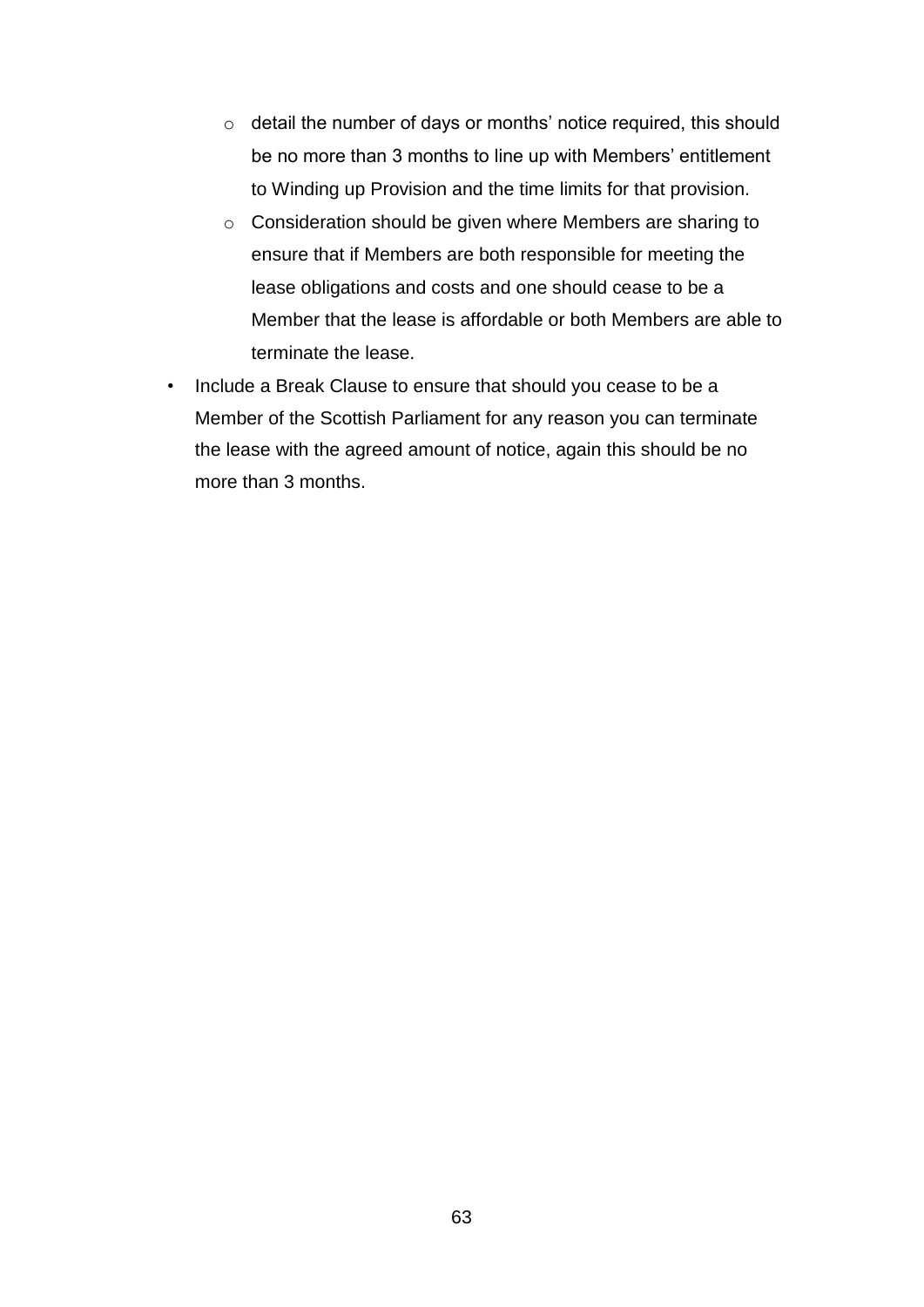- o detail the number of days or months' notice required, this should be no more than 3 months to line up with Members' entitlement to Winding up Provision and the time limits for that provision.
- o Consideration should be given where Members are sharing to ensure that if Members are both responsible for meeting the lease obligations and costs and one should cease to be a Member that the lease is affordable or both Members are able to terminate the lease.
- Include a Break Clause to ensure that should you cease to be a Member of the Scottish Parliament for any reason you can terminate the lease with the agreed amount of notice, again this should be no more than 3 months.